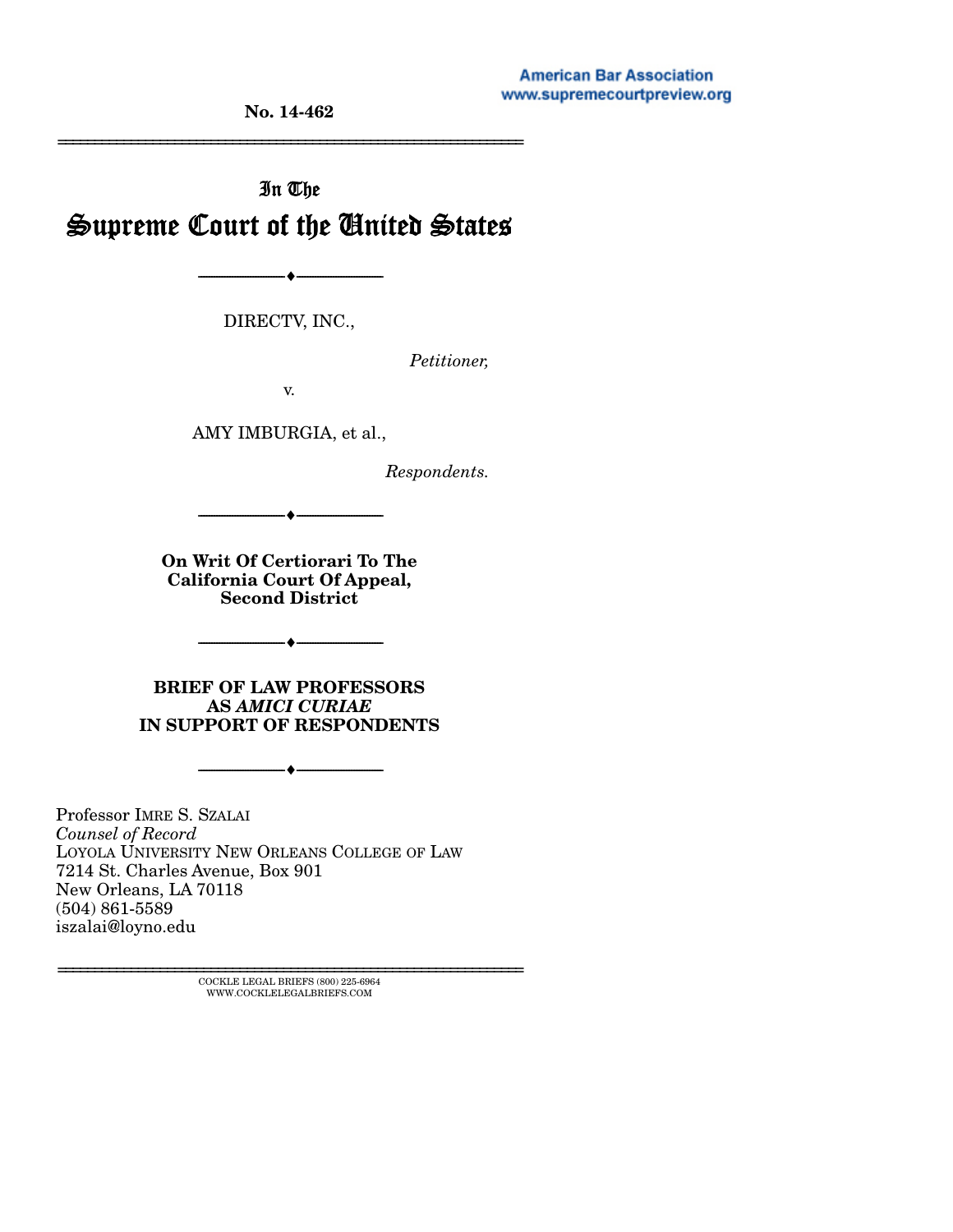#### **American Bar Association** www.supremecourtpreview.org

**No. 14-462** 

# In The Supreme Court of the United States

DIRECTV, INC.,

--------------------------------- ---------------------------------

*Petitioner,* 

================================================================

v.

AMY IMBURGIA, et al.,

*Respondents.* 

**On Writ Of Certiorari To The California Court Of Appeal, Second District** 

--------------------------------- ---------------------------------

 $-$ 

**BRIEF OF LAW PROFESSORS AS** *AMICI CURIAE* **IN SUPPORT OF RESPONDENTS** 

 $- \bullet -$ 

Professor IMRE S. SZALAI *Counsel of Record* LOYOLA UNIVERSITY NEW ORLEANS COLLEGE OF LAW 7214 St. Charles Avenue, Box 901 New Orleans, LA 70118 (504) 861-5589 iszalai@loyno.edu

> ${\rm COCKLE}$ LEGAL BRIEFS (800) 225-6964 WWW.COCKLELEGALBRIEFS.COM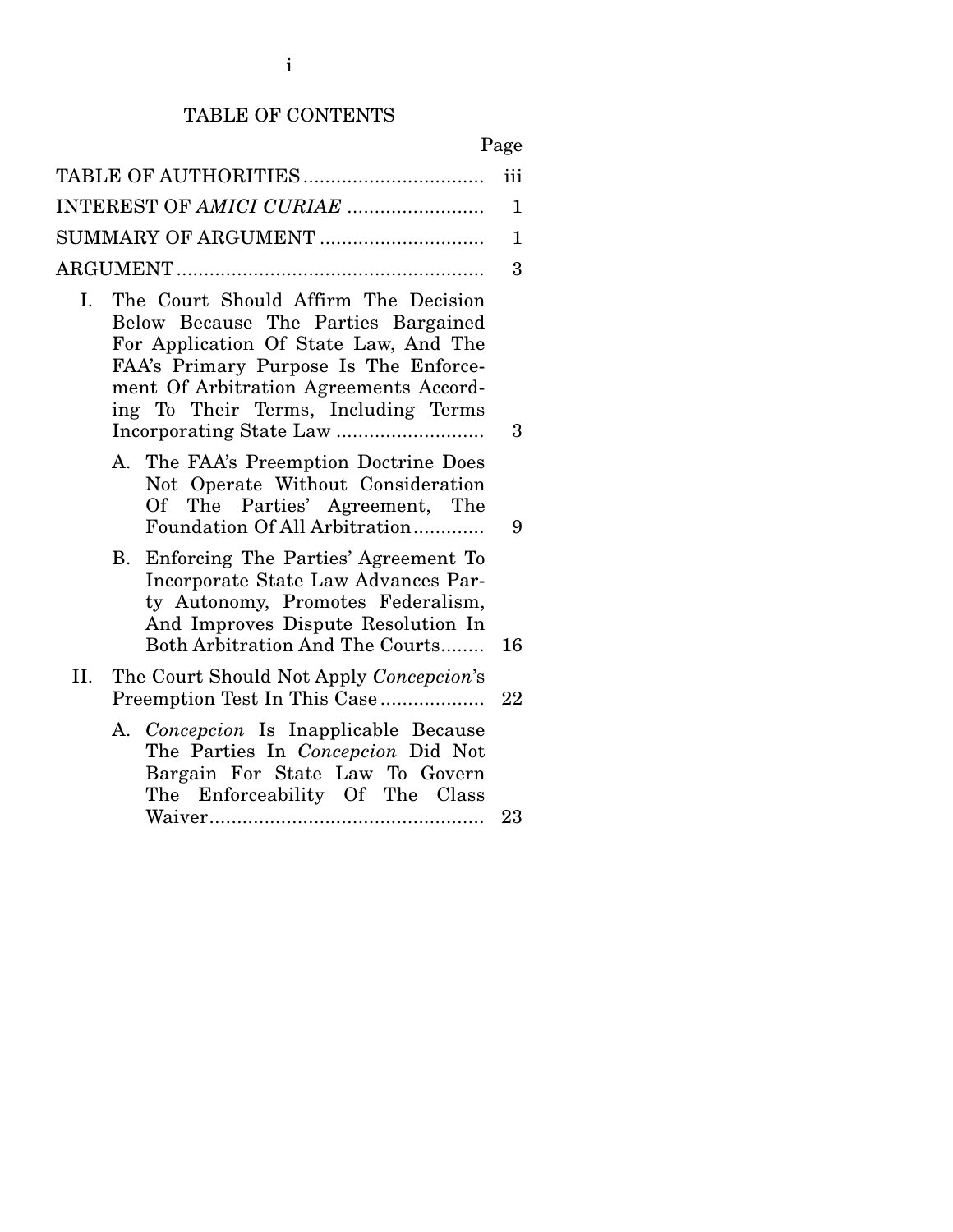# TABLE OF CONTENTS

# Page

| TABLE OF AUTHORITIES                                                                                                                                                                                                                                 | iii |
|------------------------------------------------------------------------------------------------------------------------------------------------------------------------------------------------------------------------------------------------------|-----|
| INTEREST OF AMICI CURIAE                                                                                                                                                                                                                             | 1   |
| SUMMARY OF ARGUMENT                                                                                                                                                                                                                                  | 1   |
|                                                                                                                                                                                                                                                      | 3   |
| The Court Should Affirm The Decision<br>I.<br>Below Because The Parties Bargained<br>For Application Of State Law, And The<br>FAA's Primary Purpose Is The Enforce-<br>ment Of Arbitration Agreements Accord-<br>ing To Their Terms, Including Terms | 3   |
| A. The FAA's Preemption Doctrine Does<br>Not Operate Without Consideration<br>Of The Parties' Agreement, The<br>Foundation Of All Arbitration                                                                                                        | 9   |
| Enforcing The Parties' Agreement To<br>В.<br>Incorporate State Law Advances Par-<br>ty Autonomy, Promotes Federalism,<br>And Improves Dispute Resolution In<br>Both Arbitration And The Courts                                                       | 16  |
| П.<br>The Court Should Not Apply Concepcion's<br>Preemption Test In This Case                                                                                                                                                                        | 22  |
| A. Concepcion Is Inapplicable Because<br>The Parties In Concepcion Did Not<br>Bargain For State Law To Govern<br>The Enforceability Of The Class                                                                                                     | 23  |
|                                                                                                                                                                                                                                                      |     |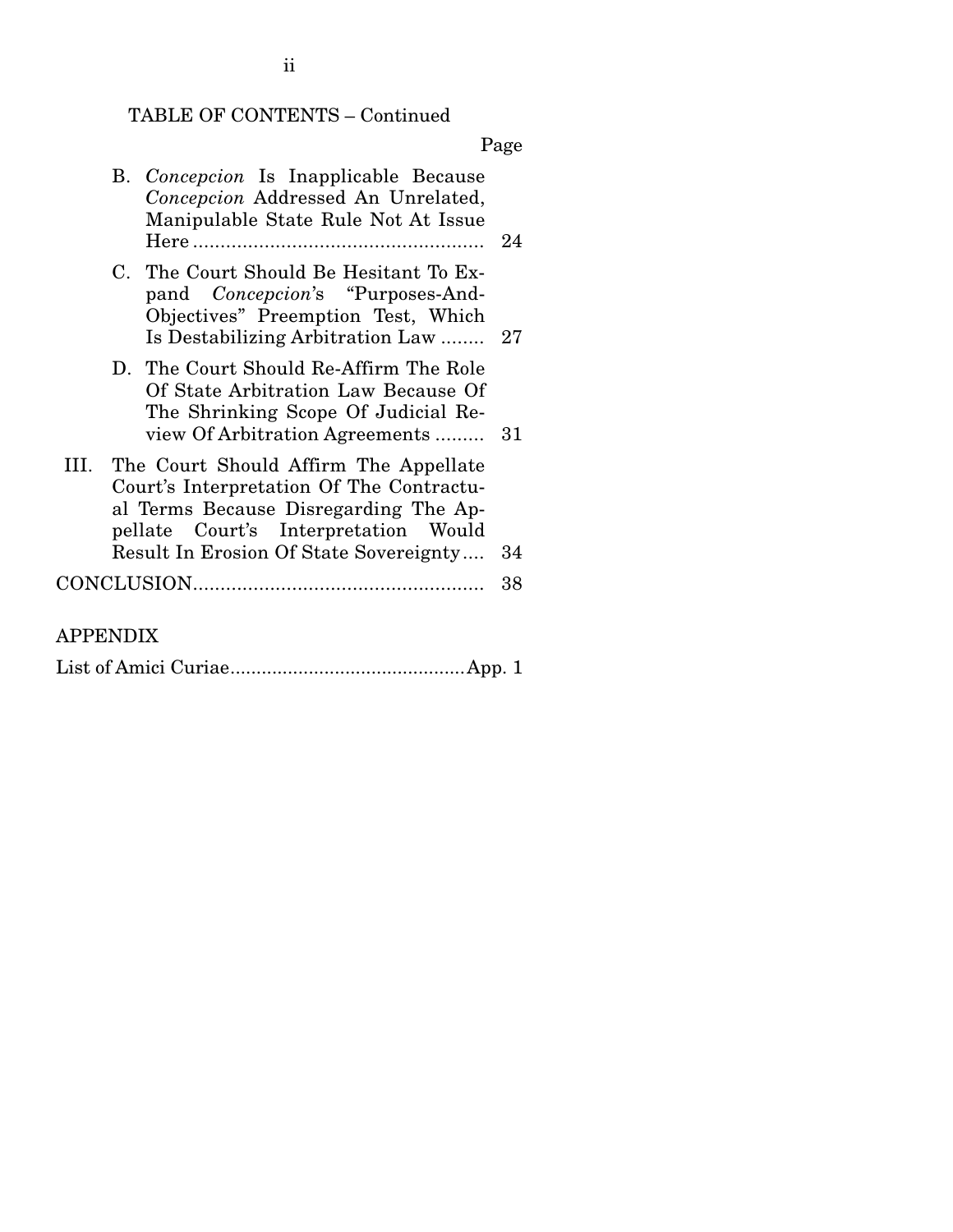# TABLE OF CONTENTS – Continued

Page

|     | B. Concepcion Is Inapplicable Because<br>Concepcion Addressed An Unrelated,<br>Manipulable State Rule Not At Issue                                                                                           |    |
|-----|--------------------------------------------------------------------------------------------------------------------------------------------------------------------------------------------------------------|----|
|     | C. The Court Should Be Hesitant To Ex-<br>pand <i>Concepcion's</i> "Purposes-And-<br>Objectives" Preemption Test, Which<br>Is Destabilizing Arbitration Law  27                                              |    |
|     | D. The Court Should Re-Affirm The Role<br>Of State Arbitration Law Because Of<br>The Shrinking Scope Of Judicial Re-<br>view Of Arbitration Agreements  31                                                   |    |
| HL. | The Court Should Affirm The Appellate<br>Court's Interpretation Of The Contractu-<br>al Terms Because Disregarding The Ap-<br>pellate Court's Interpretation Would<br>Result In Erosion Of State Sovereignty | 34 |
|     |                                                                                                                                                                                                              |    |
|     |                                                                                                                                                                                                              | 38 |
|     |                                                                                                                                                                                                              |    |

# APPENDIX

List of Amici Curiae ............................................. App. 1

ii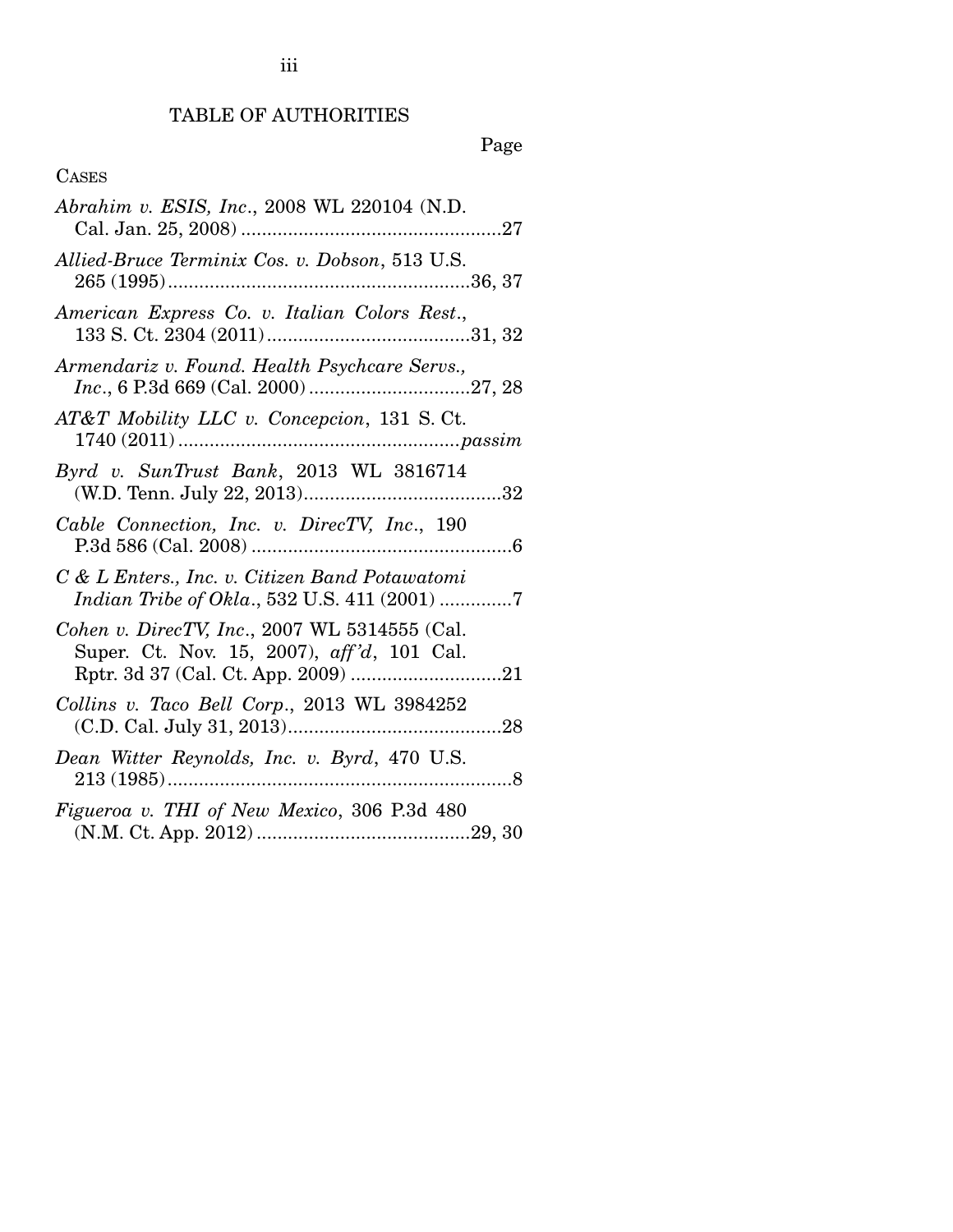# Page

## CASES

| Abrahim v. ESIS, Inc., 2008 WL 220104 (N.D.                                                    |
|------------------------------------------------------------------------------------------------|
| Allied-Bruce Terminix Cos. v. Dobson, 513 U.S.                                                 |
| American Express Co. v. Italian Colors Rest.,                                                  |
| Armendariz v. Found. Health Psychcare Servs.,                                                  |
| AT&T Mobility LLC v. Concepcion, 131 S.Ct.                                                     |
| Byrd v. SunTrust Bank, 2013 WL 3816714                                                         |
| Cable Connection, Inc. v. DirecTV, Inc., 190                                                   |
| C & L Enters., Inc. v. Citizen Band Potawatomi<br>Indian Tribe of Okla., 532 U.S. 411 (2001) 7 |
| Cohen v. DirecTV, Inc., 2007 WL 5314555 (Cal.<br>Super. Ct. Nov. 15, 2007), aff'd, 101 Cal.    |
| Collins v. Taco Bell Corp., 2013 WL 3984252                                                    |
| Dean Witter Reynolds, Inc. v. Byrd, 470 U.S.                                                   |
| Figueroa v. THI of New Mexico, 306 P.3d 480                                                    |

iii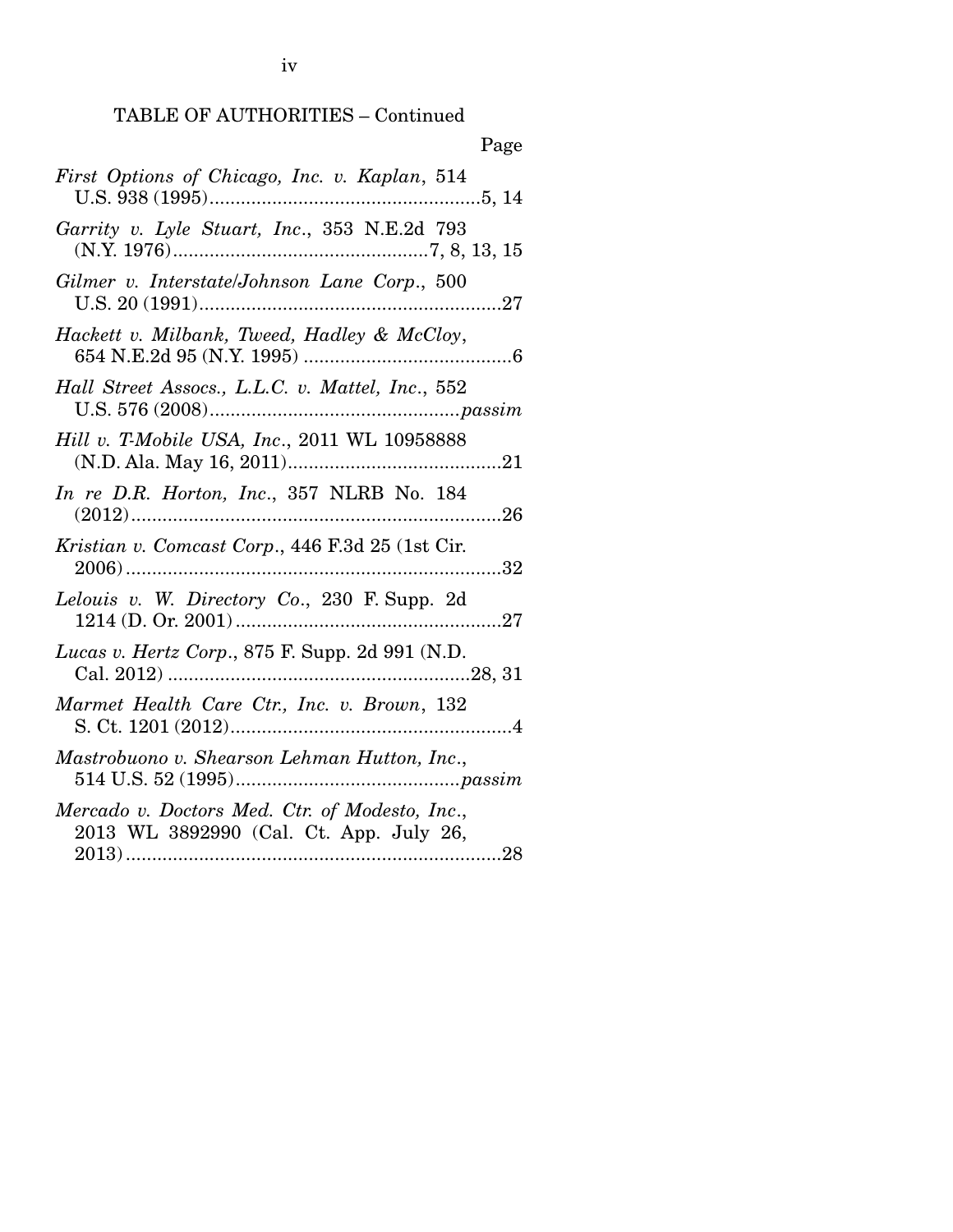| Page                                                                                      |
|-------------------------------------------------------------------------------------------|
| First Options of Chicago, Inc. v. Kaplan, 514                                             |
| Garrity v. Lyle Stuart, Inc., 353 N.E.2d 793                                              |
| Gilmer v. Interstate/Johnson Lane Corp., 500                                              |
| Hackett v. Milbank, Tweed, Hadley & McCloy,                                               |
| Hall Street Assocs., L.L.C. v. Mattel, Inc., 552                                          |
| Hill v. T-Mobile USA, Inc., 2011 WL 10958888                                              |
| In re D.R. Horton, Inc., 357 NLRB No. 184                                                 |
| Kristian v. Comcast Corp., 446 F.3d 25 (1st Cir.<br>32                                    |
| Lelouis v. W. Directory Co., 230 F. Supp. 2d                                              |
| Lucas v. Hertz Corp., 875 F. Supp. 2d 991 (N.D.                                           |
| Marmet Health Care Ctr., Inc. v. Brown, 132                                               |
| Mastrobuono v. Shearson Lehman Hutton, Inc.,                                              |
| Mercado v. Doctors Med. Ctr. of Modesto, Inc.,<br>2013 WL 3892990 (Cal. Ct. App. July 26, |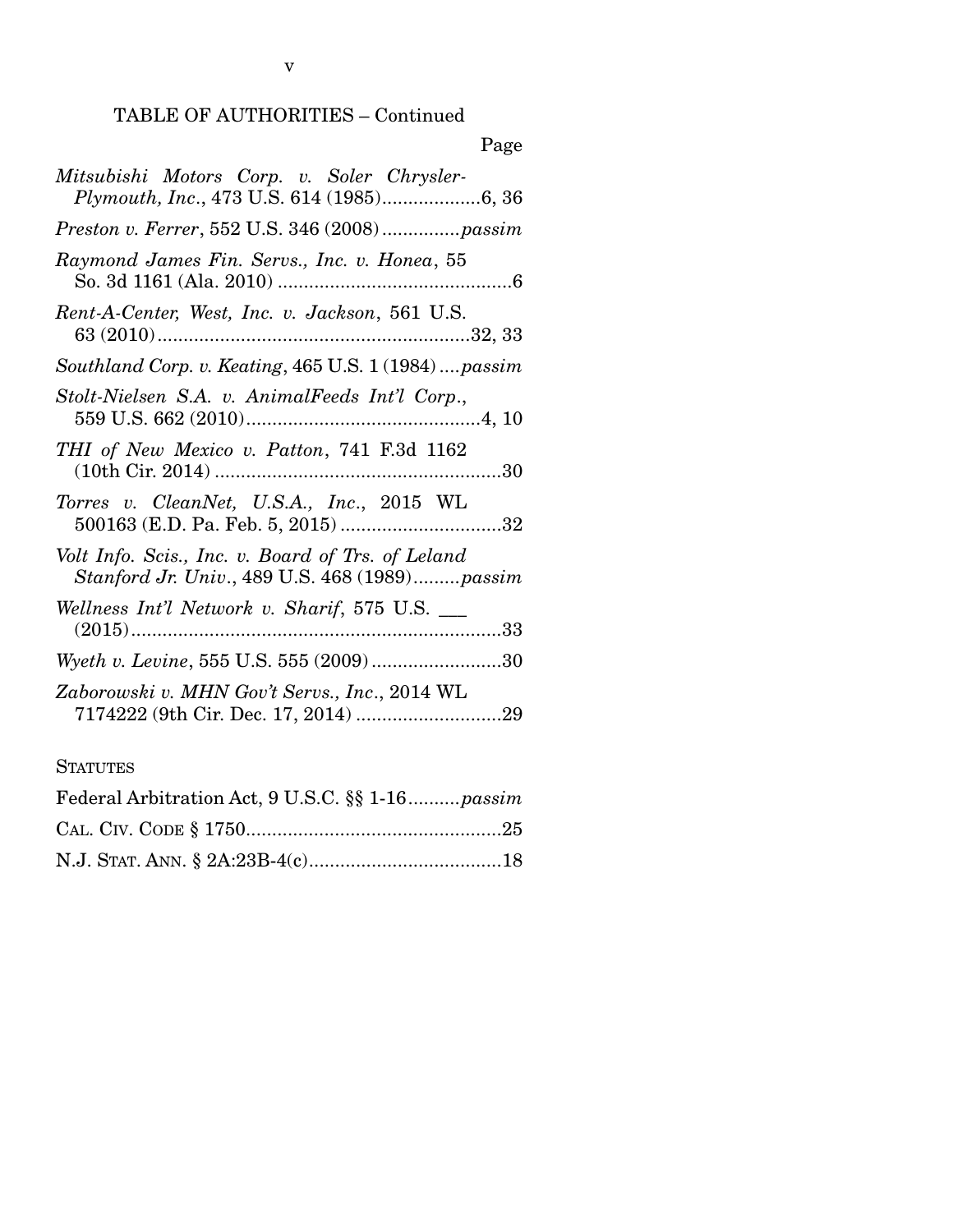| × |
|---|
|---|

| Mitsubishi Motors Corp. v. Soler Chrysler-<br>Plymouth, Inc., 473 U.S. 614 (1985)6, 36             |
|----------------------------------------------------------------------------------------------------|
|                                                                                                    |
| Raymond James Fin. Servs., Inc. v. Honea, 55                                                       |
| Rent-A-Center, West, Inc. v. Jackson, 561 U.S.                                                     |
| Southland Corp. v. Keating, 465 U.S. 1 (1984)passim                                                |
| Stolt-Nielsen S.A. v. AnimalFeeds Int'l Corp.,                                                     |
| THI of New Mexico v. Patton, 741 F.3d 1162                                                         |
| Torres v. CleanNet, U.S.A., Inc., 2015 WL                                                          |
| Volt Info. Scis., Inc. v. Board of Trs. of Leland<br>Stanford Jr. Univ., 489 U.S. 468 (1989)passim |
| Wellness Int'l Network v. Sharif, 575 U.S. __                                                      |
| Wyeth v. Levine, 555 U.S. 555 (2009)30                                                             |
| Zaborowski v. MHN Gov't Servs., Inc., 2014 WL                                                      |
| <b>STATUTES</b>                                                                                    |
|                                                                                                    |

| Federal Arbitration Act, 9 U.S.C. §§ 1-16 <i>passim</i> |  |
|---------------------------------------------------------|--|
|                                                         |  |
|                                                         |  |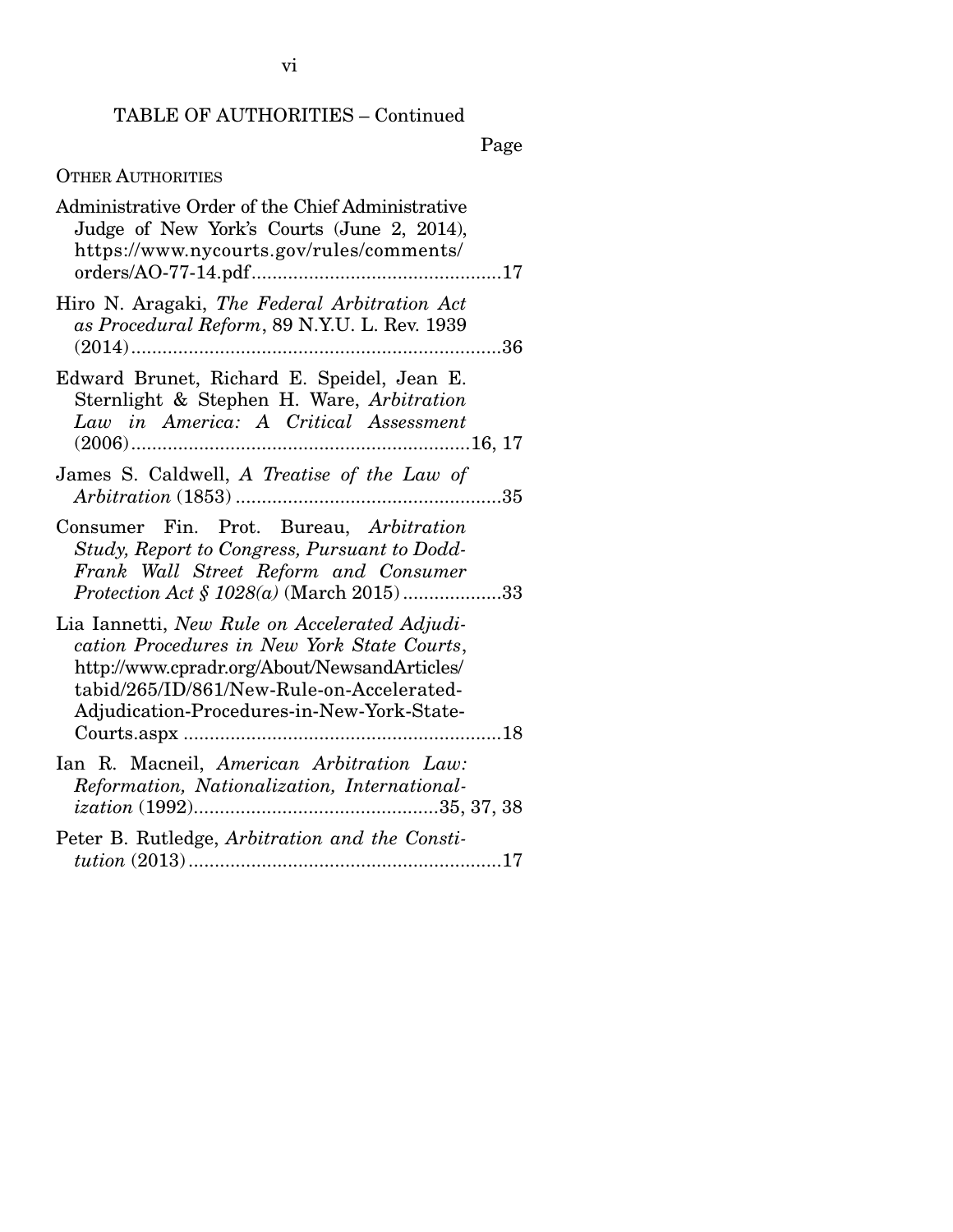Page

# OTHER AUTHORITIES

| Administrative Order of the Chief Administrative<br>Judge of New York's Courts (June 2, 2014),<br>https://www.nycourts.gov/rules/comments/                                                                                              |
|-----------------------------------------------------------------------------------------------------------------------------------------------------------------------------------------------------------------------------------------|
| Hiro N. Aragaki, The Federal Arbitration Act<br>as Procedural Reform, 89 N.Y.U. L. Rev. 1939                                                                                                                                            |
| Edward Brunet, Richard E. Speidel, Jean E.<br>Sternlight & Stephen H. Ware, Arbitration<br>Law in America: A Critical Assessment                                                                                                        |
| James S. Caldwell, A Treatise of the Law of<br>35                                                                                                                                                                                       |
| Consumer Fin. Prot. Bureau, Arbitration<br>Study, Report to Congress, Pursuant to Dodd-<br>Frank Wall Street Reform and Consumer<br>Protection Act § 1028(a) (March 2015)33                                                             |
| Lia Iannetti, New Rule on Accelerated Adjudi-<br>cation Procedures in New York State Courts,<br>http://www.cpradr.org/About/NewsandArticles/<br>tabid/265/ID/861/New-Rule-on-Accelerated-<br>Adjudication-Procedures-in-New-York-State- |
| Ian R. Macneil, American Arbitration Law:<br>Reformation, Nationalization, International-                                                                                                                                               |
| Peter B. Rutledge, Arbitration and the Consti-                                                                                                                                                                                          |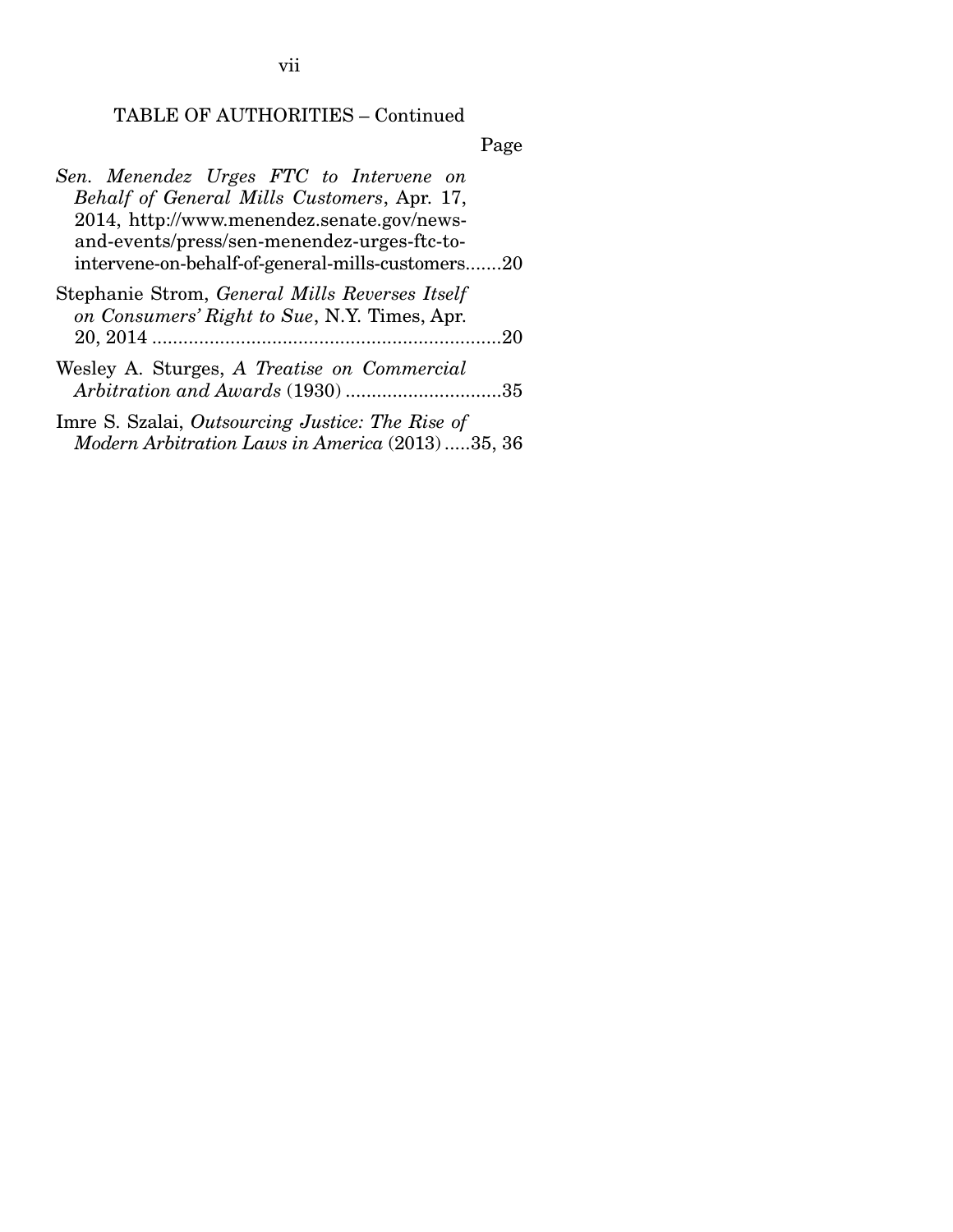# Page

| Sen. Menendez Urges FTC to Intervene on                                                        |
|------------------------------------------------------------------------------------------------|
| Behalf of General Mills Customers, Apr. 17,                                                    |
| 2014, http://www.menendez.senate.gov/news-                                                     |
| and-events/press/sen-menendez-urges-ftc-to-                                                    |
| intervene-on-behalf-of-general-mills-customers20                                               |
| Stephanie Strom, General Mills Reverses Itself<br>on Consumers' Right to Sue, N.Y. Times, Apr. |
|                                                                                                |
| Wesley A. Sturges, A Treatise on Commercial<br>Arbitration and Awards (1930)35                 |
| Imre S. Szalai, Outsourcing Justice: The Rise of                                               |

*Modern Arbitration Laws in America* (2013) ..... 35, 36

vii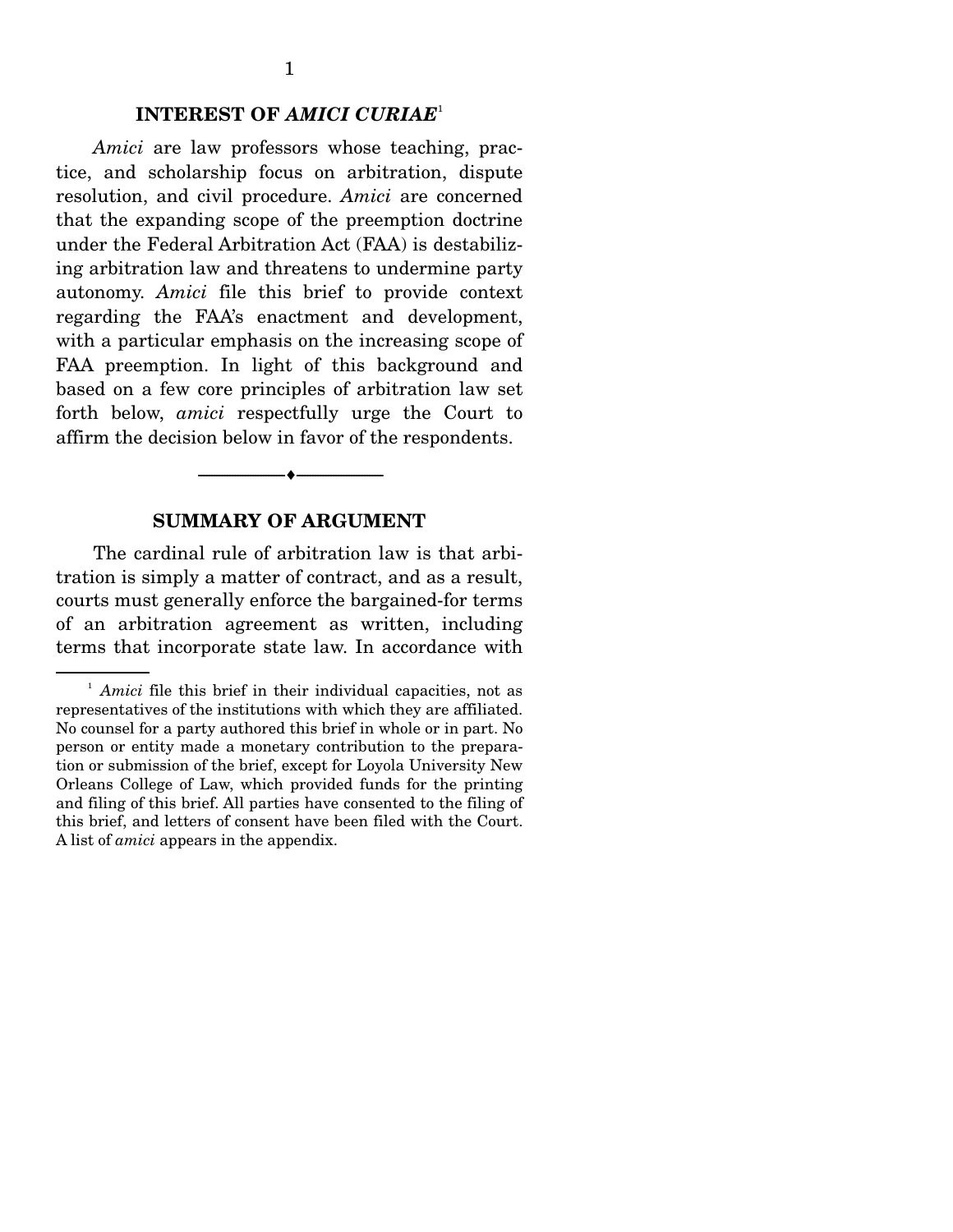#### **INTEREST OF** *AMICI CURIAE*<sup>1</sup>

*Amici* are law professors whose teaching, practice, and scholarship focus on arbitration, dispute resolution, and civil procedure. *Amici* are concerned that the expanding scope of the preemption doctrine under the Federal Arbitration Act (FAA) is destabilizing arbitration law and threatens to undermine party autonomy. *Amici* file this brief to provide context regarding the FAA's enactment and development, with a particular emphasis on the increasing scope of FAA preemption. In light of this background and based on a few core principles of arbitration law set forth below, *amici* respectfully urge the Court to affirm the decision below in favor of the respondents.

#### **SUMMARY OF ARGUMENT**

--------------------------------- ---------------------------------

 The cardinal rule of arbitration law is that arbitration is simply a matter of contract, and as a result, courts must generally enforce the bargained-for terms of an arbitration agreement as written, including terms that incorporate state law. In accordance with

<sup>&</sup>lt;sup>1</sup> *Amici* file this brief in their individual capacities, not as representatives of the institutions with which they are affiliated. No counsel for a party authored this brief in whole or in part. No person or entity made a monetary contribution to the preparation or submission of the brief, except for Loyola University New Orleans College of Law, which provided funds for the printing and filing of this brief. All parties have consented to the filing of this brief, and letters of consent have been filed with the Court. A list of *amici* appears in the appendix.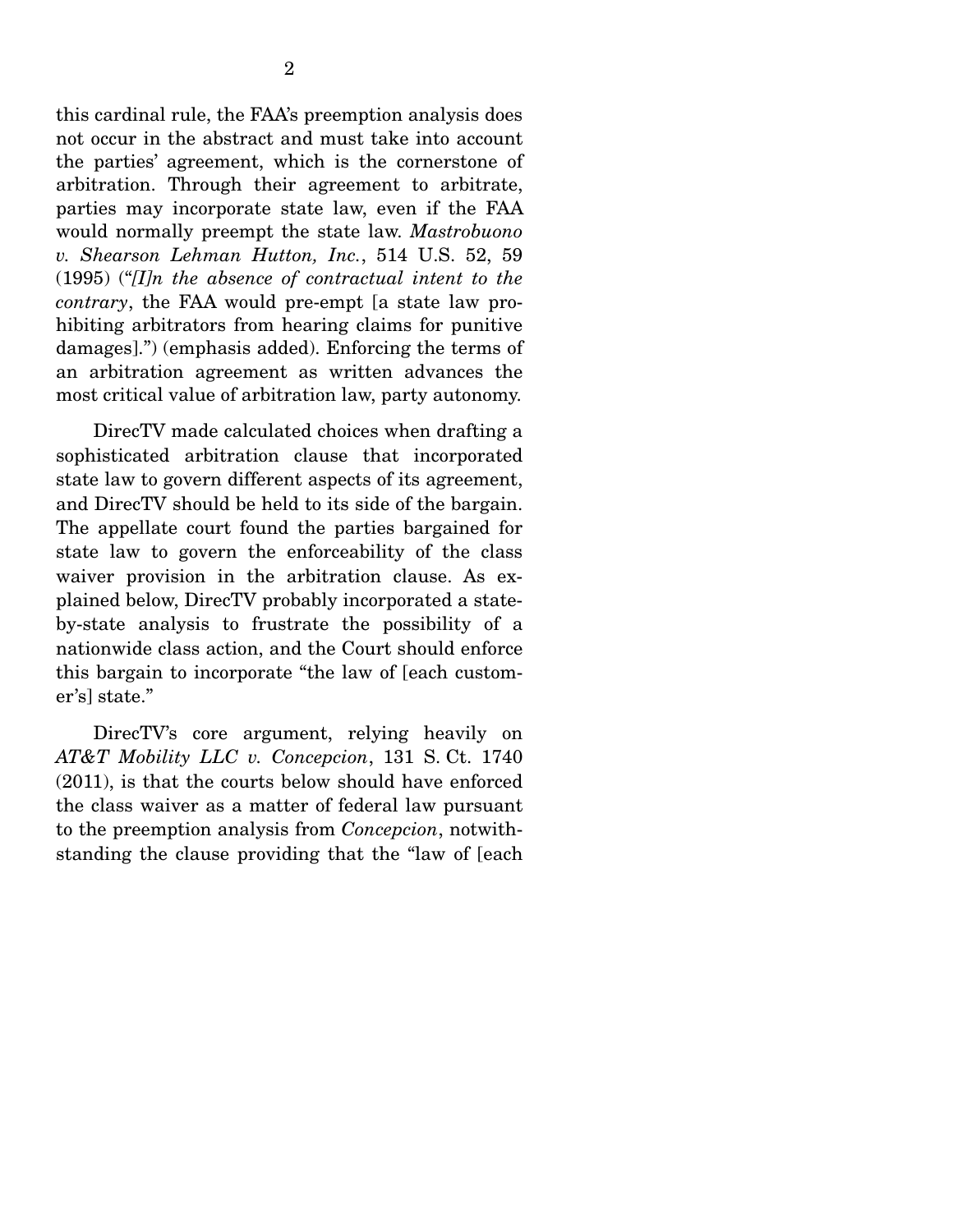this cardinal rule, the FAA's preemption analysis does not occur in the abstract and must take into account the parties' agreement, which is the cornerstone of arbitration. Through their agreement to arbitrate, parties may incorporate state law, even if the FAA would normally preempt the state law. *Mastrobuono v. Shearson Lehman Hutton, Inc.*, 514 U.S. 52, 59 (1995) ("*[I]n the absence of contractual intent to the contrary*, the FAA would pre-empt [a state law prohibiting arbitrators from hearing claims for punitive damages].") (emphasis added). Enforcing the terms of an arbitration agreement as written advances the most critical value of arbitration law, party autonomy.

 DirecTV made calculated choices when drafting a sophisticated arbitration clause that incorporated state law to govern different aspects of its agreement, and DirecTV should be held to its side of the bargain. The appellate court found the parties bargained for state law to govern the enforceability of the class waiver provision in the arbitration clause. As explained below, DirecTV probably incorporated a stateby-state analysis to frustrate the possibility of a nationwide class action, and the Court should enforce this bargain to incorporate "the law of [each customer's] state."

DirecTV's core argument, relying heavily on *AT&T Mobility LLC v. Concepcion*, 131 S. Ct. 1740 (2011), is that the courts below should have enforced the class waiver as a matter of federal law pursuant to the preemption analysis from *Concepcion*, notwithstanding the clause providing that the "law of [each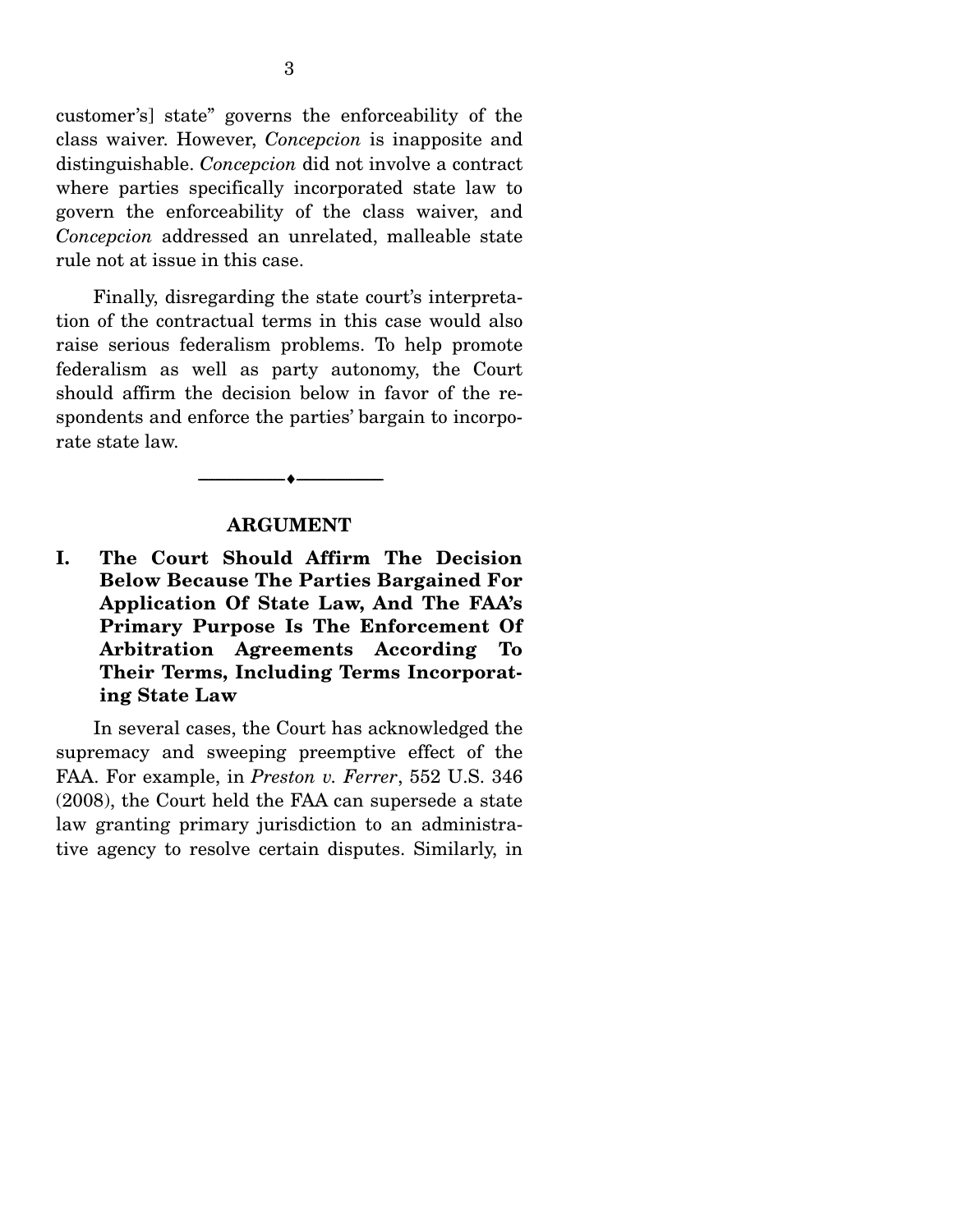customer's] state" governs the enforceability of the class waiver. However, *Concepcion* is inapposite and distinguishable. *Concepcion* did not involve a contract where parties specifically incorporated state law to govern the enforceability of the class waiver, and *Concepcion* addressed an unrelated, malleable state rule not at issue in this case.

 Finally, disregarding the state court's interpretation of the contractual terms in this case would also raise serious federalism problems. To help promote federalism as well as party autonomy, the Court should affirm the decision below in favor of the respondents and enforce the parties' bargain to incorporate state law.

#### **ARGUMENT**

--------------------------------- ---------------------------------

**I. The Court Should Affirm The Decision Below Because The Parties Bargained For Application Of State Law, And The FAA's Primary Purpose Is The Enforcement Of Arbitration Agreements According To Their Terms, Including Terms Incorporating State Law** 

 In several cases, the Court has acknowledged the supremacy and sweeping preemptive effect of the FAA. For example, in *Preston v. Ferrer*, 552 U.S. 346 (2008), the Court held the FAA can supersede a state law granting primary jurisdiction to an administrative agency to resolve certain disputes. Similarly, in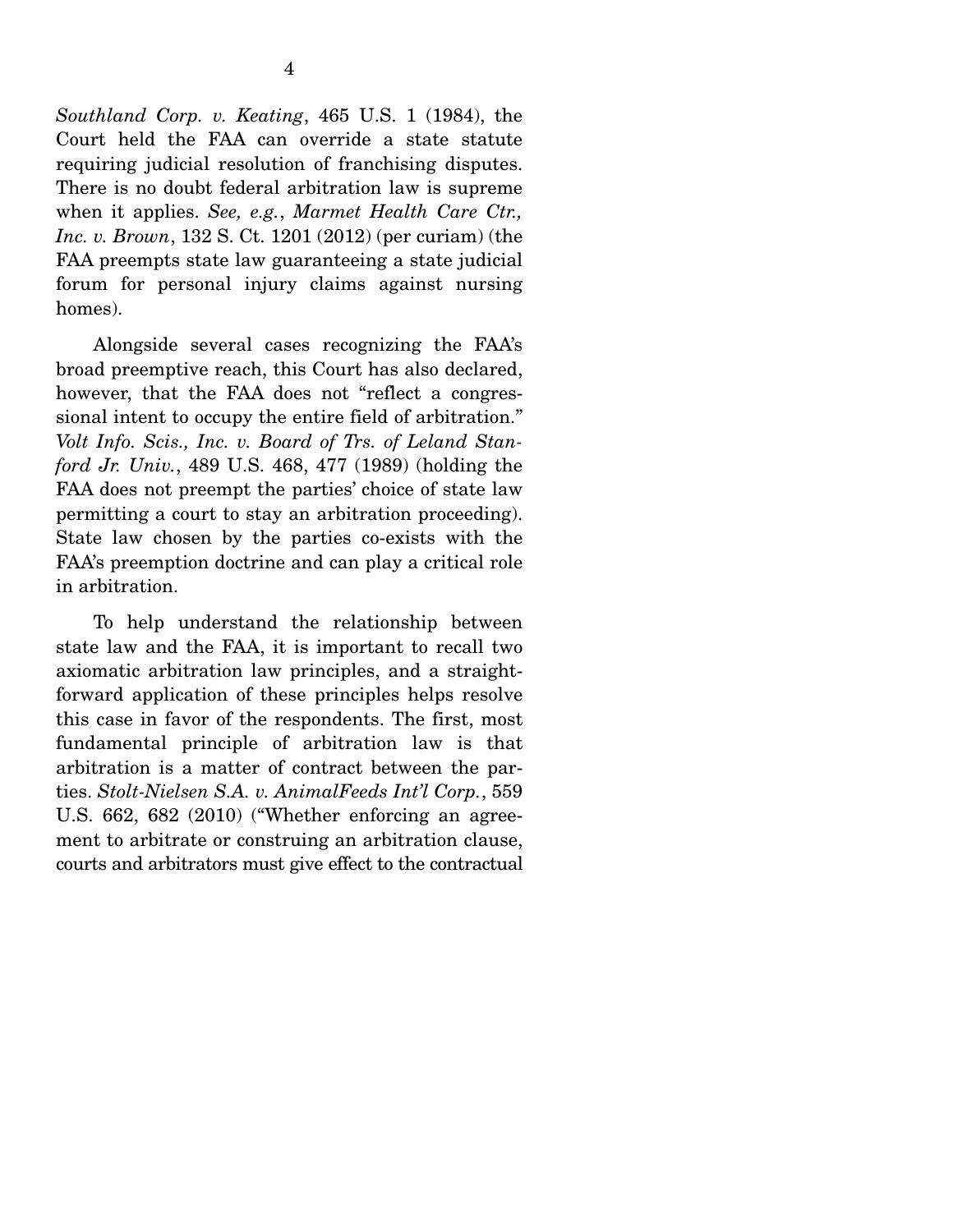*Southland Corp. v. Keating*, 465 U.S. 1 (1984), the Court held the FAA can override a state statute requiring judicial resolution of franchising disputes. There is no doubt federal arbitration law is supreme when it applies. *See, e.g.*, *Marmet Health Care Ctr., Inc. v. Brown*, 132 S. Ct. 1201 (2012) (per curiam) (the FAA preempts state law guaranteeing a state judicial forum for personal injury claims against nursing homes).

 Alongside several cases recognizing the FAA's broad preemptive reach, this Court has also declared, however, that the FAA does not "reflect a congressional intent to occupy the entire field of arbitration." *Volt Info. Scis., Inc. v. Board of Trs. of Leland Stanford Jr. Univ.*, 489 U.S. 468, 477 (1989) (holding the FAA does not preempt the parties' choice of state law permitting a court to stay an arbitration proceeding). State law chosen by the parties co-exists with the FAA's preemption doctrine and can play a critical role in arbitration.

 To help understand the relationship between state law and the FAA, it is important to recall two axiomatic arbitration law principles, and a straightforward application of these principles helps resolve this case in favor of the respondents. The first, most fundamental principle of arbitration law is that arbitration is a matter of contract between the parties. *Stolt-Nielsen S.A. v. AnimalFeeds Int'l Corp.*, 559 U.S. 662, 682 (2010) ("Whether enforcing an agreement to arbitrate or construing an arbitration clause, courts and arbitrators must give effect to the contractual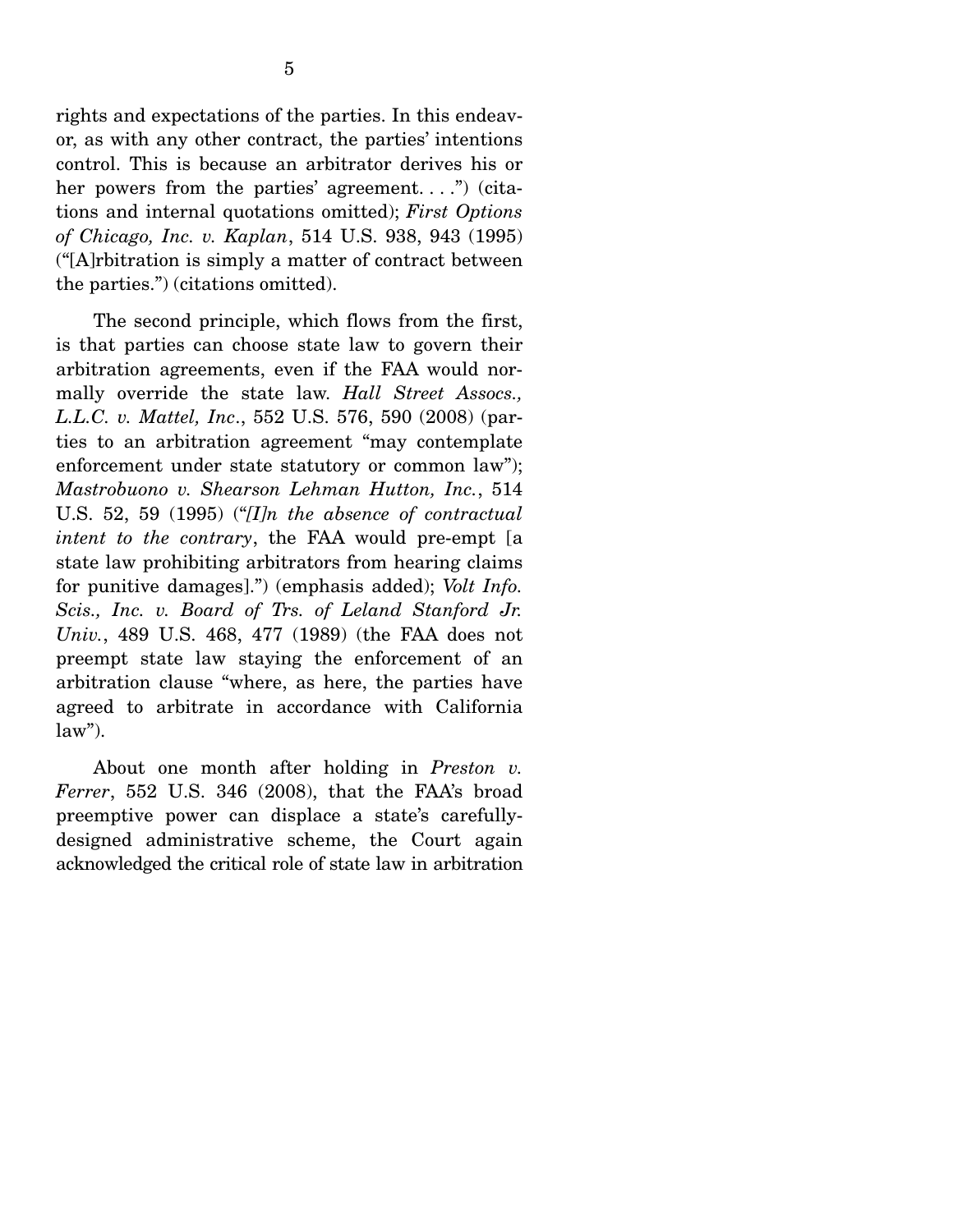rights and expectations of the parties. In this endeavor, as with any other contract, the parties' intentions control. This is because an arbitrator derives his or her powers from the parties' agreement....") (citations and internal quotations omitted); *First Options of Chicago, Inc. v. Kaplan*, 514 U.S. 938, 943 (1995) ("[A]rbitration is simply a matter of contract between the parties.") (citations omitted).

 The second principle, which flows from the first, is that parties can choose state law to govern their arbitration agreements, even if the FAA would normally override the state law. *Hall Street Assocs., L.L.C. v. Mattel, Inc*., 552 U.S. 576, 590 (2008) (parties to an arbitration agreement "may contemplate enforcement under state statutory or common law"); *Mastrobuono v. Shearson Lehman Hutton, Inc.*, 514 U.S. 52, 59 (1995) ("*[I]n the absence of contractual intent to the contrary*, the FAA would pre-empt [a state law prohibiting arbitrators from hearing claims for punitive damages].") (emphasis added); *Volt Info. Scis., Inc. v. Board of Trs. of Leland Stanford Jr. Univ.*, 489 U.S. 468, 477 (1989) (the FAA does not preempt state law staying the enforcement of an arbitration clause "where, as here, the parties have agreed to arbitrate in accordance with California  $law$ ").

 About one month after holding in *Preston v. Ferrer*, 552 U.S. 346 (2008), that the FAA's broad preemptive power can displace a state's carefullydesigned administrative scheme, the Court again acknowledged the critical role of state law in arbitration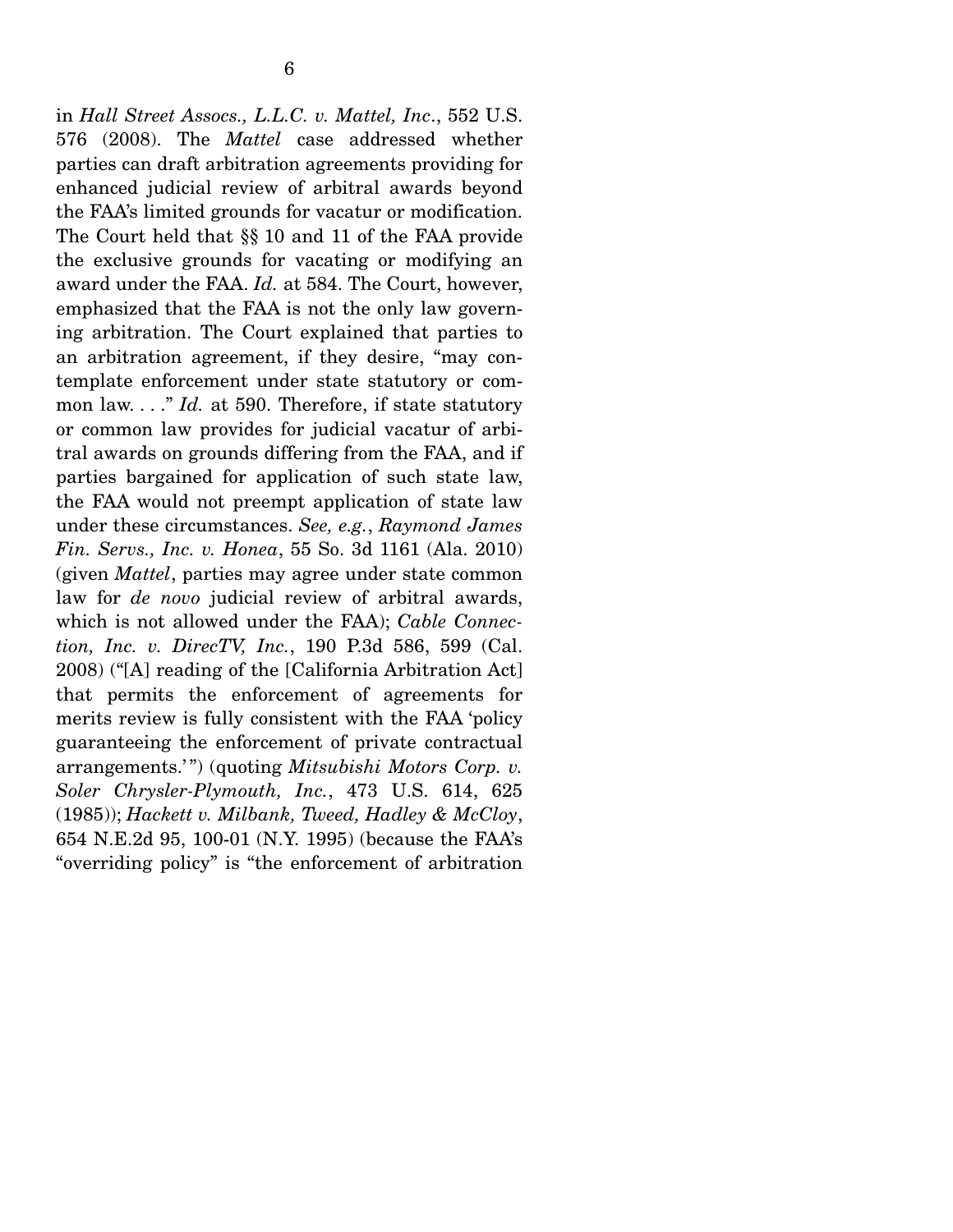in *Hall Street Assocs., L.L.C. v. Mattel, Inc*., 552 U.S. 576 (2008). The *Mattel* case addressed whether parties can draft arbitration agreements providing for enhanced judicial review of arbitral awards beyond the FAA's limited grounds for vacatur or modification. The Court held that §§ 10 and 11 of the FAA provide the exclusive grounds for vacating or modifying an award under the FAA. *Id.* at 584. The Court, however, emphasized that the FAA is not the only law governing arbitration. The Court explained that parties to an arbitration agreement, if they desire, "may contemplate enforcement under state statutory or common law. . . ." *Id.* at 590. Therefore, if state statutory or common law provides for judicial vacatur of arbitral awards on grounds differing from the FAA, and if parties bargained for application of such state law, the FAA would not preempt application of state law under these circumstances. *See, e.g.*, *Raymond James Fin. Servs., Inc. v. Honea*, 55 So. 3d 1161 (Ala. 2010) (given *Mattel*, parties may agree under state common law for *de novo* judicial review of arbitral awards, which is not allowed under the FAA); *Cable Connection, Inc. v. DirecTV, Inc.*, 190 P.3d 586, 599 (Cal. 2008) ("[A] reading of the [California Arbitration Act] that permits the enforcement of agreements for merits review is fully consistent with the FAA 'policy guaranteeing the enforcement of private contractual arrangements.'") (quoting *Mitsubishi Motors Corp. v. Soler Chrysler-Plymouth, Inc.*, 473 U.S. 614, 625 (1985)); *Hackett v. Milbank, Tweed, Hadley & McCloy*, 654 N.E.2d 95, 100-01 (N.Y. 1995) (because the FAA's "overriding policy" is "the enforcement of arbitration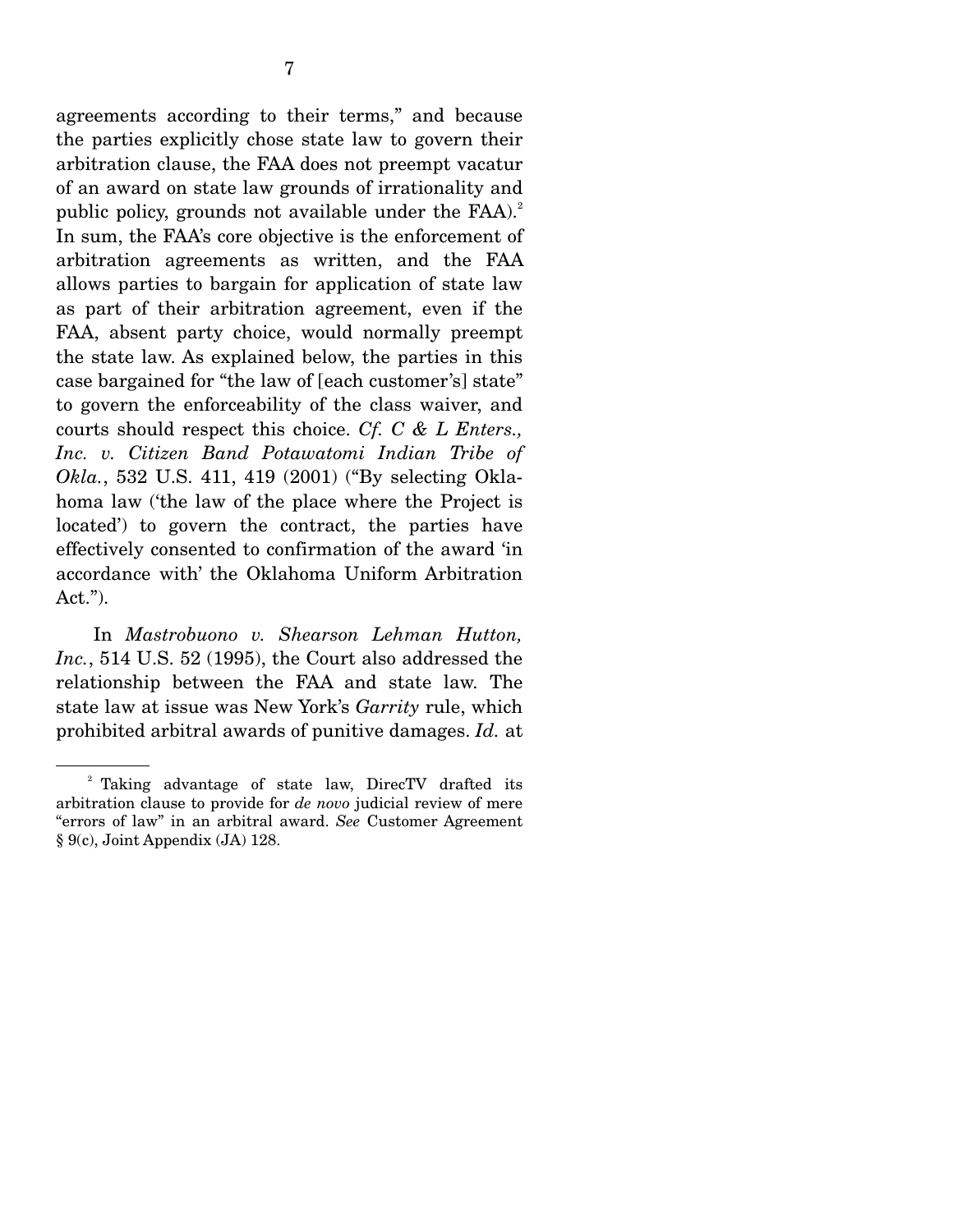agreements according to their terms," and because the parties explicitly chose state law to govern their arbitration clause, the FAA does not preempt vacatur of an award on state law grounds of irrationality and public policy, grounds not available under the  $FAA$ ).<sup>2</sup> In sum, the FAA's core objective is the enforcement of arbitration agreements as written, and the FAA allows parties to bargain for application of state law as part of their arbitration agreement, even if the FAA, absent party choice, would normally preempt the state law. As explained below, the parties in this case bargained for "the law of [each customer's] state" to govern the enforceability of the class waiver, and courts should respect this choice. *Cf. C & L Enters., Inc. v. Citizen Band Potawatomi Indian Tribe of Okla.*, 532 U.S. 411, 419 (2001) ("By selecting Oklahoma law ('the law of the place where the Project is located') to govern the contract, the parties have effectively consented to confirmation of the award 'in accordance with' the Oklahoma Uniform Arbitration Act.").

 In *Mastrobuono v. Shearson Lehman Hutton, Inc.*, 514 U.S. 52 (1995), the Court also addressed the relationship between the FAA and state law. The state law at issue was New York's *Garrity* rule, which prohibited arbitral awards of punitive damages. *Id.* at

<sup>&</sup>lt;sup>2</sup> Taking advantage of state law, DirecTV drafted its arbitration clause to provide for *de novo* judicial review of mere "errors of law" in an arbitral award. *See* Customer Agreement § 9(c), Joint Appendix (JA) 128.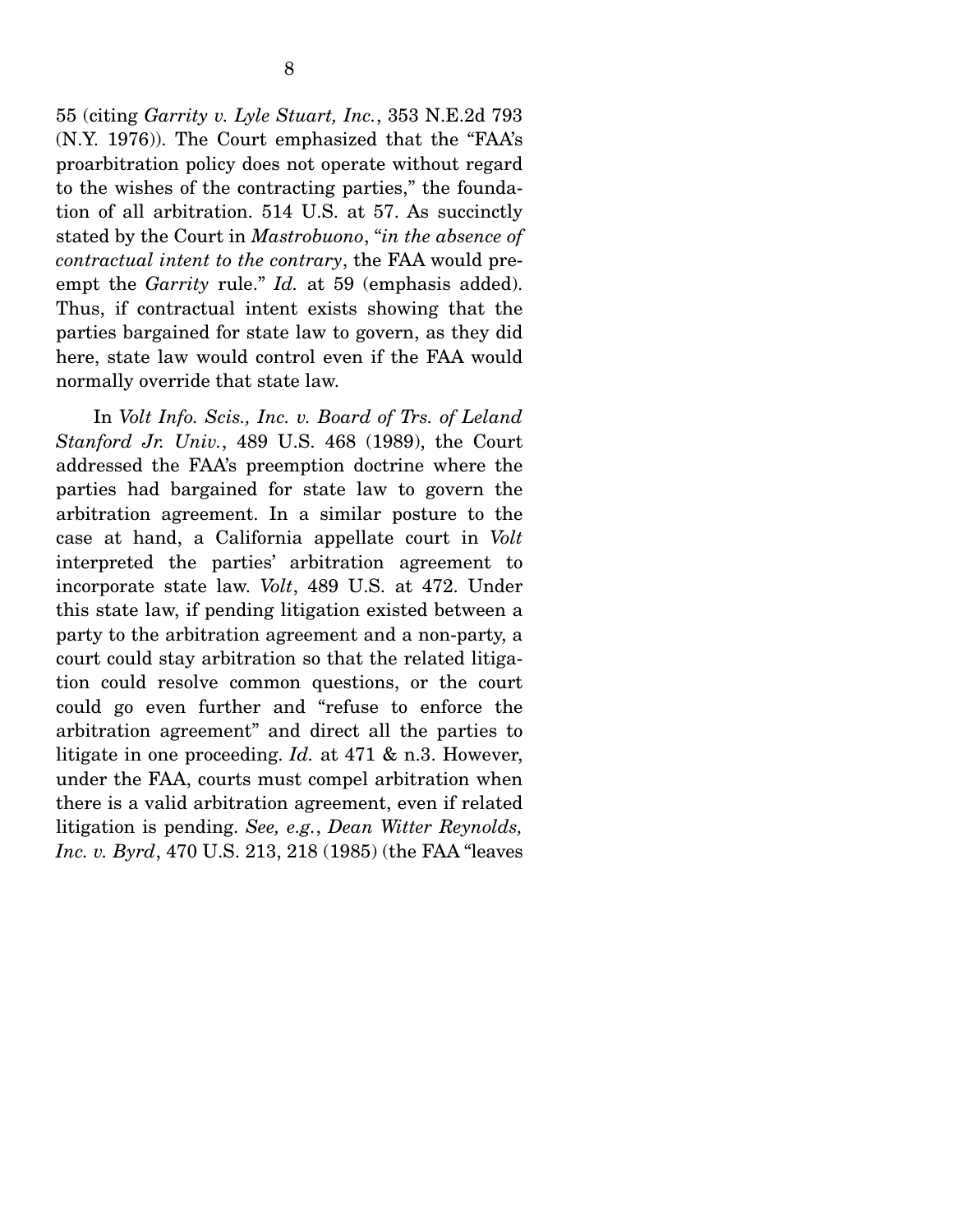55 (citing *Garrity v. Lyle Stuart, Inc.*, 353 N.E.2d 793 (N.Y. 1976)). The Court emphasized that the "FAA's proarbitration policy does not operate without regard to the wishes of the contracting parties," the foundation of all arbitration. 514 U.S. at 57. As succinctly stated by the Court in *Mastrobuono*, "*in the absence of contractual intent to the contrary*, the FAA would preempt the *Garrity* rule." *Id.* at 59 (emphasis added). Thus, if contractual intent exists showing that the parties bargained for state law to govern, as they did here, state law would control even if the FAA would normally override that state law.

 In *Volt Info. Scis., Inc. v. Board of Trs. of Leland Stanford Jr. Univ.*, 489 U.S. 468 (1989), the Court addressed the FAA's preemption doctrine where the parties had bargained for state law to govern the arbitration agreement. In a similar posture to the case at hand, a California appellate court in *Volt* interpreted the parties' arbitration agreement to incorporate state law. *Volt*, 489 U.S. at 472. Under this state law, if pending litigation existed between a party to the arbitration agreement and a non-party, a court could stay arbitration so that the related litigation could resolve common questions, or the court could go even further and "refuse to enforce the arbitration agreement" and direct all the parties to litigate in one proceeding. *Id.* at 471 & n.3. However, under the FAA, courts must compel arbitration when there is a valid arbitration agreement, even if related litigation is pending. *See, e.g.*, *Dean Witter Reynolds, Inc. v. Byrd*, 470 U.S. 213, 218 (1985) (the FAA "leaves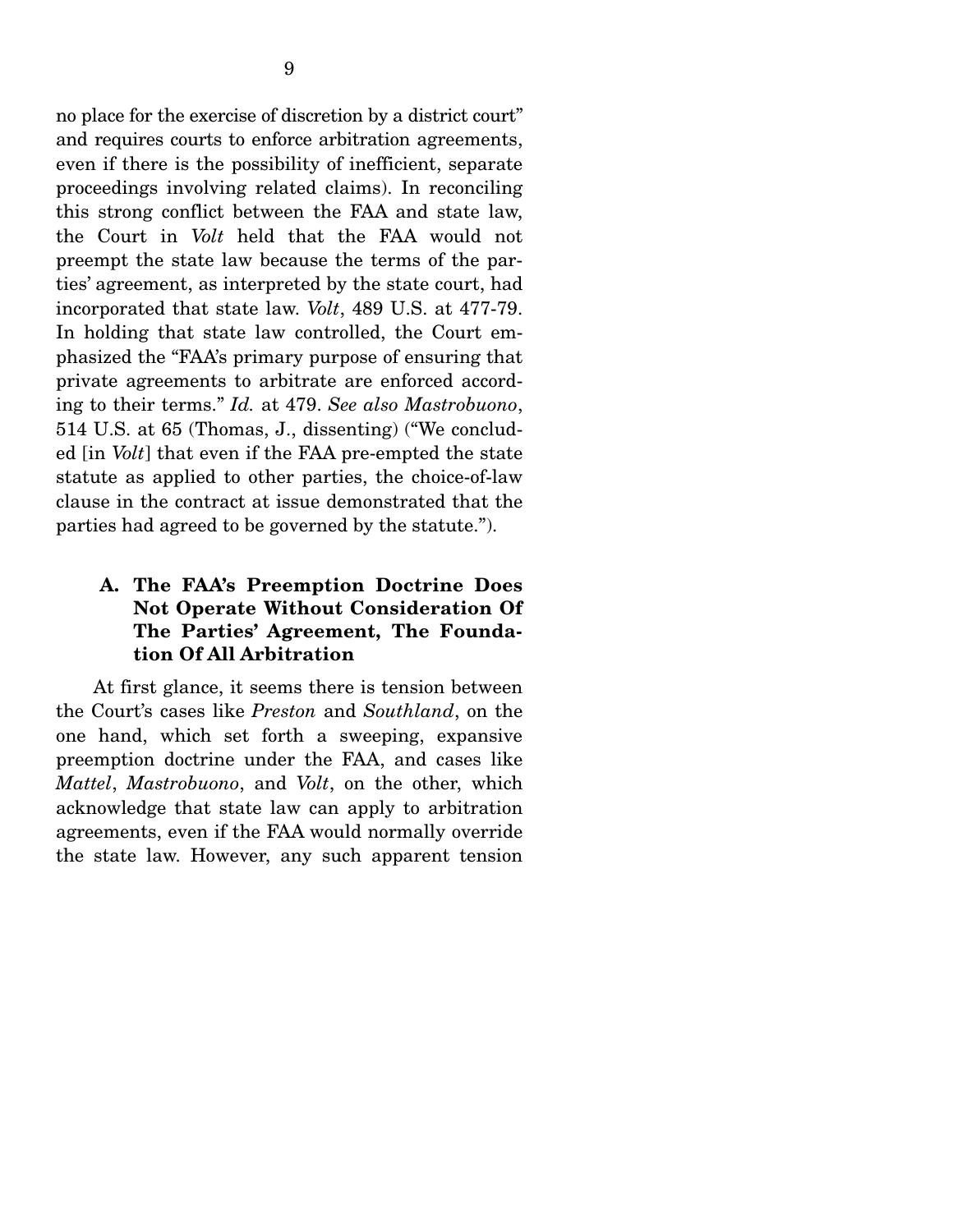no place for the exercise of discretion by a district court" and requires courts to enforce arbitration agreements, even if there is the possibility of inefficient, separate proceedings involving related claims). In reconciling this strong conflict between the FAA and state law, the Court in *Volt* held that the FAA would not preempt the state law because the terms of the parties' agreement, as interpreted by the state court, had incorporated that state law. *Volt*, 489 U.S. at 477-79. In holding that state law controlled, the Court emphasized the "FAA's primary purpose of ensuring that private agreements to arbitrate are enforced according to their terms." *Id.* at 479. *See also Mastrobuono*, 514 U.S. at 65 (Thomas, J., dissenting) ("We concluded [in *Volt*] that even if the FAA pre-empted the state statute as applied to other parties, the choice-of-law clause in the contract at issue demonstrated that the parties had agreed to be governed by the statute.").

## **A. The FAA's Preemption Doctrine Does Not Operate Without Consideration Of The Parties' Agreement, The Foundation Of All Arbitration**

 At first glance, it seems there is tension between the Court's cases like *Preston* and *Southland*, on the one hand, which set forth a sweeping, expansive preemption doctrine under the FAA, and cases like *Mattel*, *Mastrobuono*, and *Volt*, on the other, which acknowledge that state law can apply to arbitration agreements, even if the FAA would normally override the state law. However, any such apparent tension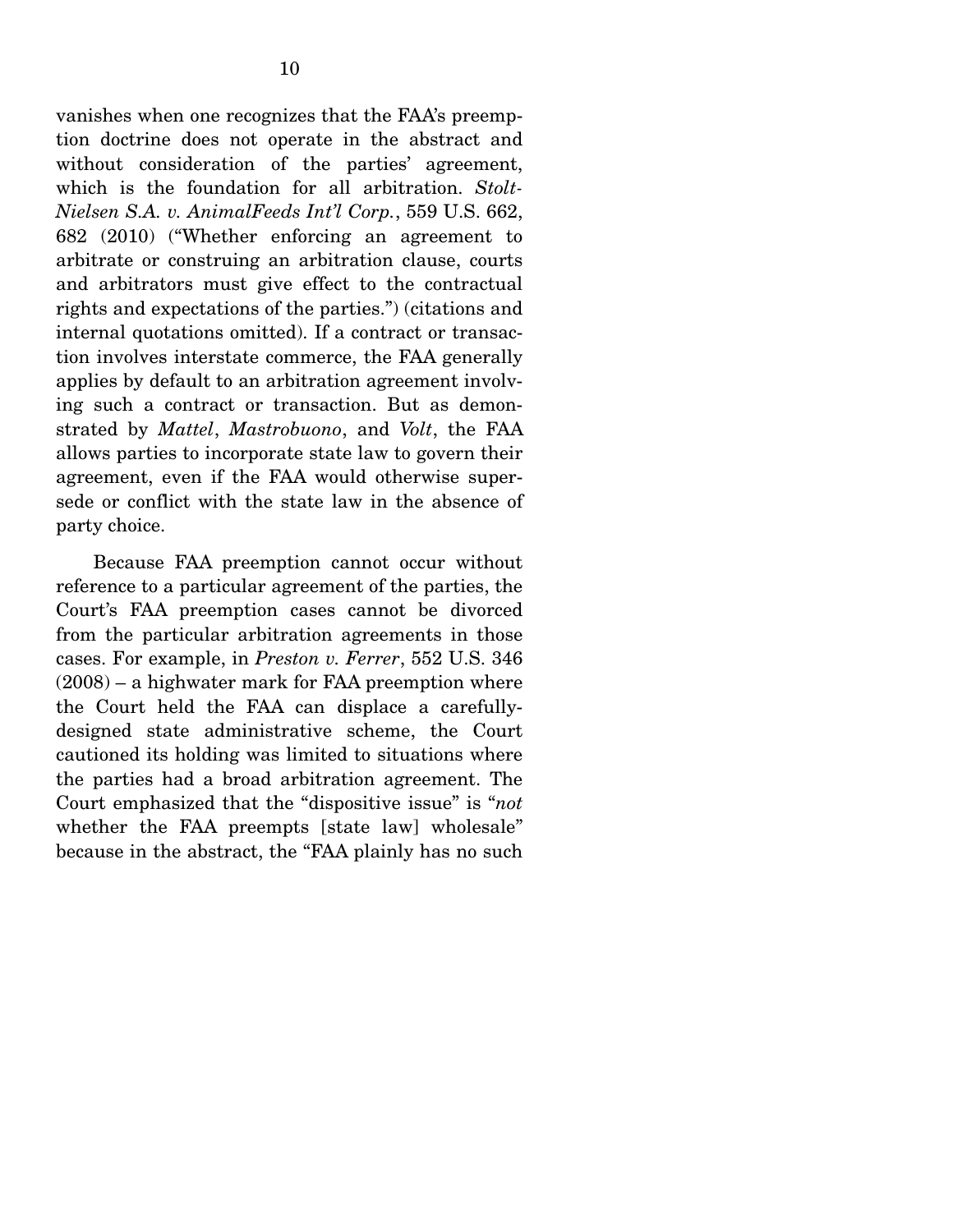vanishes when one recognizes that the FAA's preemption doctrine does not operate in the abstract and without consideration of the parties' agreement, which is the foundation for all arbitration. *Stolt-Nielsen S.A. v. AnimalFeeds Int'l Corp.*, 559 U.S. 662, 682 (2010) ("Whether enforcing an agreement to arbitrate or construing an arbitration clause, courts and arbitrators must give effect to the contractual rights and expectations of the parties.") (citations and internal quotations omitted). If a contract or transaction involves interstate commerce, the FAA generally applies by default to an arbitration agreement involving such a contract or transaction. But as demonstrated by *Mattel*, *Mastrobuono*, and *Volt*, the FAA allows parties to incorporate state law to govern their agreement, even if the FAA would otherwise supersede or conflict with the state law in the absence of party choice.

 Because FAA preemption cannot occur without reference to a particular agreement of the parties, the Court's FAA preemption cases cannot be divorced from the particular arbitration agreements in those cases. For example, in *Preston v. Ferrer*, 552 U.S. 346 (2008) – a highwater mark for FAA preemption where the Court held the FAA can displace a carefullydesigned state administrative scheme, the Court cautioned its holding was limited to situations where the parties had a broad arbitration agreement. The Court emphasized that the "dispositive issue" is "*not*  whether the FAA preempts [state law] wholesale" because in the abstract, the "FAA plainly has no such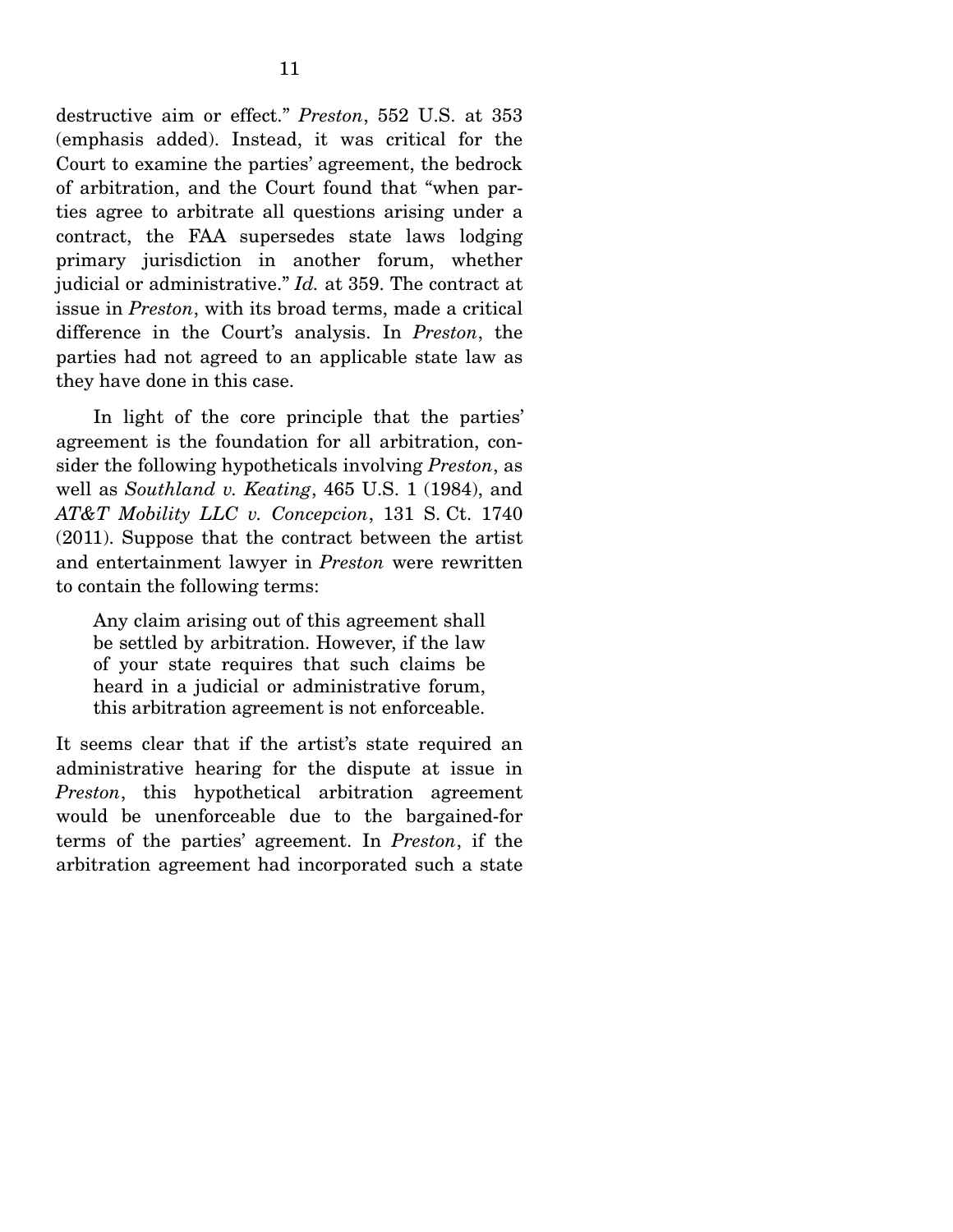destructive aim or effect." *Preston*, 552 U.S. at 353 (emphasis added). Instead, it was critical for the Court to examine the parties' agreement, the bedrock of arbitration, and the Court found that "when parties agree to arbitrate all questions arising under a contract, the FAA supersedes state laws lodging primary jurisdiction in another forum, whether judicial or administrative." *Id.* at 359. The contract at issue in *Preston*, with its broad terms, made a critical difference in the Court's analysis. In *Preston*, the parties had not agreed to an applicable state law as they have done in this case.

 In light of the core principle that the parties' agreement is the foundation for all arbitration, consider the following hypotheticals involving *Preston*, as well as *Southland v. Keating*, 465 U.S. 1 (1984), and *AT&T Mobility LLC v. Concepcion*, 131 S. Ct. 1740 (2011). Suppose that the contract between the artist and entertainment lawyer in *Preston* were rewritten to contain the following terms:

Any claim arising out of this agreement shall be settled by arbitration. However, if the law of your state requires that such claims be heard in a judicial or administrative forum, this arbitration agreement is not enforceable.

It seems clear that if the artist's state required an administrative hearing for the dispute at issue in *Preston*, this hypothetical arbitration agreement would be unenforceable due to the bargained-for terms of the parties' agreement. In *Preston*, if the arbitration agreement had incorporated such a state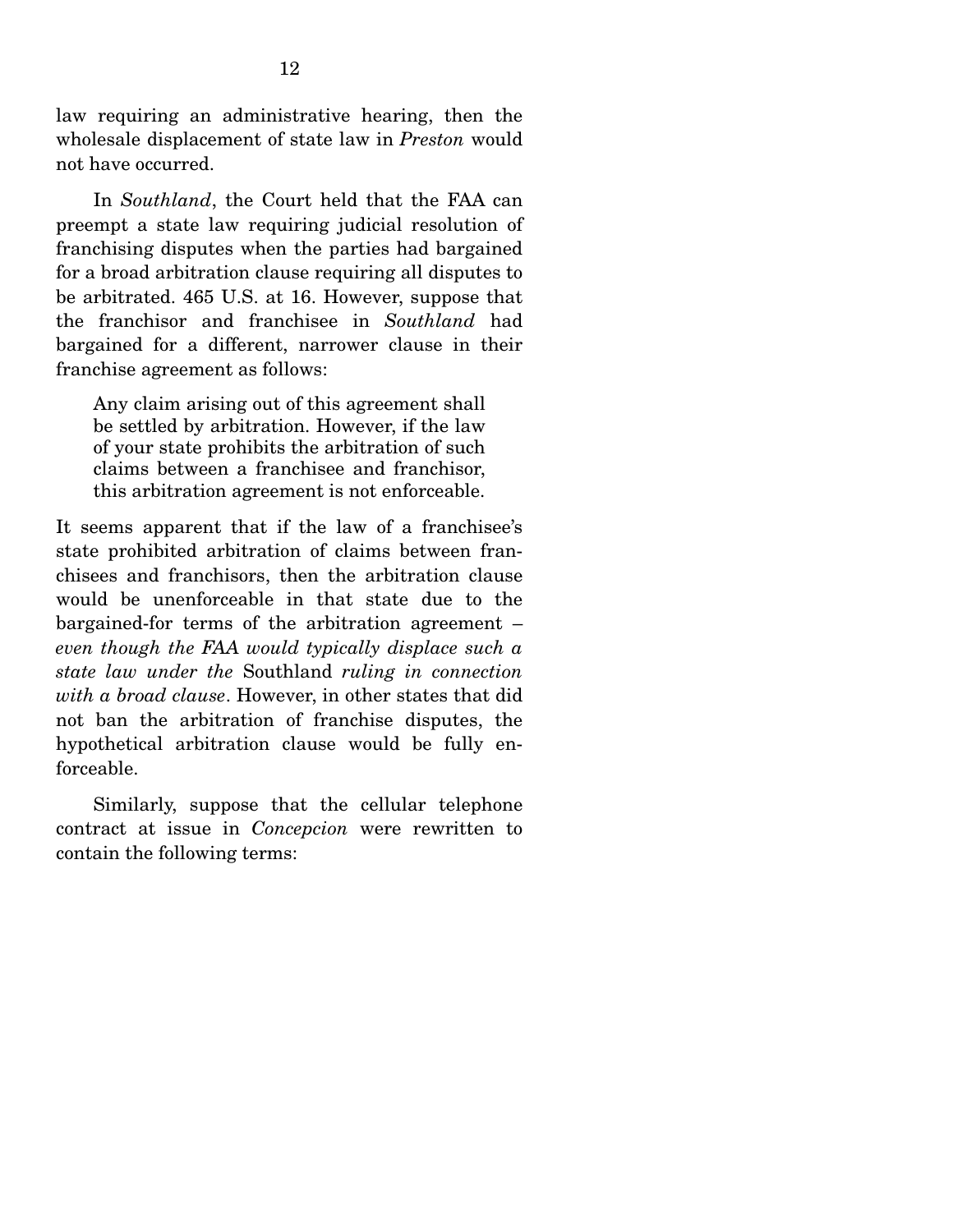law requiring an administrative hearing, then the wholesale displacement of state law in *Preston* would not have occurred.

 In *Southland*, the Court held that the FAA can preempt a state law requiring judicial resolution of franchising disputes when the parties had bargained for a broad arbitration clause requiring all disputes to be arbitrated. 465 U.S. at 16. However, suppose that the franchisor and franchisee in *Southland* had bargained for a different, narrower clause in their franchise agreement as follows:

Any claim arising out of this agreement shall be settled by arbitration. However, if the law of your state prohibits the arbitration of such claims between a franchisee and franchisor, this arbitration agreement is not enforceable.

It seems apparent that if the law of a franchisee's state prohibited arbitration of claims between franchisees and franchisors, then the arbitration clause would be unenforceable in that state due to the bargained-for terms of the arbitration agreement – *even though the FAA would typically displace such a state law under the* Southland *ruling in connection with a broad clause*. However, in other states that did not ban the arbitration of franchise disputes, the hypothetical arbitration clause would be fully enforceable.

 Similarly, suppose that the cellular telephone contract at issue in *Concepcion* were rewritten to contain the following terms: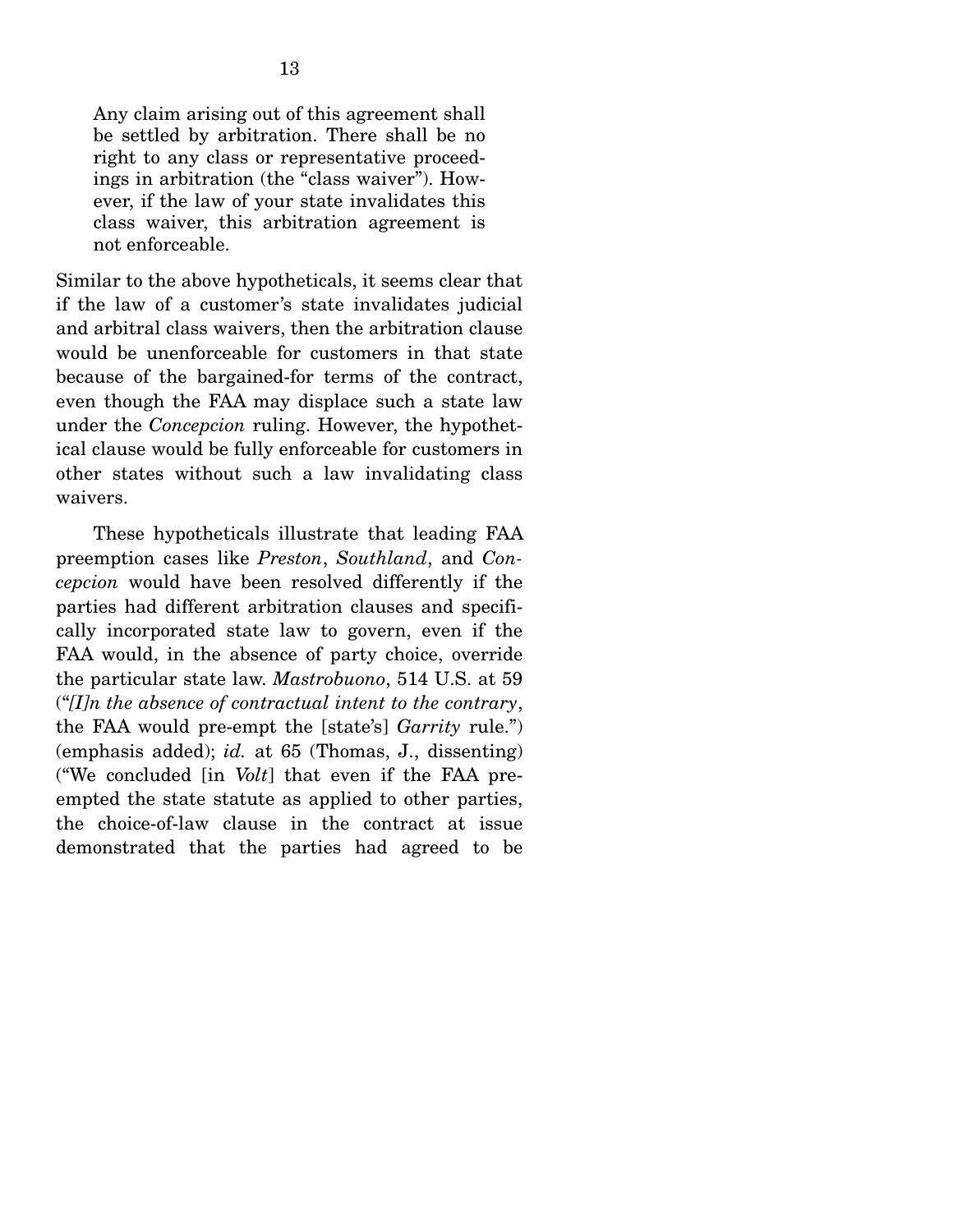Any claim arising out of this agreement shall be settled by arbitration. There shall be no right to any class or representative proceedings in arbitration (the "class waiver"). However, if the law of your state invalidates this class waiver, this arbitration agreement is not enforceable.

Similar to the above hypotheticals, it seems clear that if the law of a customer's state invalidates judicial and arbitral class waivers, then the arbitration clause would be unenforceable for customers in that state because of the bargained-for terms of the contract, even though the FAA may displace such a state law under the *Concepcion* ruling. However, the hypothetical clause would be fully enforceable for customers in other states without such a law invalidating class waivers.

 These hypotheticals illustrate that leading FAA preemption cases like *Preston*, *Southland*, and *Concepcion* would have been resolved differently if the parties had different arbitration clauses and specifically incorporated state law to govern, even if the FAA would, in the absence of party choice, override the particular state law. *Mastrobuono*, 514 U.S. at 59 ("*[I]n the absence of contractual intent to the contrary*, the FAA would pre-empt the [state's] *Garrity* rule.") (emphasis added); *id.* at 65 (Thomas, J., dissenting) ("We concluded [in *Volt*] that even if the FAA preempted the state statute as applied to other parties, the choice-of-law clause in the contract at issue demonstrated that the parties had agreed to be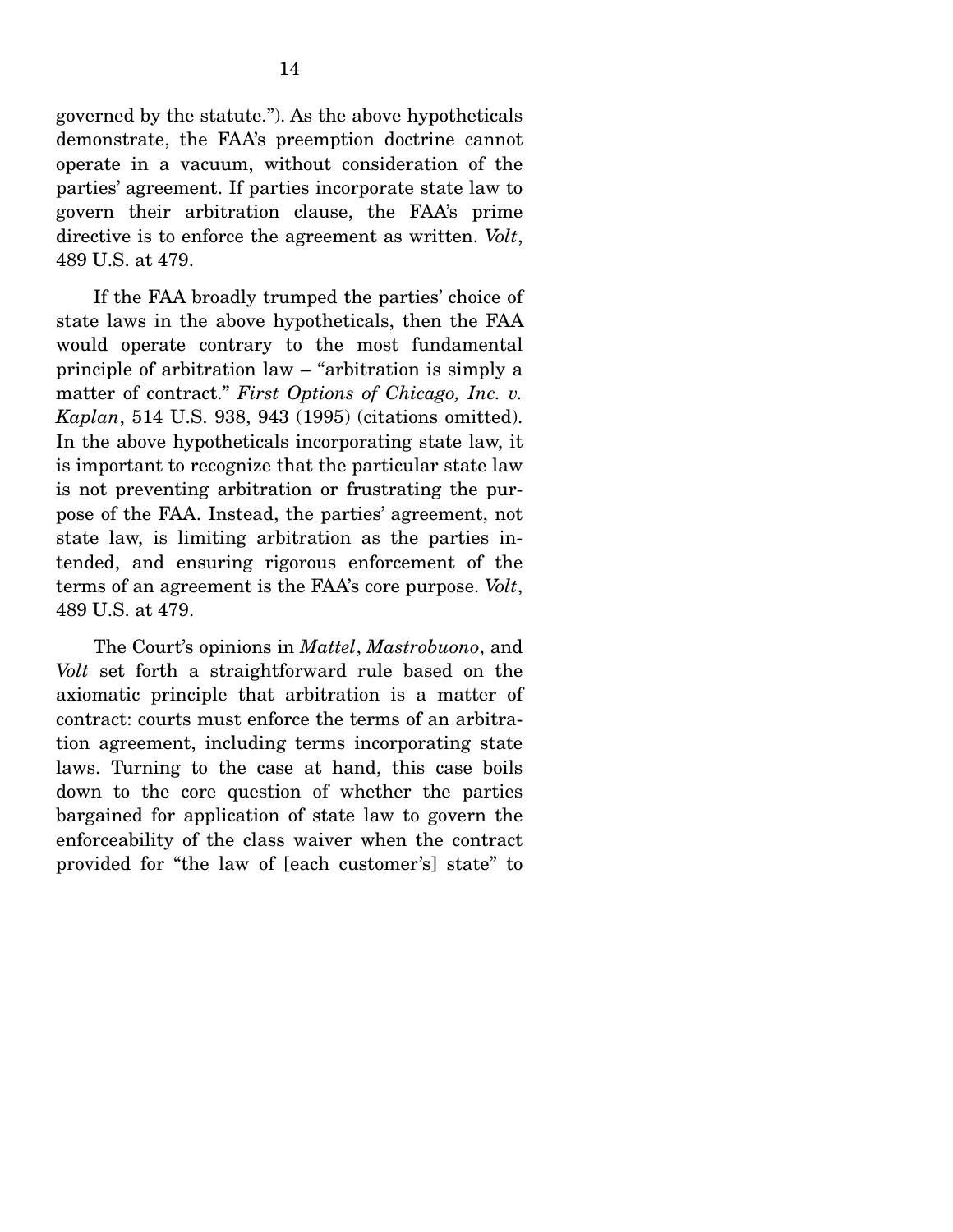governed by the statute."). As the above hypotheticals demonstrate, the FAA's preemption doctrine cannot operate in a vacuum, without consideration of the parties' agreement. If parties incorporate state law to govern their arbitration clause, the FAA's prime directive is to enforce the agreement as written. *Volt*, 489 U.S. at 479.

 If the FAA broadly trumped the parties' choice of state laws in the above hypotheticals, then the FAA would operate contrary to the most fundamental principle of arbitration law – "arbitration is simply a matter of contract." *First Options of Chicago, Inc. v. Kaplan*, 514 U.S. 938, 943 (1995) (citations omitted). In the above hypotheticals incorporating state law, it is important to recognize that the particular state law is not preventing arbitration or frustrating the purpose of the FAA. Instead, the parties' agreement, not state law, is limiting arbitration as the parties intended, and ensuring rigorous enforcement of the terms of an agreement is the FAA's core purpose. *Volt*, 489 U.S. at 479.

 The Court's opinions in *Mattel*, *Mastrobuono*, and *Volt* set forth a straightforward rule based on the axiomatic principle that arbitration is a matter of contract: courts must enforce the terms of an arbitration agreement, including terms incorporating state laws. Turning to the case at hand, this case boils down to the core question of whether the parties bargained for application of state law to govern the enforceability of the class waiver when the contract provided for "the law of [each customer's] state" to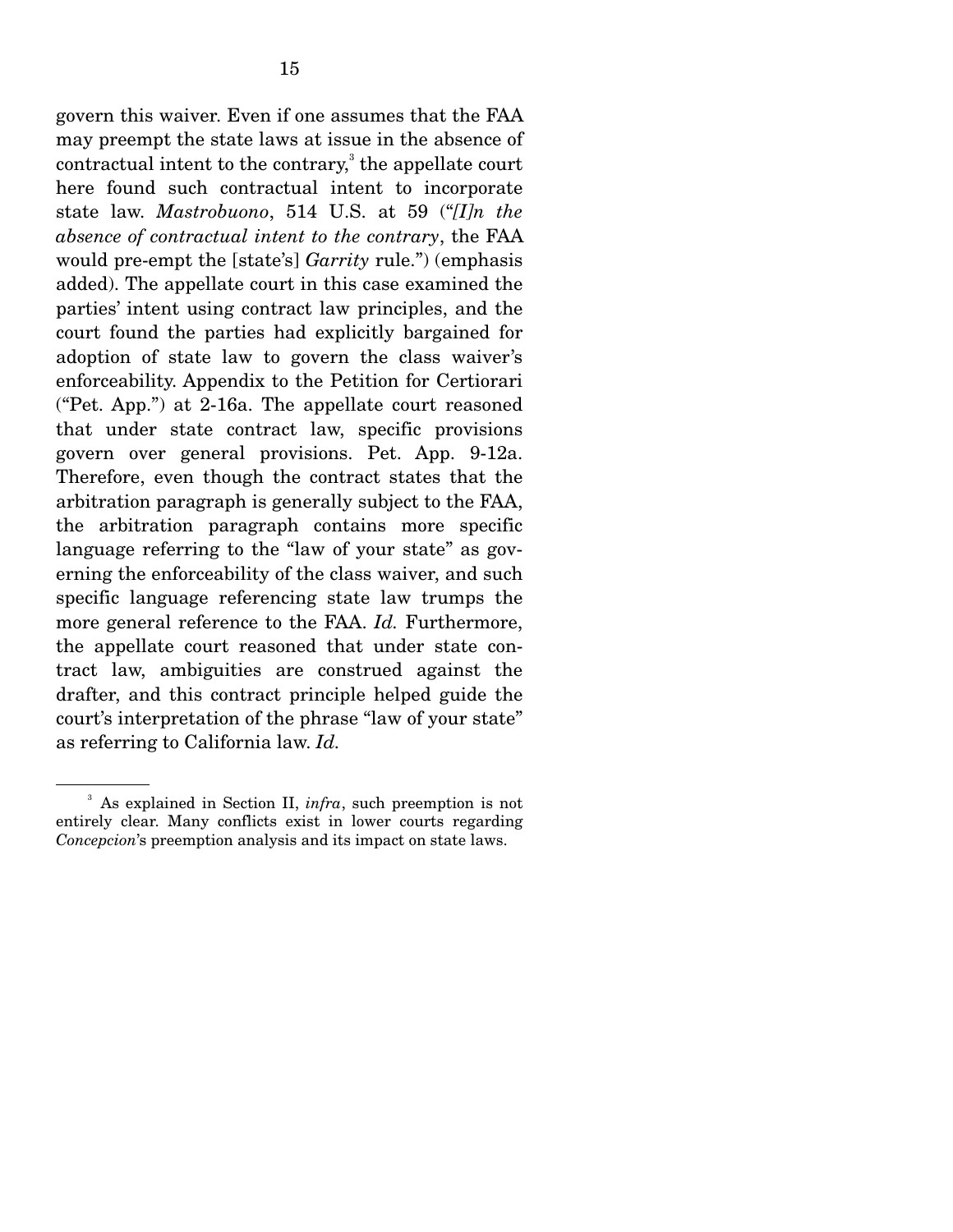govern this waiver. Even if one assumes that the FAA may preempt the state laws at issue in the absence of  $control$  intent to the contrary, $3$  the appellate court here found such contractual intent to incorporate state law. *Mastrobuono*, 514 U.S. at 59 ("*[I]n the absence of contractual intent to the contrary*, the FAA would pre-empt the [state's] *Garrity* rule.") (emphasis added). The appellate court in this case examined the parties' intent using contract law principles, and the court found the parties had explicitly bargained for adoption of state law to govern the class waiver's enforceability. Appendix to the Petition for Certiorari ("Pet. App.") at 2-16a. The appellate court reasoned that under state contract law, specific provisions govern over general provisions. Pet. App. 9-12a. Therefore, even though the contract states that the arbitration paragraph is generally subject to the FAA, the arbitration paragraph contains more specific language referring to the "law of your state" as governing the enforceability of the class waiver, and such specific language referencing state law trumps the more general reference to the FAA. *Id.* Furthermore, the appellate court reasoned that under state contract law, ambiguities are construed against the drafter, and this contract principle helped guide the court's interpretation of the phrase "law of your state" as referring to California law. *Id.* 

<sup>&</sup>lt;sup>3</sup> As explained in Section II, *infra*, such preemption is not entirely clear. Many conflicts exist in lower courts regarding *Concepcion*'s preemption analysis and its impact on state laws.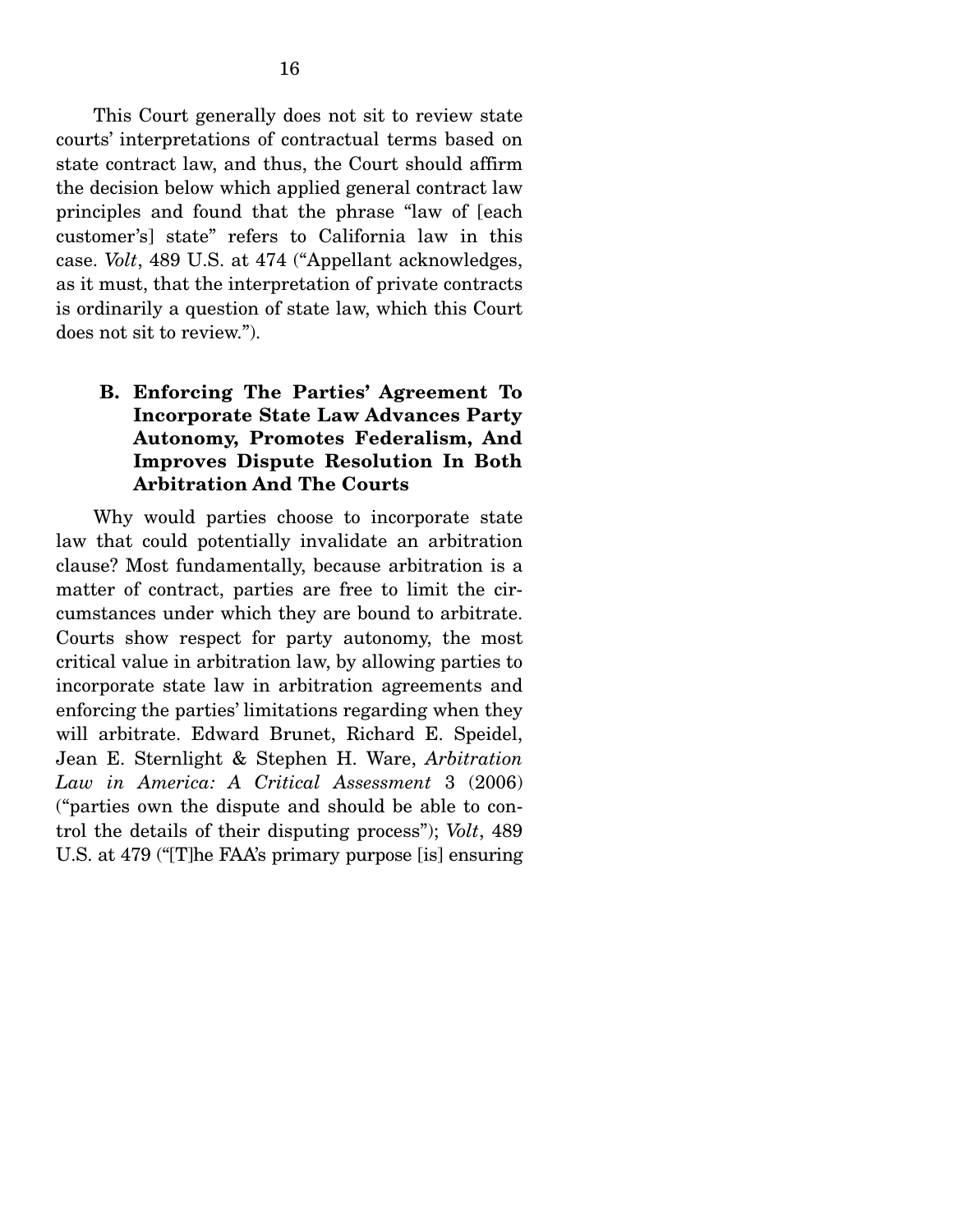This Court generally does not sit to review state courts' interpretations of contractual terms based on state contract law, and thus, the Court should affirm the decision below which applied general contract law principles and found that the phrase "law of [each customer's] state" refers to California law in this case. *Volt*, 489 U.S. at 474 ("Appellant acknowledges, as it must, that the interpretation of private contracts is ordinarily a question of state law, which this Court does not sit to review.").

## **B. Enforcing The Parties' Agreement To Incorporate State Law Advances Party Autonomy, Promotes Federalism, And Improves Dispute Resolution In Both Arbitration And The Courts**

 Why would parties choose to incorporate state law that could potentially invalidate an arbitration clause? Most fundamentally, because arbitration is a matter of contract, parties are free to limit the circumstances under which they are bound to arbitrate. Courts show respect for party autonomy, the most critical value in arbitration law, by allowing parties to incorporate state law in arbitration agreements and enforcing the parties' limitations regarding when they will arbitrate. Edward Brunet, Richard E. Speidel, Jean E. Sternlight & Stephen H. Ware, *Arbitration Law in America: A Critical Assessment* 3 (2006) ("parties own the dispute and should be able to control the details of their disputing process"); *Volt*, 489 U.S. at 479 ("[T]he FAA's primary purpose [is] ensuring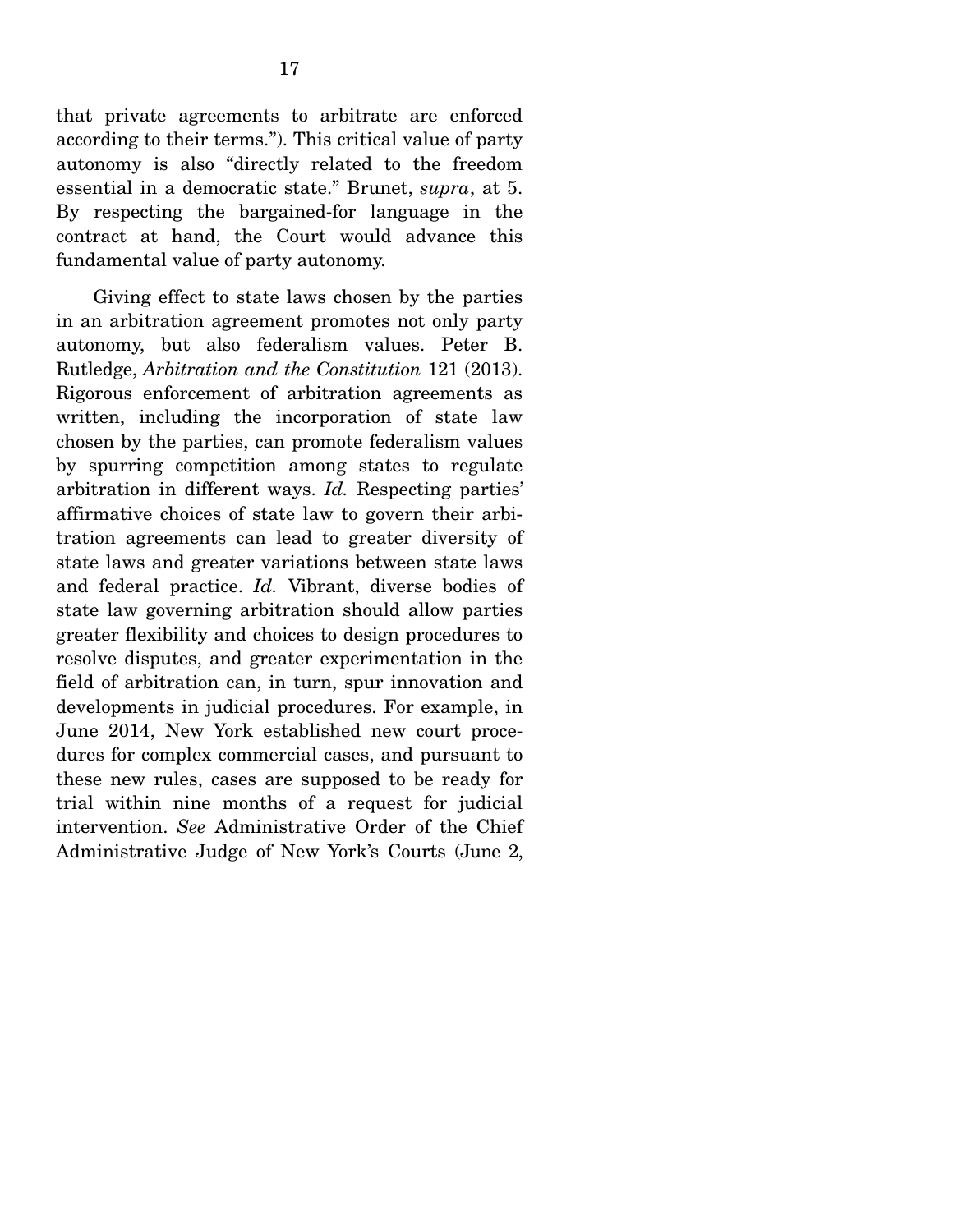that private agreements to arbitrate are enforced according to their terms."). This critical value of party autonomy is also "directly related to the freedom essential in a democratic state." Brunet, *supra*, at 5. By respecting the bargained-for language in the contract at hand, the Court would advance this fundamental value of party autonomy.

 Giving effect to state laws chosen by the parties in an arbitration agreement promotes not only party autonomy, but also federalism values. Peter B. Rutledge, *Arbitration and the Constitution* 121 (2013). Rigorous enforcement of arbitration agreements as written, including the incorporation of state law chosen by the parties, can promote federalism values by spurring competition among states to regulate arbitration in different ways. *Id.* Respecting parties' affirmative choices of state law to govern their arbitration agreements can lead to greater diversity of state laws and greater variations between state laws and federal practice. *Id.* Vibrant, diverse bodies of state law governing arbitration should allow parties greater flexibility and choices to design procedures to resolve disputes, and greater experimentation in the field of arbitration can, in turn, spur innovation and developments in judicial procedures. For example, in June 2014, New York established new court procedures for complex commercial cases, and pursuant to these new rules, cases are supposed to be ready for trial within nine months of a request for judicial intervention. *See* Administrative Order of the Chief Administrative Judge of New York's Courts (June 2,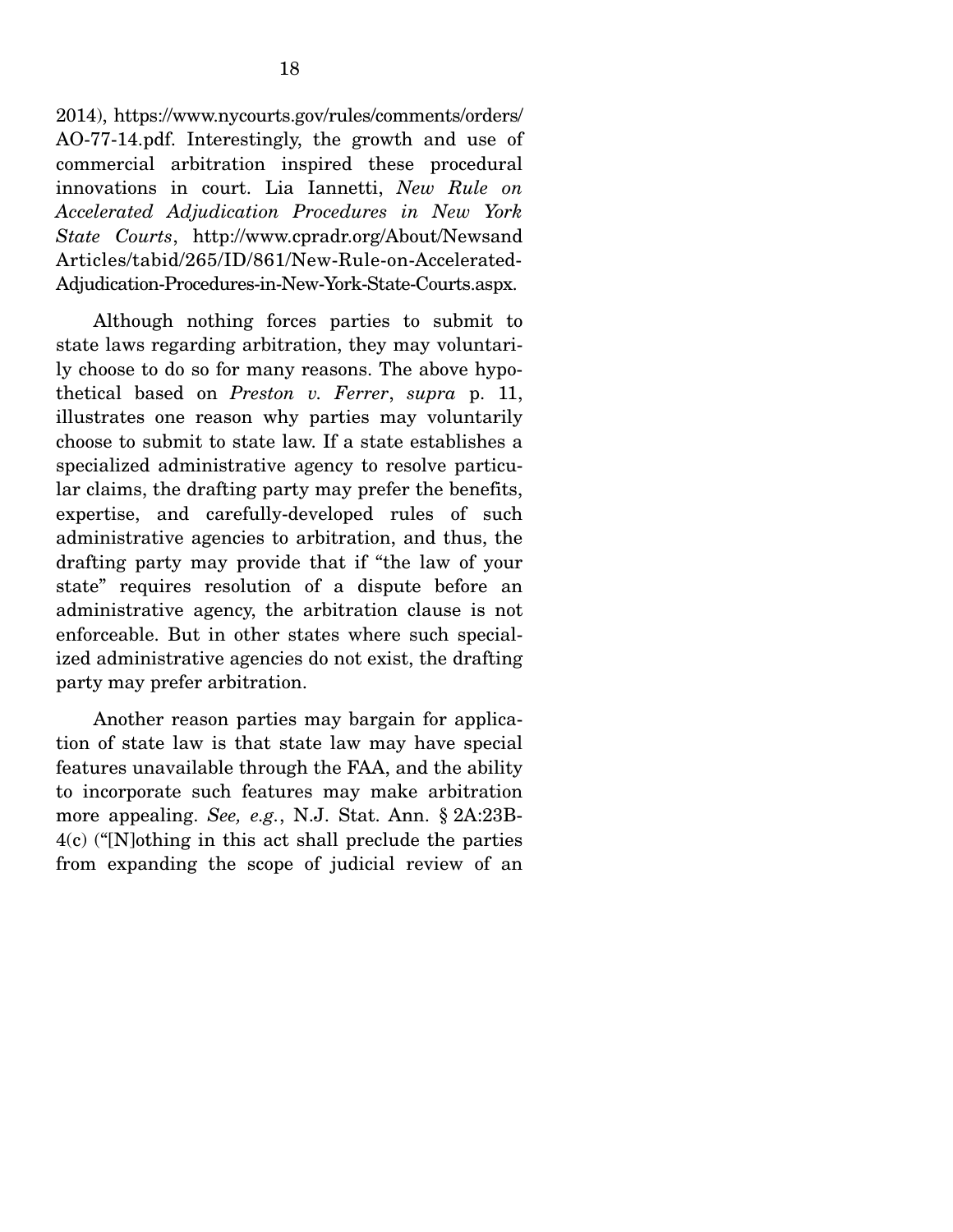2014), https://www.nycourts.gov/rules/comments/orders/ AO-77-14.pdf. Interestingly, the growth and use of commercial arbitration inspired these procedural innovations in court. Lia Iannetti, *New Rule on Accelerated Adjudication Procedures in New York State Courts*, http://www.cpradr.org/About/Newsand Articles/tabid/265/ID/861/New-Rule-on-Accelerated-Adjudication-Procedures-in-New-York-State-Courts.aspx.

 Although nothing forces parties to submit to state laws regarding arbitration, they may voluntarily choose to do so for many reasons. The above hypothetical based on *Preston v. Ferrer*, *supra* p. 11, illustrates one reason why parties may voluntarily choose to submit to state law. If a state establishes a specialized administrative agency to resolve particular claims, the drafting party may prefer the benefits, expertise, and carefully-developed rules of such administrative agencies to arbitration, and thus, the drafting party may provide that if "the law of your state" requires resolution of a dispute before an administrative agency, the arbitration clause is not enforceable. But in other states where such specialized administrative agencies do not exist, the drafting party may prefer arbitration.

 Another reason parties may bargain for application of state law is that state law may have special features unavailable through the FAA, and the ability to incorporate such features may make arbitration more appealing. *See, e.g.*, N.J. Stat. Ann. § 2A:23B-4(c) ("[N]othing in this act shall preclude the parties from expanding the scope of judicial review of an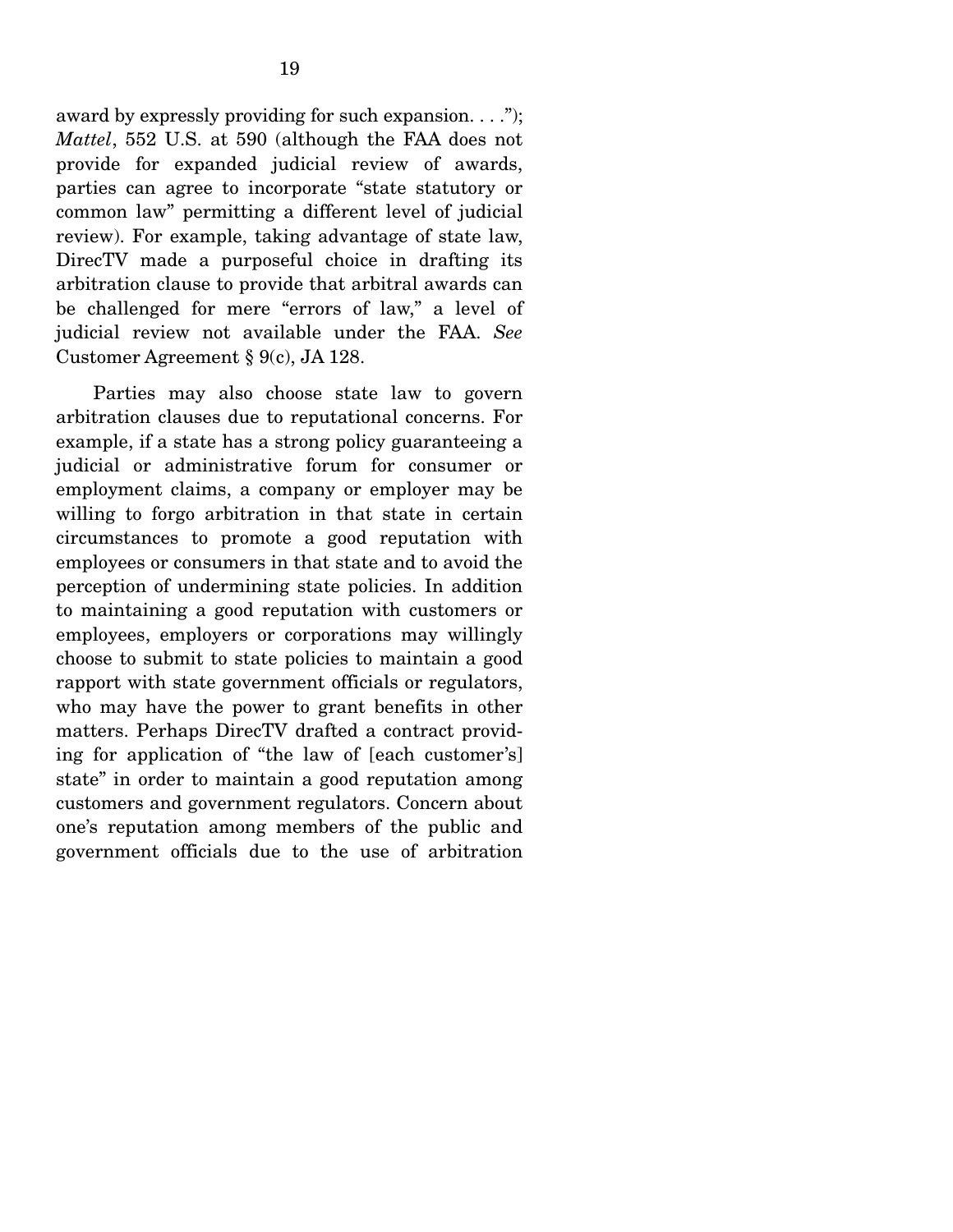award by expressly providing for such expansion.  $\dots$ "); *Mattel*, 552 U.S. at 590 (although the FAA does not provide for expanded judicial review of awards, parties can agree to incorporate "state statutory or common law" permitting a different level of judicial review). For example, taking advantage of state law, DirecTV made a purposeful choice in drafting its arbitration clause to provide that arbitral awards can be challenged for mere "errors of law," a level of judicial review not available under the FAA. *See*  Customer Agreement § 9(c), JA 128.

 Parties may also choose state law to govern arbitration clauses due to reputational concerns. For example, if a state has a strong policy guaranteeing a judicial or administrative forum for consumer or employment claims, a company or employer may be willing to forgo arbitration in that state in certain circumstances to promote a good reputation with employees or consumers in that state and to avoid the perception of undermining state policies. In addition to maintaining a good reputation with customers or employees, employers or corporations may willingly choose to submit to state policies to maintain a good rapport with state government officials or regulators, who may have the power to grant benefits in other matters. Perhaps DirecTV drafted a contract providing for application of "the law of [each customer's] state" in order to maintain a good reputation among customers and government regulators. Concern about one's reputation among members of the public and government officials due to the use of arbitration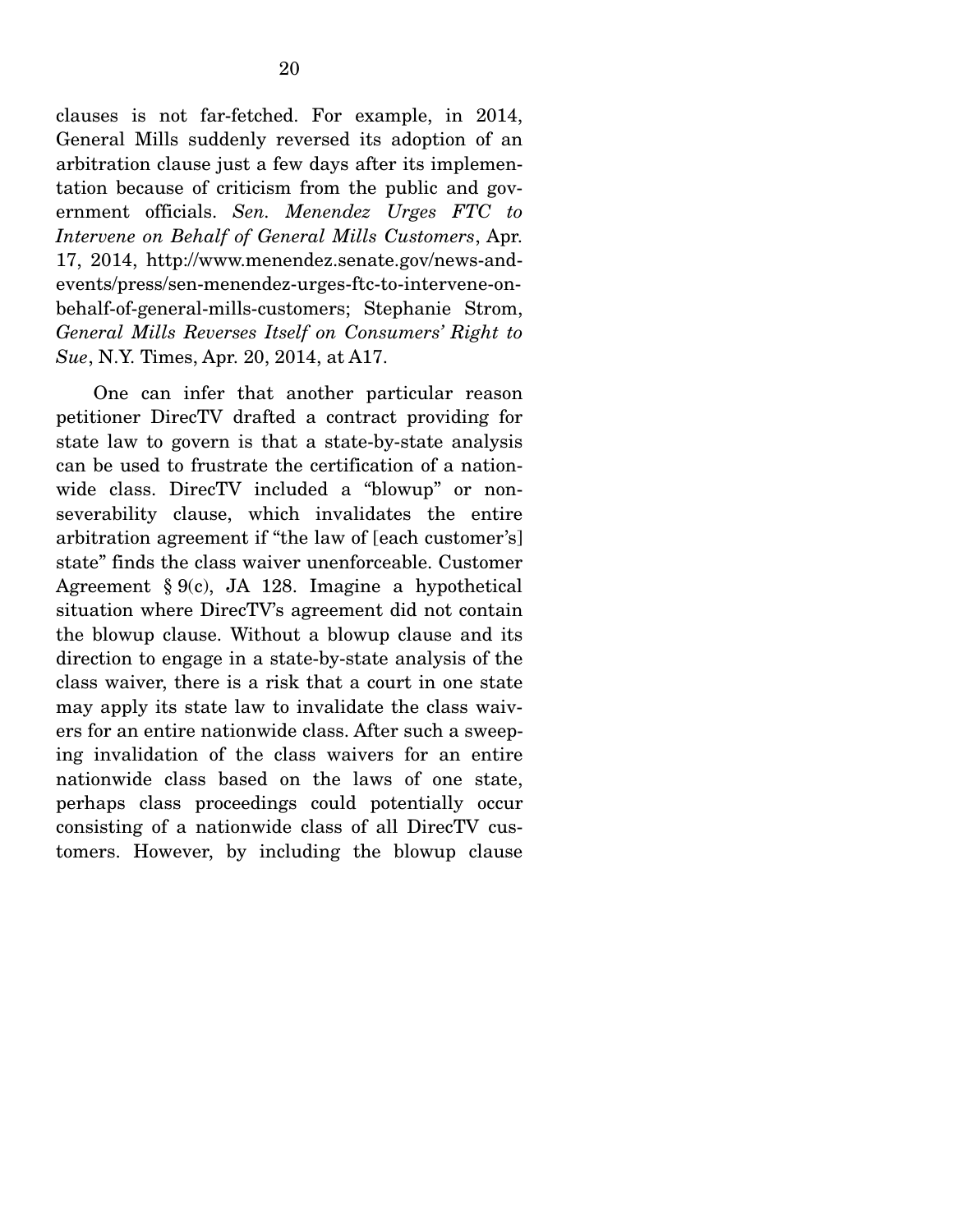clauses is not far-fetched. For example, in 2014, General Mills suddenly reversed its adoption of an arbitration clause just a few days after its implementation because of criticism from the public and government officials. *Sen. Menendez Urges FTC to Intervene on Behalf of General Mills Customers*, Apr. 17, 2014, http://www.menendez.senate.gov/news-andevents/press/sen-menendez-urges-ftc-to-intervene-onbehalf-of-general-mills-customers; Stephanie Strom, *General Mills Reverses Itself on Consumers' Right to Sue*, N.Y. Times, Apr. 20, 2014, at A17.

 One can infer that another particular reason petitioner DirecTV drafted a contract providing for state law to govern is that a state-by-state analysis can be used to frustrate the certification of a nationwide class. DirecTV included a "blowup" or nonseverability clause, which invalidates the entire arbitration agreement if "the law of [each customer's] state" finds the class waiver unenforceable. Customer Agreement § 9(c), JA 128. Imagine a hypothetical situation where DirecTV's agreement did not contain the blowup clause. Without a blowup clause and its direction to engage in a state-by-state analysis of the class waiver, there is a risk that a court in one state may apply its state law to invalidate the class waivers for an entire nationwide class. After such a sweeping invalidation of the class waivers for an entire nationwide class based on the laws of one state, perhaps class proceedings could potentially occur consisting of a nationwide class of all DirecTV customers. However, by including the blowup clause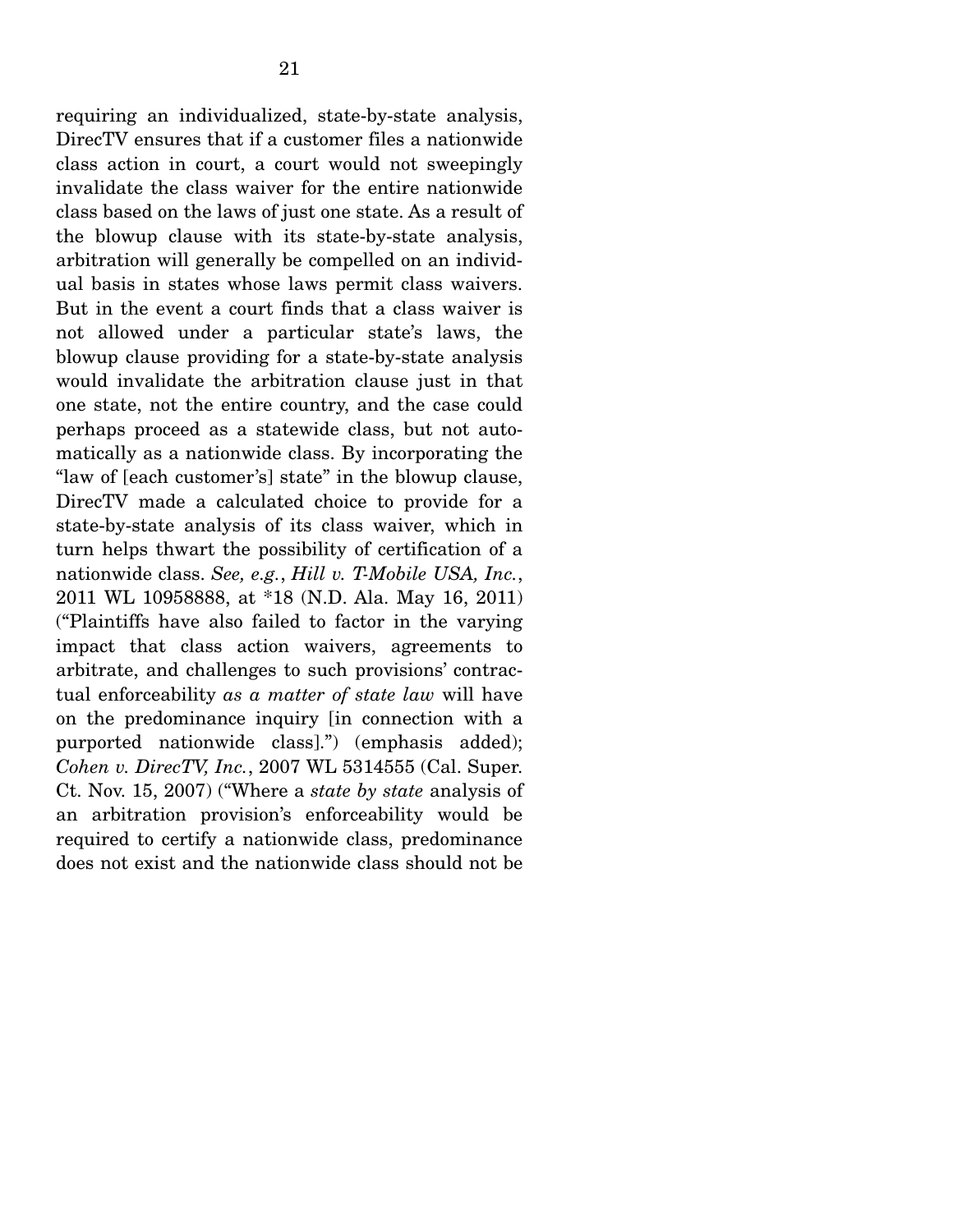requiring an individualized, state-by-state analysis, DirecTV ensures that if a customer files a nationwide class action in court, a court would not sweepingly invalidate the class waiver for the entire nationwide class based on the laws of just one state. As a result of the blowup clause with its state-by-state analysis, arbitration will generally be compelled on an individual basis in states whose laws permit class waivers. But in the event a court finds that a class waiver is not allowed under a particular state's laws, the blowup clause providing for a state-by-state analysis would invalidate the arbitration clause just in that one state, not the entire country, and the case could perhaps proceed as a statewide class, but not automatically as a nationwide class. By incorporating the "law of [each customer's] state" in the blowup clause, DirecTV made a calculated choice to provide for a state-by-state analysis of its class waiver, which in turn helps thwart the possibility of certification of a nationwide class. *See, e.g.*, *Hill v. T-Mobile USA, Inc.*, 2011 WL 10958888, at \*18 (N.D. Ala. May 16, 2011) ("Plaintiffs have also failed to factor in the varying impact that class action waivers, agreements to arbitrate, and challenges to such provisions' contractual enforceability *as a matter of state law* will have on the predominance inquiry [in connection with a purported nationwide class].") (emphasis added); *Cohen v. DirecTV, Inc.*, 2007 WL 5314555 (Cal. Super. Ct. Nov. 15, 2007) ("Where a *state by state* analysis of an arbitration provision's enforceability would be required to certify a nationwide class, predominance does not exist and the nationwide class should not be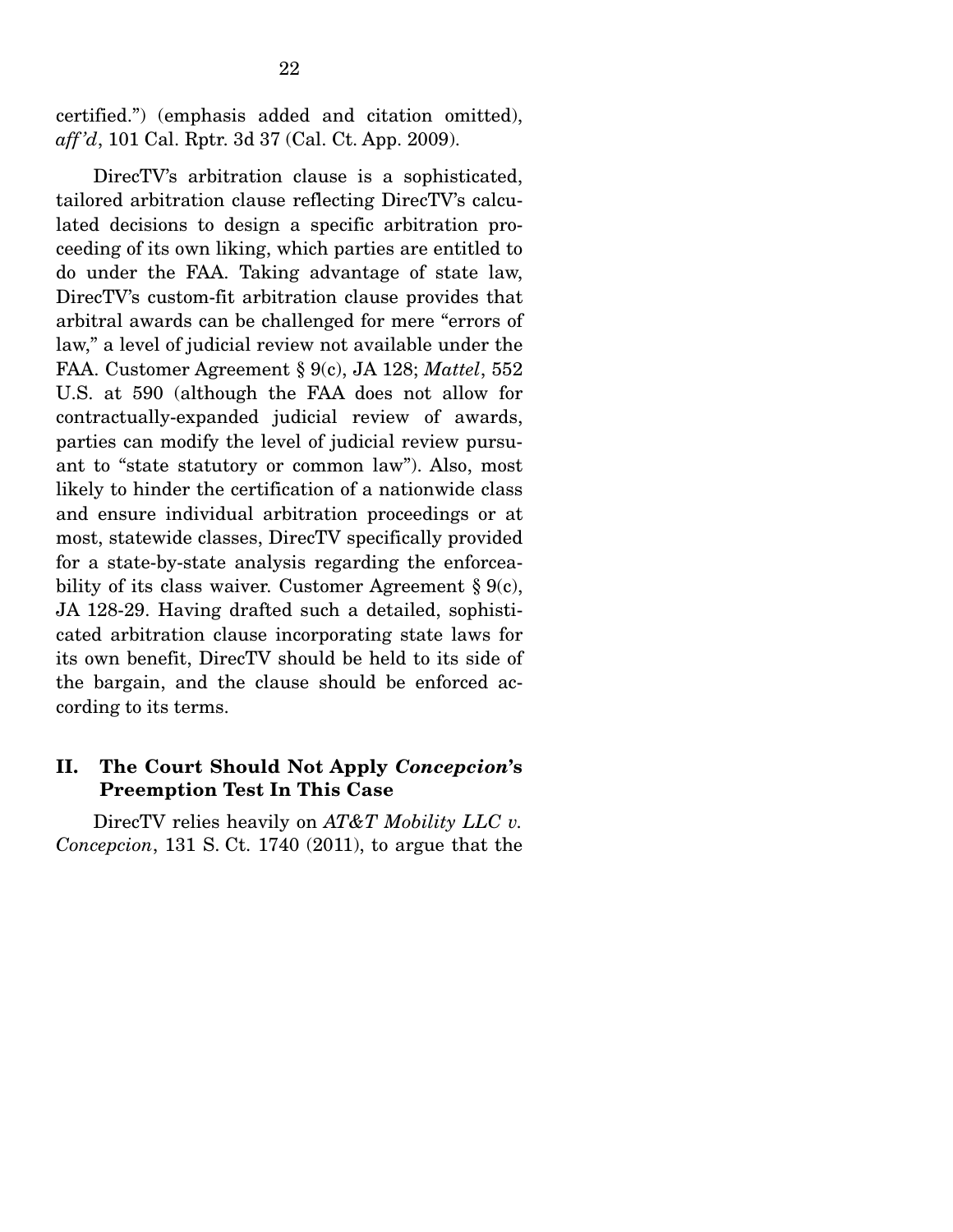certified.") (emphasis added and citation omitted), *aff 'd*, 101 Cal. Rptr. 3d 37 (Cal. Ct. App. 2009).

 DirecTV's arbitration clause is a sophisticated, tailored arbitration clause reflecting DirecTV's calculated decisions to design a specific arbitration proceeding of its own liking, which parties are entitled to do under the FAA. Taking advantage of state law, DirecTV's custom-fit arbitration clause provides that arbitral awards can be challenged for mere "errors of law," a level of judicial review not available under the FAA. Customer Agreement § 9(c), JA 128; *Mattel*, 552 U.S. at 590 (although the FAA does not allow for contractually-expanded judicial review of awards, parties can modify the level of judicial review pursuant to "state statutory or common law"). Also, most likely to hinder the certification of a nationwide class and ensure individual arbitration proceedings or at most, statewide classes, DirecTV specifically provided for a state-by-state analysis regarding the enforceability of its class waiver. Customer Agreement  $\S 9(c)$ , JA 128-29. Having drafted such a detailed, sophisticated arbitration clause incorporating state laws for its own benefit, DirecTV should be held to its side of the bargain, and the clause should be enforced according to its terms.

#### **II. The Court Should Not Apply** *Concepcion***'s Preemption Test In This Case**

 DirecTV relies heavily on *AT&T Mobility LLC v. Concepcion*, 131 S. Ct. 1740 (2011), to argue that the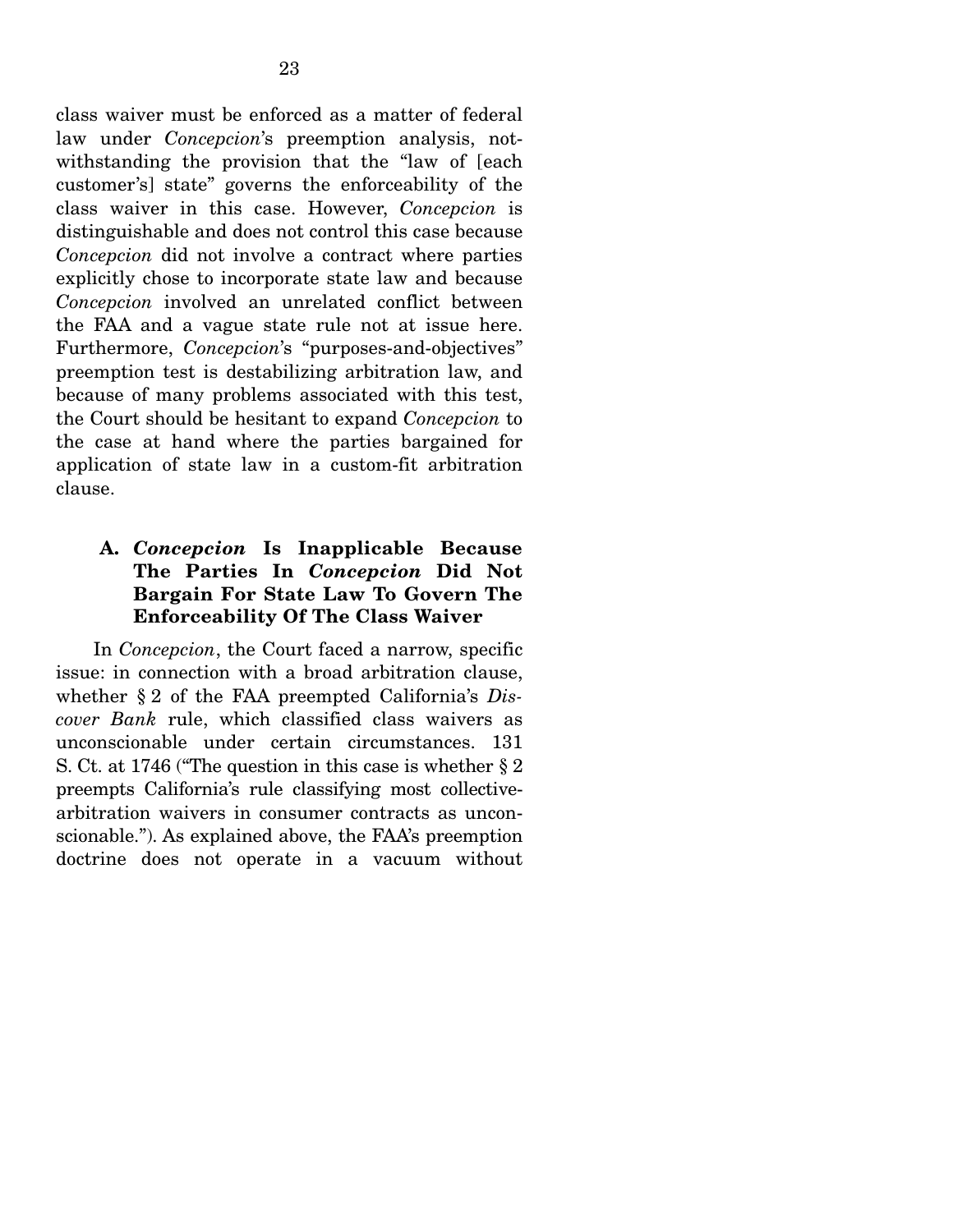class waiver must be enforced as a matter of federal law under *Concepcion*'s preemption analysis, notwithstanding the provision that the "law of [each customer's] state" governs the enforceability of the class waiver in this case. However, *Concepcion* is distinguishable and does not control this case because *Concepcion* did not involve a contract where parties explicitly chose to incorporate state law and because *Concepcion* involved an unrelated conflict between the FAA and a vague state rule not at issue here. Furthermore, *Concepcion*'s "purposes-and-objectives" preemption test is destabilizing arbitration law, and because of many problems associated with this test, the Court should be hesitant to expand *Concepcion* to the case at hand where the parties bargained for application of state law in a custom-fit arbitration clause.

## **A.** *Concepcion* **Is Inapplicable Because The Parties In** *Concepcion* **Did Not Bargain For State Law To Govern The Enforceability Of The Class Waiver**

 In *Concepcion*, the Court faced a narrow, specific issue: in connection with a broad arbitration clause, whether § 2 of the FAA preempted California's *Discover Bank* rule, which classified class waivers as unconscionable under certain circumstances. 131 S. Ct. at 1746 ("The question in this case is whether § 2 preempts California's rule classifying most collectivearbitration waivers in consumer contracts as unconscionable."). As explained above, the FAA's preemption doctrine does not operate in a vacuum without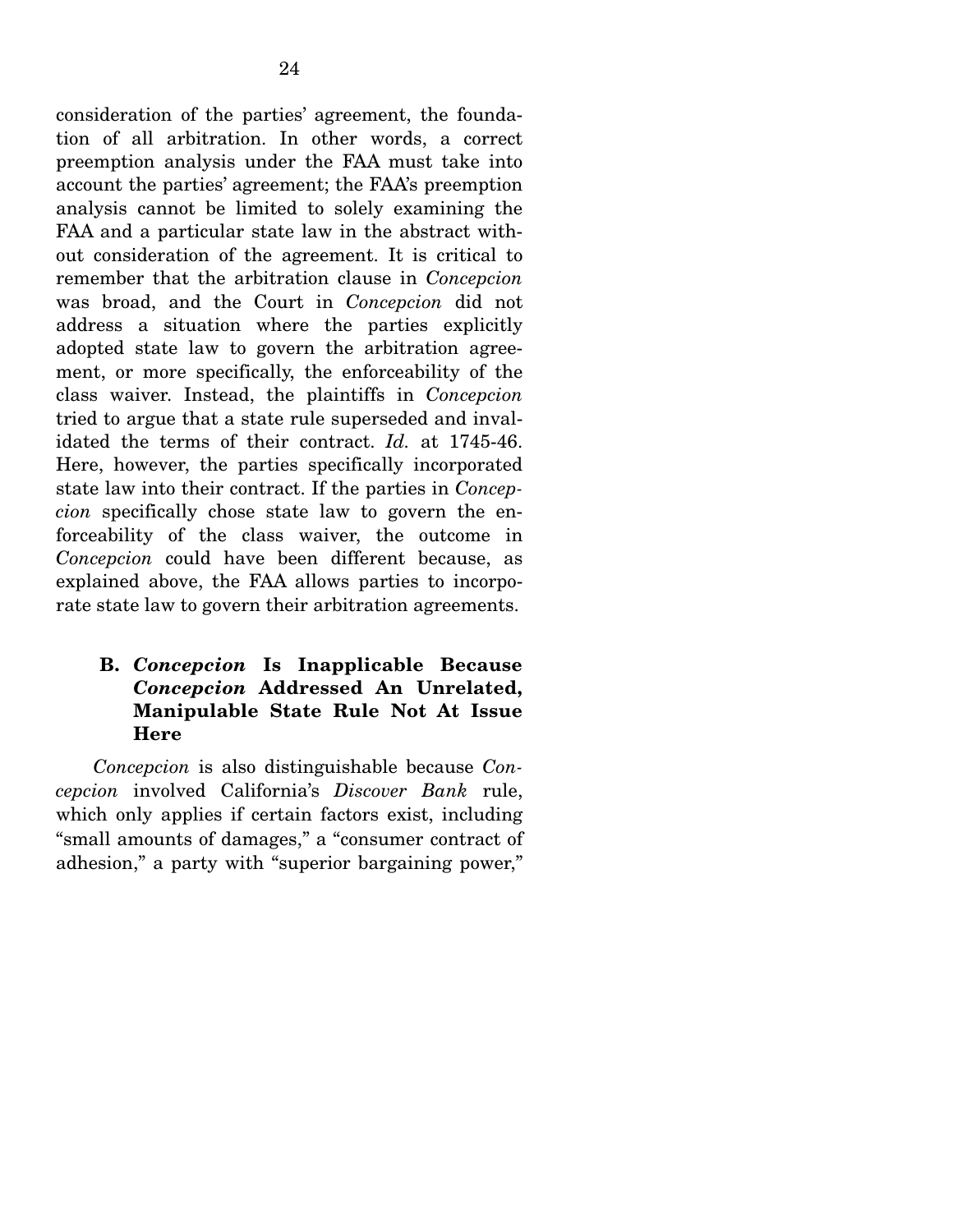consideration of the parties' agreement, the foundation of all arbitration. In other words, a correct preemption analysis under the FAA must take into account the parties' agreement; the FAA's preemption analysis cannot be limited to solely examining the FAA and a particular state law in the abstract without consideration of the agreement. It is critical to remember that the arbitration clause in *Concepcion* was broad, and the Court in *Concepcion* did not address a situation where the parties explicitly adopted state law to govern the arbitration agreement, or more specifically, the enforceability of the class waiver. Instead, the plaintiffs in *Concepcion* tried to argue that a state rule superseded and invalidated the terms of their contract. *Id.* at 1745-46. Here, however, the parties specifically incorporated state law into their contract. If the parties in *Concepcion* specifically chose state law to govern the enforceability of the class waiver, the outcome in *Concepcion* could have been different because, as explained above, the FAA allows parties to incorporate state law to govern their arbitration agreements.

### **B.** *Concepcion* **Is Inapplicable Because**  *Concepcion* **Addressed An Unrelated, Manipulable State Rule Not At Issue Here**

*Concepcion* is also distinguishable because *Concepcion* involved California's *Discover Bank* rule, which only applies if certain factors exist, including "small amounts of damages," a "consumer contract of adhesion," a party with "superior bargaining power,"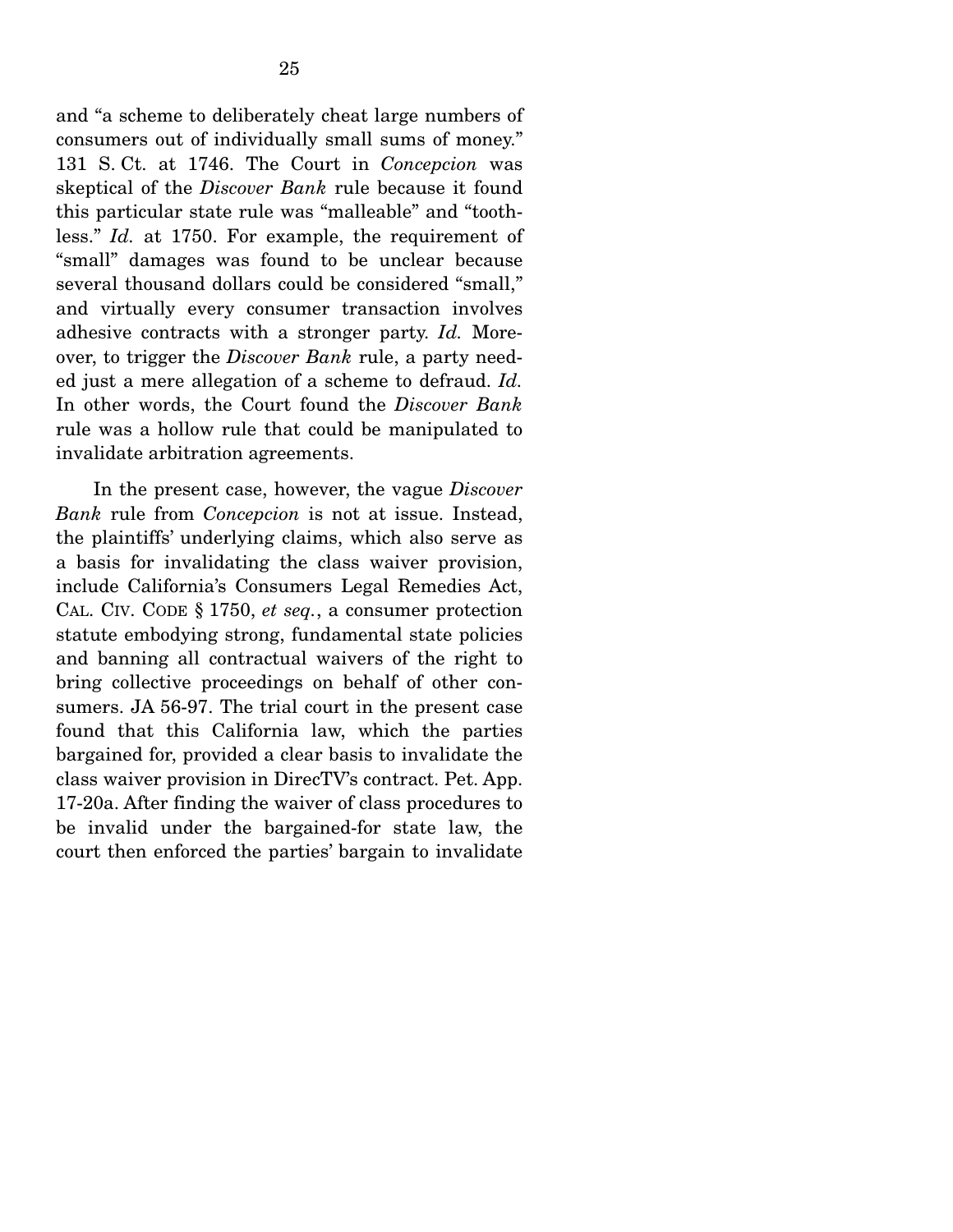and "a scheme to deliberately cheat large numbers of consumers out of individually small sums of money." 131 S. Ct. at 1746. The Court in *Concepcion* was skeptical of the *Discover Bank* rule because it found this particular state rule was "malleable" and "toothless." *Id.* at 1750. For example, the requirement of "small" damages was found to be unclear because several thousand dollars could be considered "small," and virtually every consumer transaction involves adhesive contracts with a stronger party. *Id.* Moreover, to trigger the *Discover Bank* rule, a party needed just a mere allegation of a scheme to defraud. *Id.*  In other words, the Court found the *Discover Bank* rule was a hollow rule that could be manipulated to invalidate arbitration agreements.

 In the present case, however, the vague *Discover Bank* rule from *Concepcion* is not at issue. Instead, the plaintiffs' underlying claims, which also serve as a basis for invalidating the class waiver provision, include California's Consumers Legal Remedies Act, CAL. CIV. CODE § 1750, *et seq.*, a consumer protection statute embodying strong, fundamental state policies and banning all contractual waivers of the right to bring collective proceedings on behalf of other consumers. JA 56-97. The trial court in the present case found that this California law, which the parties bargained for, provided a clear basis to invalidate the class waiver provision in DirecTV's contract. Pet. App. 17-20a. After finding the waiver of class procedures to be invalid under the bargained-for state law, the court then enforced the parties' bargain to invalidate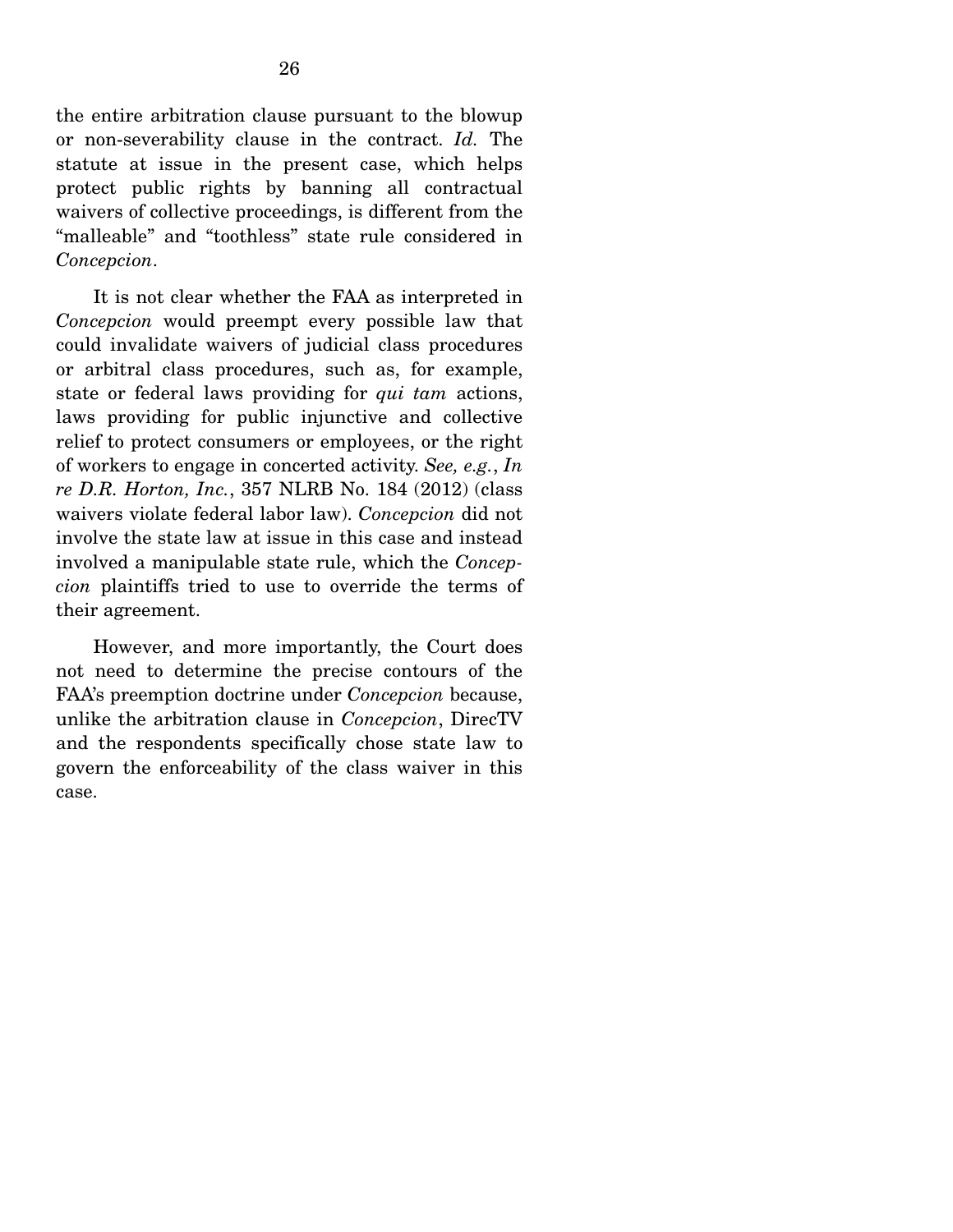the entire arbitration clause pursuant to the blowup or non-severability clause in the contract. *Id.* The statute at issue in the present case, which helps protect public rights by banning all contractual waivers of collective proceedings, is different from the "malleable" and "toothless" state rule considered in *Concepcion*.

 It is not clear whether the FAA as interpreted in *Concepcion* would preempt every possible law that could invalidate waivers of judicial class procedures or arbitral class procedures, such as, for example, state or federal laws providing for *qui tam* actions, laws providing for public injunctive and collective relief to protect consumers or employees, or the right of workers to engage in concerted activity. *See, e.g.*, *In re D.R. Horton, Inc.*, 357 NLRB No. 184 (2012) (class waivers violate federal labor law). *Concepcion* did not involve the state law at issue in this case and instead involved a manipulable state rule, which the *Concepcion* plaintiffs tried to use to override the terms of their agreement.

 However, and more importantly, the Court does not need to determine the precise contours of the FAA's preemption doctrine under *Concepcion* because, unlike the arbitration clause in *Concepcion*, DirecTV and the respondents specifically chose state law to govern the enforceability of the class waiver in this case.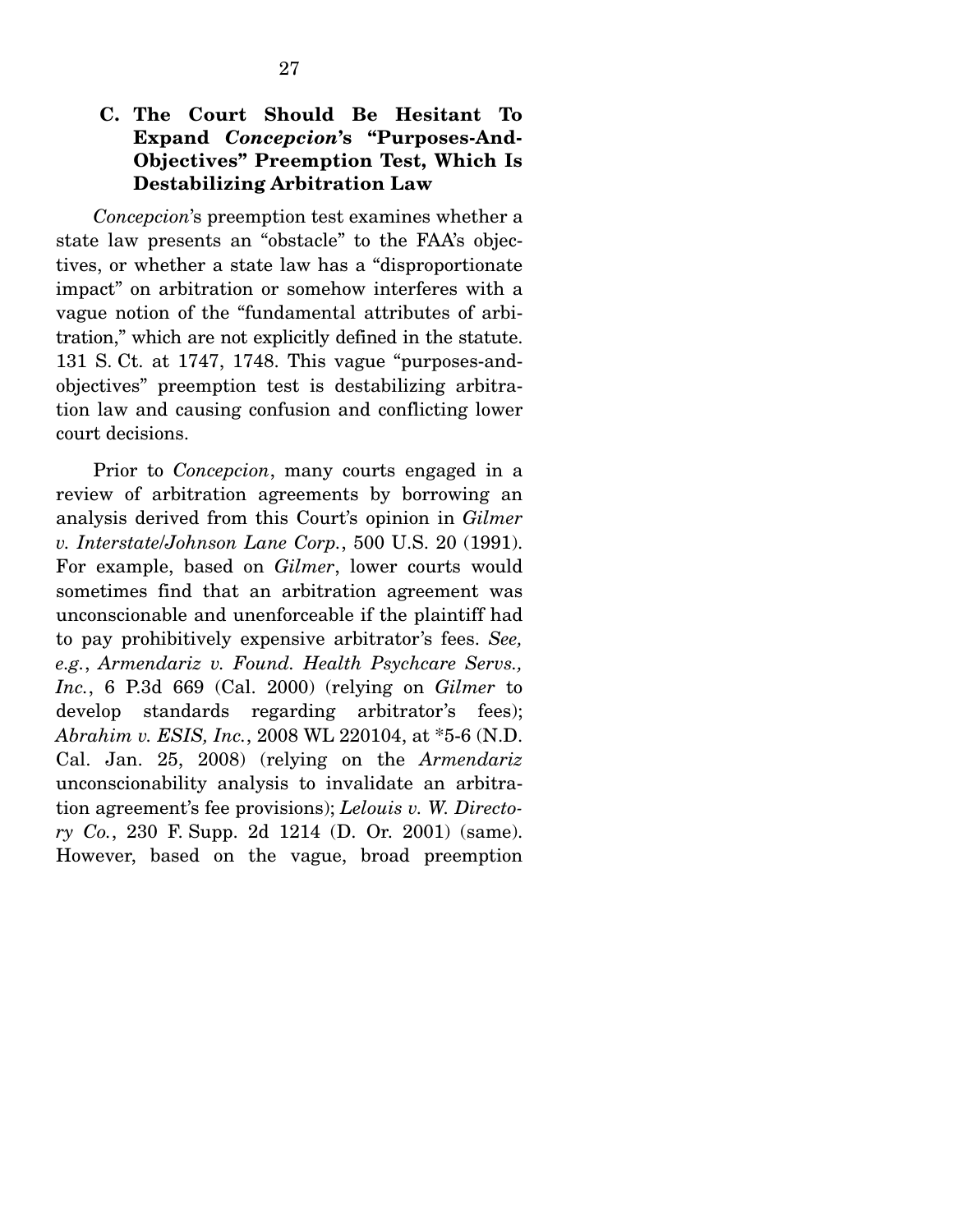*Concepcion*'s preemption test examines whether a state law presents an "obstacle" to the FAA's objectives, or whether a state law has a "disproportionate impact" on arbitration or somehow interferes with a vague notion of the "fundamental attributes of arbitration," which are not explicitly defined in the statute. 131 S. Ct. at 1747, 1748. This vague "purposes-andobjectives" preemption test is destabilizing arbitration law and causing confusion and conflicting lower court decisions.

 Prior to *Concepcion*, many courts engaged in a review of arbitration agreements by borrowing an analysis derived from this Court's opinion in *Gilmer v. Interstate*/*Johnson Lane Corp.*, 500 U.S. 20 (1991). For example, based on *Gilmer*, lower courts would sometimes find that an arbitration agreement was unconscionable and unenforceable if the plaintiff had to pay prohibitively expensive arbitrator's fees. *See, e.g.*, *Armendariz v. Found. Health Psychcare Servs., Inc.*, 6 P.3d 669 (Cal. 2000) (relying on *Gilmer* to develop standards regarding arbitrator's fees); *Abrahim v. ESIS, Inc.*, 2008 WL 220104, at \*5-6 (N.D. Cal. Jan. 25, 2008) (relying on the *Armendariz* unconscionability analysis to invalidate an arbitration agreement's fee provisions); *Lelouis v. W. Directory Co.*, 230 F. Supp. 2d 1214 (D. Or. 2001) (same). However, based on the vague, broad preemption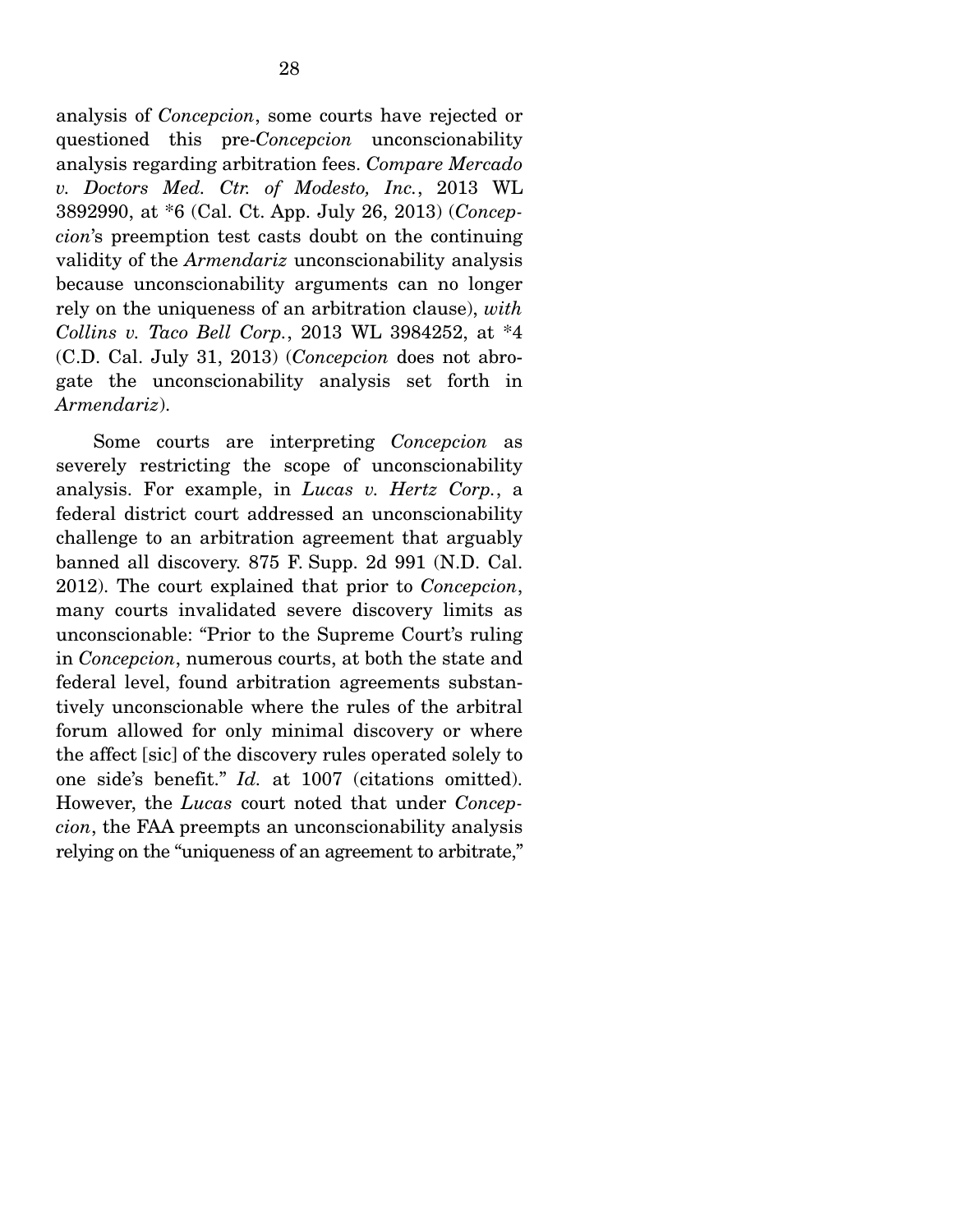analysis of *Concepcion*, some courts have rejected or questioned this pre-*Concepcion* unconscionability analysis regarding arbitration fees. *Compare Mercado v. Doctors Med. Ctr. of Modesto, Inc.*, 2013 WL 3892990, at \*6 (Cal. Ct. App. July 26, 2013) (*Concepcion*'s preemption test casts doubt on the continuing validity of the *Armendariz* unconscionability analysis because unconscionability arguments can no longer rely on the uniqueness of an arbitration clause), *with Collins v. Taco Bell Corp.*, 2013 WL 3984252, at \*4 (C.D. Cal. July 31, 2013) (*Concepcion* does not abrogate the unconscionability analysis set forth in *Armendariz*).

 Some courts are interpreting *Concepcion* as severely restricting the scope of unconscionability analysis. For example, in *Lucas v. Hertz Corp.*, a federal district court addressed an unconscionability challenge to an arbitration agreement that arguably banned all discovery. 875 F. Supp. 2d 991 (N.D. Cal. 2012). The court explained that prior to *Concepcion*, many courts invalidated severe discovery limits as unconscionable: "Prior to the Supreme Court's ruling in *Concepcion*, numerous courts, at both the state and federal level, found arbitration agreements substantively unconscionable where the rules of the arbitral forum allowed for only minimal discovery or where the affect [sic] of the discovery rules operated solely to one side's benefit." *Id.* at 1007 (citations omitted). However, the *Lucas* court noted that under *Concepcion*, the FAA preempts an unconscionability analysis relying on the "uniqueness of an agreement to arbitrate,"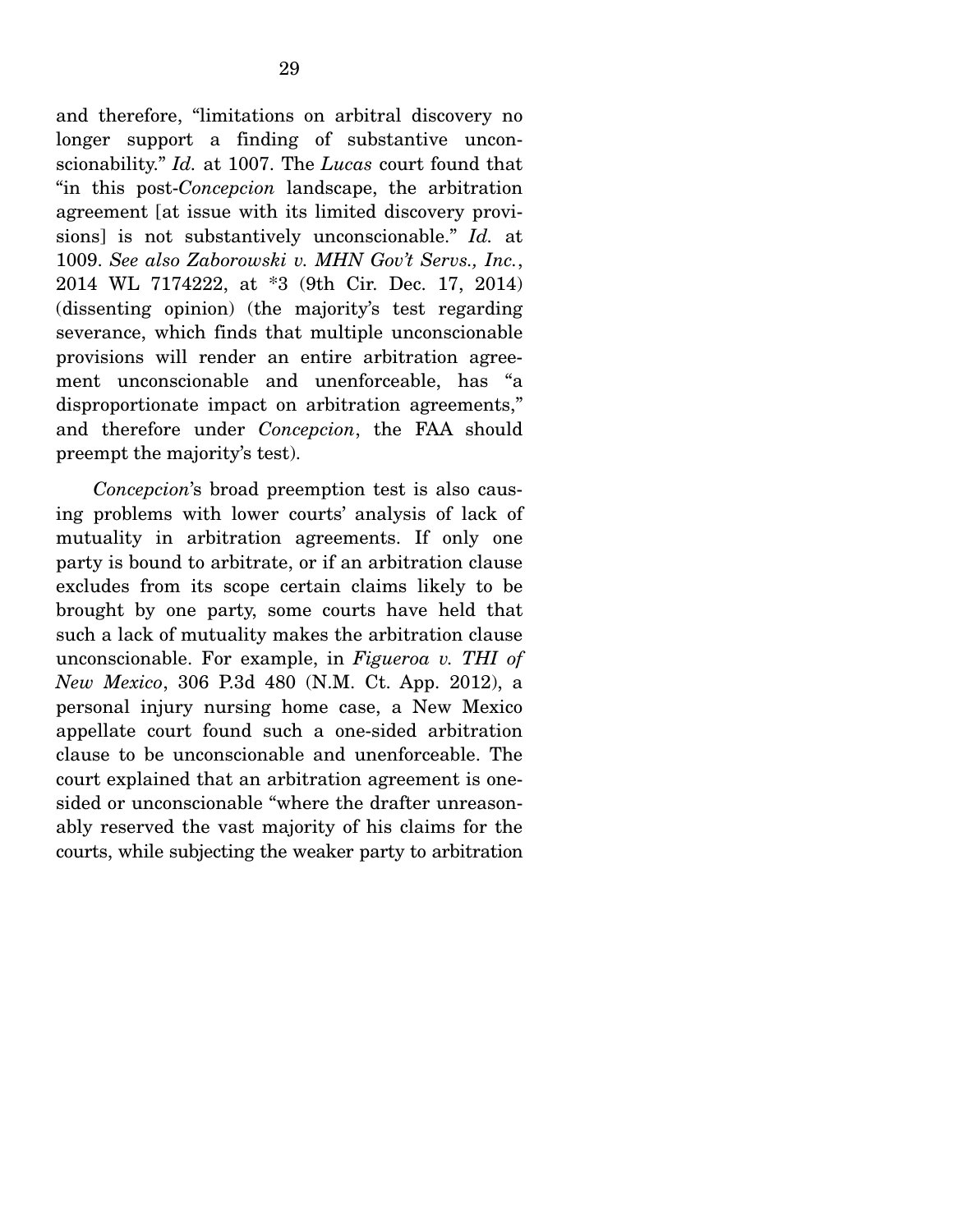and therefore, "limitations on arbitral discovery no longer support a finding of substantive unconscionability." *Id.* at 1007. The *Lucas* court found that "in this post-*Concepcion* landscape, the arbitration agreement [at issue with its limited discovery provisions] is not substantively unconscionable." *Id.* at 1009. *See also Zaborowski v. MHN Gov't Servs., Inc.*, 2014 WL 7174222, at \*3 (9th Cir. Dec. 17, 2014) (dissenting opinion) (the majority's test regarding severance, which finds that multiple unconscionable provisions will render an entire arbitration agreement unconscionable and unenforceable, has "a disproportionate impact on arbitration agreements," and therefore under *Concepcion*, the FAA should preempt the majority's test).

*Concepcion*'s broad preemption test is also causing problems with lower courts' analysis of lack of mutuality in arbitration agreements. If only one party is bound to arbitrate, or if an arbitration clause excludes from its scope certain claims likely to be brought by one party, some courts have held that such a lack of mutuality makes the arbitration clause unconscionable. For example, in *Figueroa v. THI of New Mexico*, 306 P.3d 480 (N.M. Ct. App. 2012), a personal injury nursing home case, a New Mexico appellate court found such a one-sided arbitration clause to be unconscionable and unenforceable. The court explained that an arbitration agreement is onesided or unconscionable "where the drafter unreasonably reserved the vast majority of his claims for the courts, while subjecting the weaker party to arbitration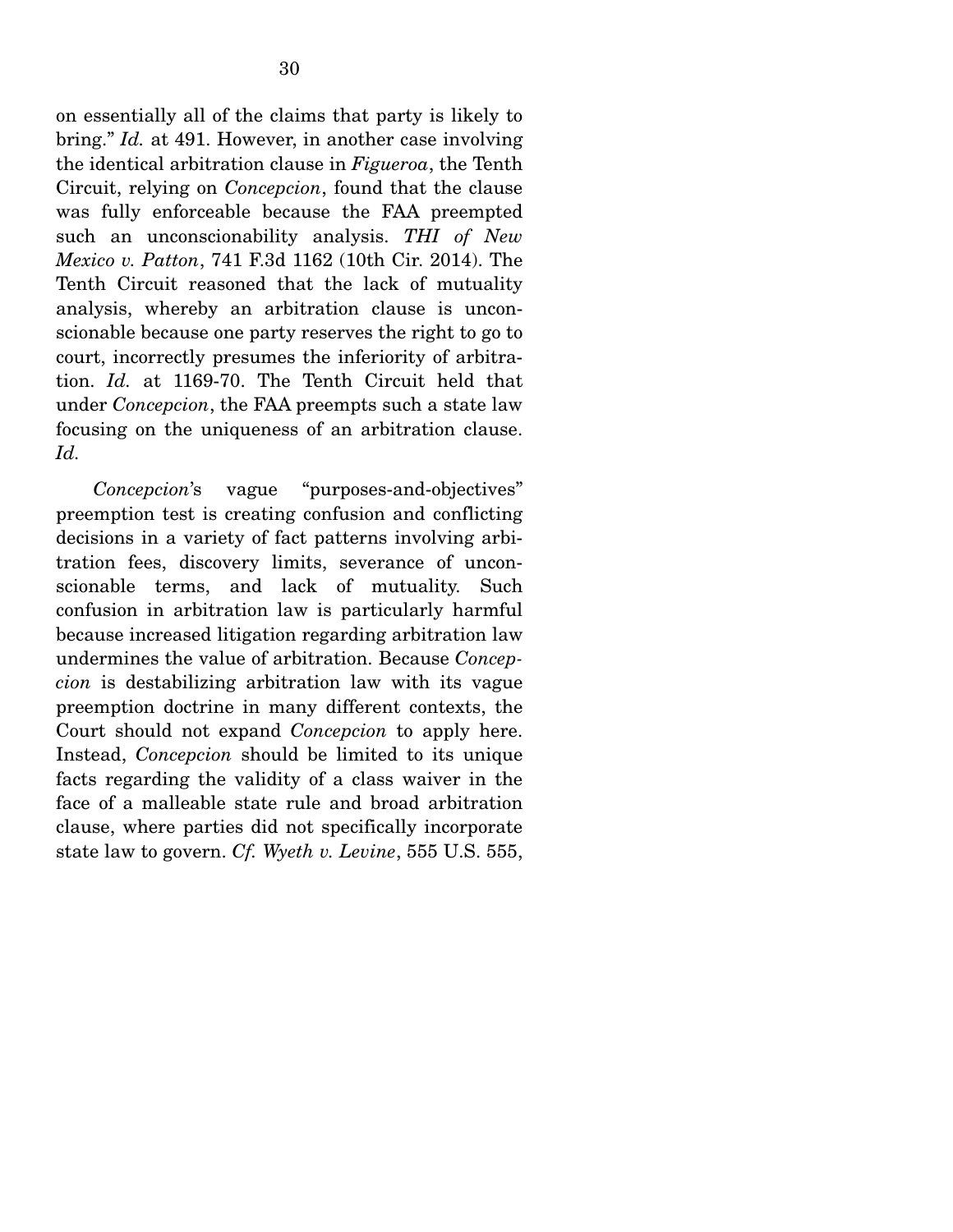on essentially all of the claims that party is likely to bring." *Id.* at 491. However, in another case involving the identical arbitration clause in *Figueroa*, the Tenth Circuit, relying on *Concepcion*, found that the clause was fully enforceable because the FAA preempted such an unconscionability analysis. *THI of New Mexico v. Patton*, 741 F.3d 1162 (10th Cir. 2014). The Tenth Circuit reasoned that the lack of mutuality analysis, whereby an arbitration clause is unconscionable because one party reserves the right to go to court, incorrectly presumes the inferiority of arbitration. *Id.* at 1169-70. The Tenth Circuit held that under *Concepcion*, the FAA preempts such a state law focusing on the uniqueness of an arbitration clause. *Id.* 

 *Concepcion*'s vague "purposes-and-objectives" preemption test is creating confusion and conflicting decisions in a variety of fact patterns involving arbitration fees, discovery limits, severance of unconscionable terms, and lack of mutuality. Such confusion in arbitration law is particularly harmful because increased litigation regarding arbitration law undermines the value of arbitration. Because *Concepcion* is destabilizing arbitration law with its vague preemption doctrine in many different contexts, the Court should not expand *Concepcion* to apply here. Instead, *Concepcion* should be limited to its unique facts regarding the validity of a class waiver in the face of a malleable state rule and broad arbitration clause, where parties did not specifically incorporate state law to govern. *Cf. Wyeth v. Levine*, 555 U.S. 555,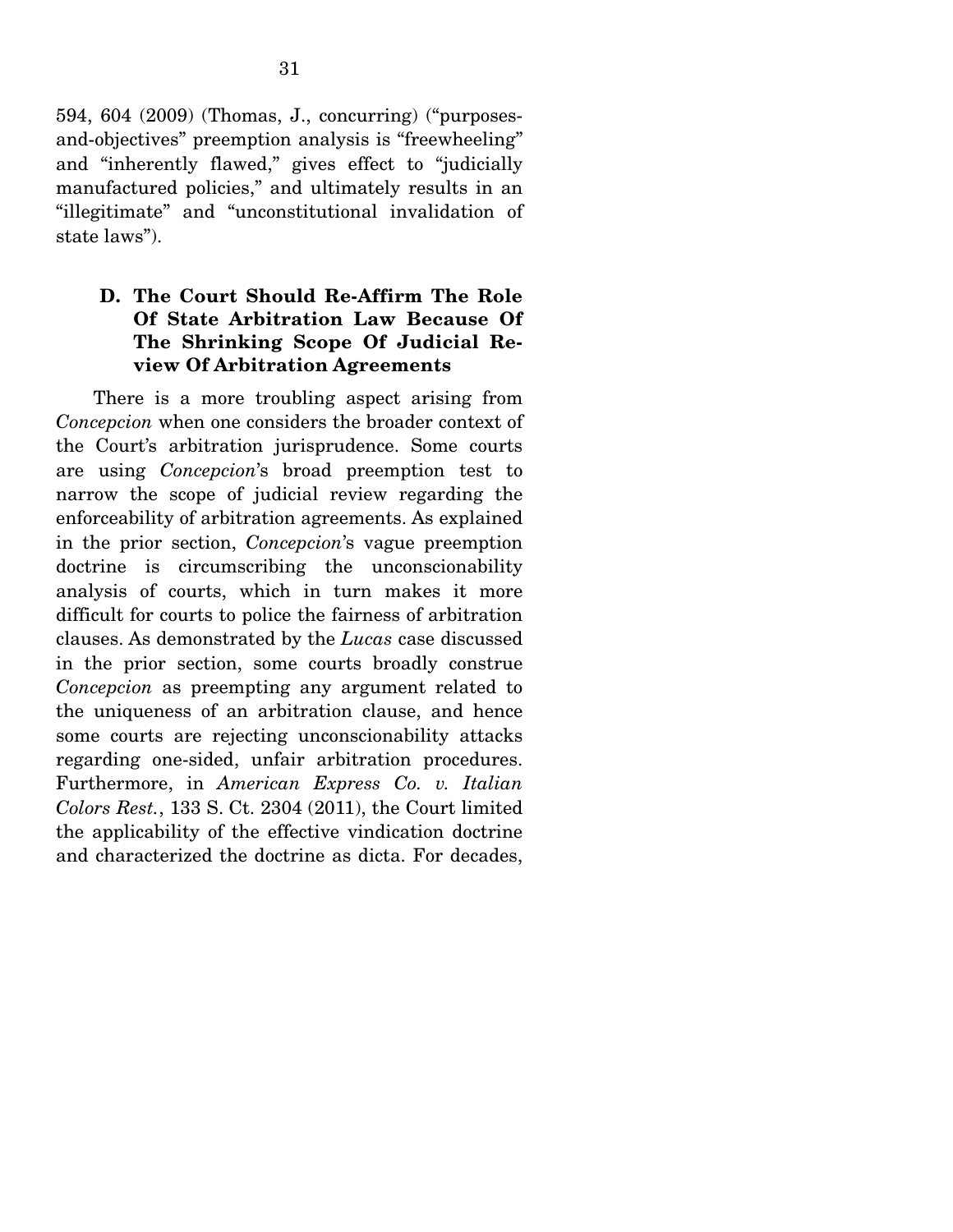594, 604 (2009) (Thomas, J., concurring) ("purposesand-objectives" preemption analysis is "freewheeling" and "inherently flawed," gives effect to "judicially manufactured policies," and ultimately results in an "illegitimate" and "unconstitutional invalidation of state laws").

## **D. The Court Should Re-Affirm The Role Of State Arbitration Law Because Of The Shrinking Scope Of Judicial Review Of Arbitration Agreements**

 There is a more troubling aspect arising from *Concepcion* when one considers the broader context of the Court's arbitration jurisprudence. Some courts are using *Concepcion*'s broad preemption test to narrow the scope of judicial review regarding the enforceability of arbitration agreements. As explained in the prior section, *Concepcion*'s vague preemption doctrine is circumscribing the unconscionability analysis of courts, which in turn makes it more difficult for courts to police the fairness of arbitration clauses. As demonstrated by the *Lucas* case discussed in the prior section, some courts broadly construe *Concepcion* as preempting any argument related to the uniqueness of an arbitration clause, and hence some courts are rejecting unconscionability attacks regarding one-sided, unfair arbitration procedures. Furthermore, in *American Express Co. v. Italian Colors Rest.*, 133 S. Ct. 2304 (2011), the Court limited the applicability of the effective vindication doctrine and characterized the doctrine as dicta. For decades,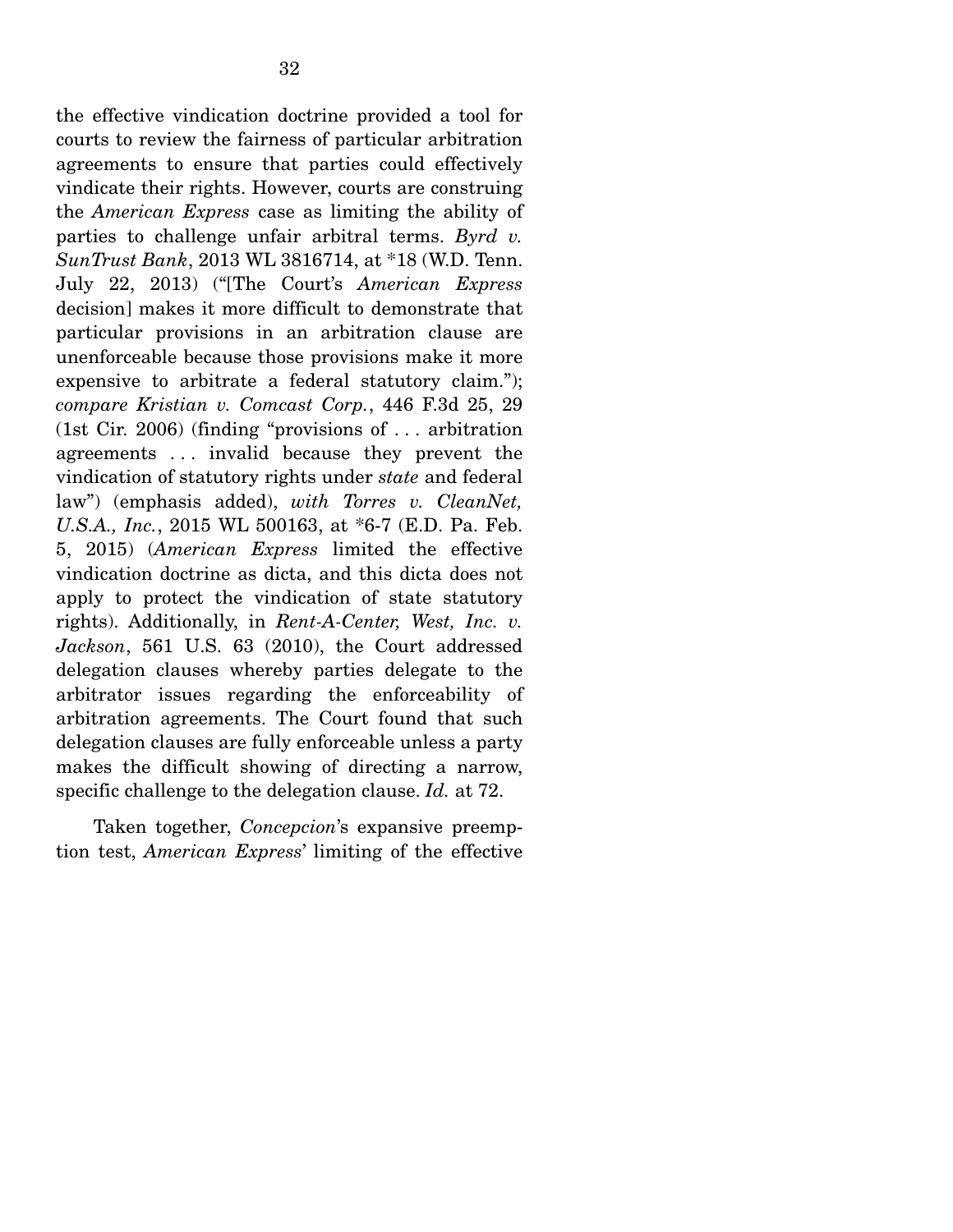the effective vindication doctrine provided a tool for courts to review the fairness of particular arbitration agreements to ensure that parties could effectively vindicate their rights. However, courts are construing the *American Express* case as limiting the ability of parties to challenge unfair arbitral terms. *Byrd v. SunTrust Bank*, 2013 WL 3816714, at \*18 (W.D. Tenn. July 22, 2013) ("[The Court's *American Express* decision] makes it more difficult to demonstrate that particular provisions in an arbitration clause are unenforceable because those provisions make it more expensive to arbitrate a federal statutory claim."); *compare Kristian v. Comcast Corp.*, 446 F.3d 25, 29 (1st Cir. 2006) (finding "provisions of . . . arbitration agreements . . . invalid because they prevent the vindication of statutory rights under *state* and federal law") (emphasis added), *with Torres v. CleanNet, U.S.A., Inc.*, 2015 WL 500163, at \*6-7 (E.D. Pa. Feb. 5, 2015) (*American Express* limited the effective vindication doctrine as dicta, and this dicta does not apply to protect the vindication of state statutory rights). Additionally, in *Rent-A-Center, West, Inc. v. Jackson*, 561 U.S. 63 (2010), the Court addressed delegation clauses whereby parties delegate to the arbitrator issues regarding the enforceability of arbitration agreements. The Court found that such delegation clauses are fully enforceable unless a party makes the difficult showing of directing a narrow, specific challenge to the delegation clause. *Id.* at 72.

 Taken together, *Concepcion*'s expansive preemption test, *American Express*' limiting of the effective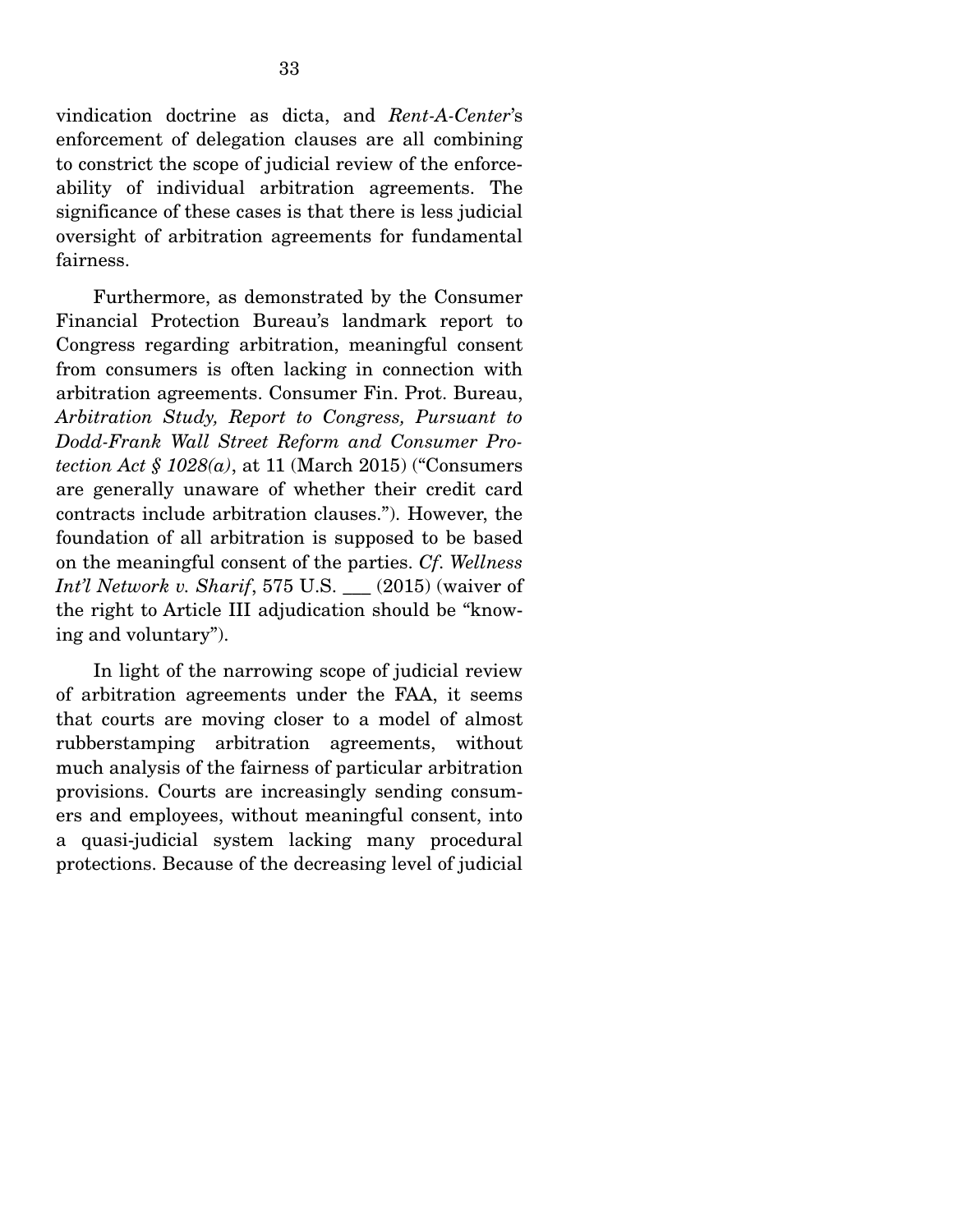vindication doctrine as dicta, and *Rent-A-Center*'s enforcement of delegation clauses are all combining to constrict the scope of judicial review of the enforceability of individual arbitration agreements. The significance of these cases is that there is less judicial oversight of arbitration agreements for fundamental fairness.

 Furthermore, as demonstrated by the Consumer Financial Protection Bureau's landmark report to Congress regarding arbitration, meaningful consent from consumers is often lacking in connection with arbitration agreements. Consumer Fin. Prot. Bureau, *Arbitration Study, Report to Congress, Pursuant to Dodd-Frank Wall Street Reform and Consumer Protection Act § 1028(a)*, at 11 (March 2015) ("Consumers are generally unaware of whether their credit card contracts include arbitration clauses."). However, the foundation of all arbitration is supposed to be based on the meaningful consent of the parties. *Cf*. *Wellness Int'l Network v. Sharif*, 575 U.S. \_\_\_ (2015) (waiver of the right to Article III adjudication should be "knowing and voluntary").

 In light of the narrowing scope of judicial review of arbitration agreements under the FAA, it seems that courts are moving closer to a model of almost rubberstamping arbitration agreements, without much analysis of the fairness of particular arbitration provisions. Courts are increasingly sending consumers and employees, without meaningful consent, into a quasi-judicial system lacking many procedural protections. Because of the decreasing level of judicial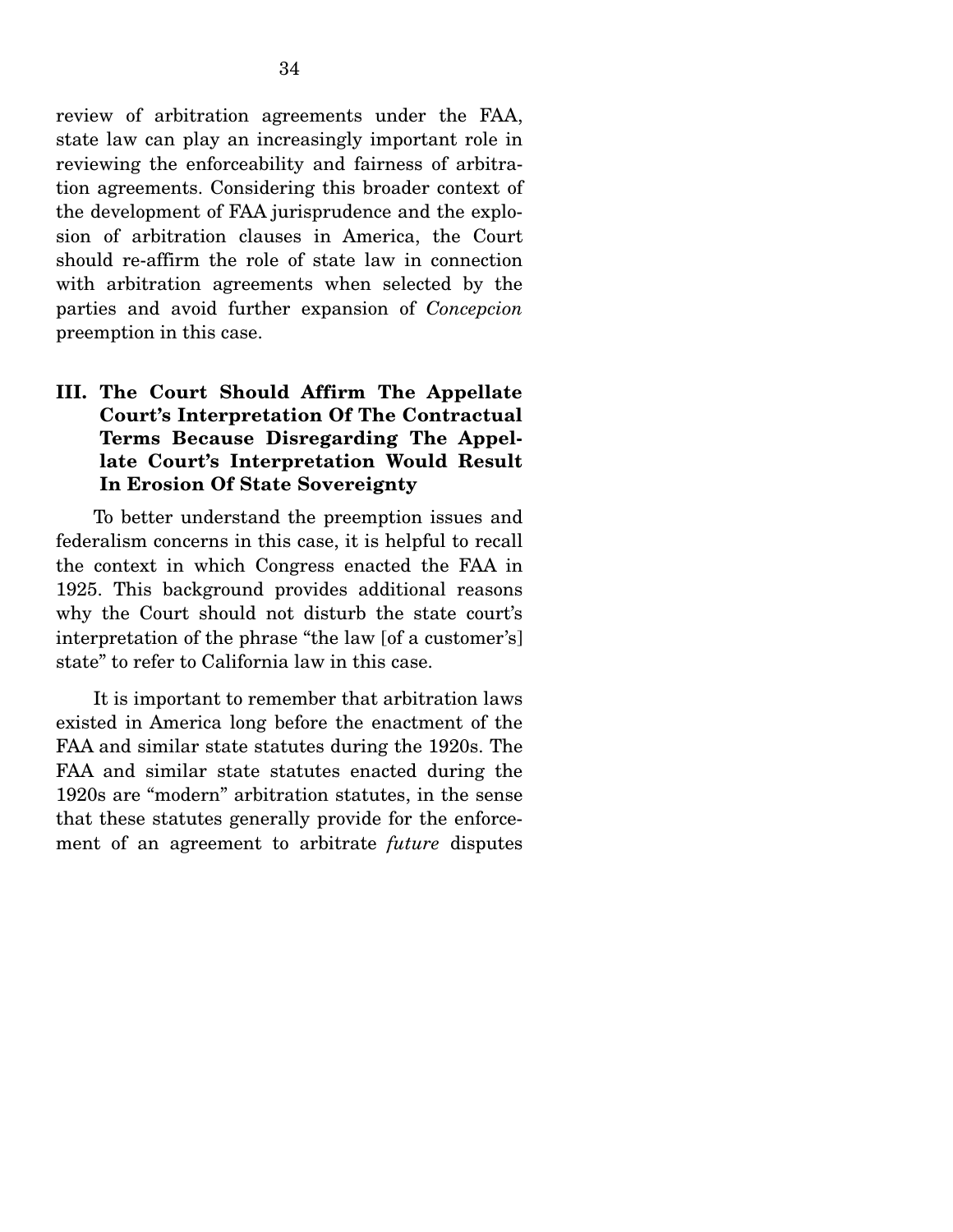review of arbitration agreements under the FAA, state law can play an increasingly important role in reviewing the enforceability and fairness of arbitration agreements. Considering this broader context of the development of FAA jurisprudence and the explosion of arbitration clauses in America, the Court should re-affirm the role of state law in connection with arbitration agreements when selected by the parties and avoid further expansion of *Concepcion* preemption in this case.

## **III. The Court Should Affirm The Appellate Court's Interpretation Of The Contractual Terms Because Disregarding The Appellate Court's Interpretation Would Result In Erosion Of State Sovereignty**

 To better understand the preemption issues and federalism concerns in this case, it is helpful to recall the context in which Congress enacted the FAA in 1925. This background provides additional reasons why the Court should not disturb the state court's interpretation of the phrase "the law [of a customer's] state" to refer to California law in this case.

 It is important to remember that arbitration laws existed in America long before the enactment of the FAA and similar state statutes during the 1920s. The FAA and similar state statutes enacted during the 1920s are "modern" arbitration statutes, in the sense that these statutes generally provide for the enforcement of an agreement to arbitrate *future* disputes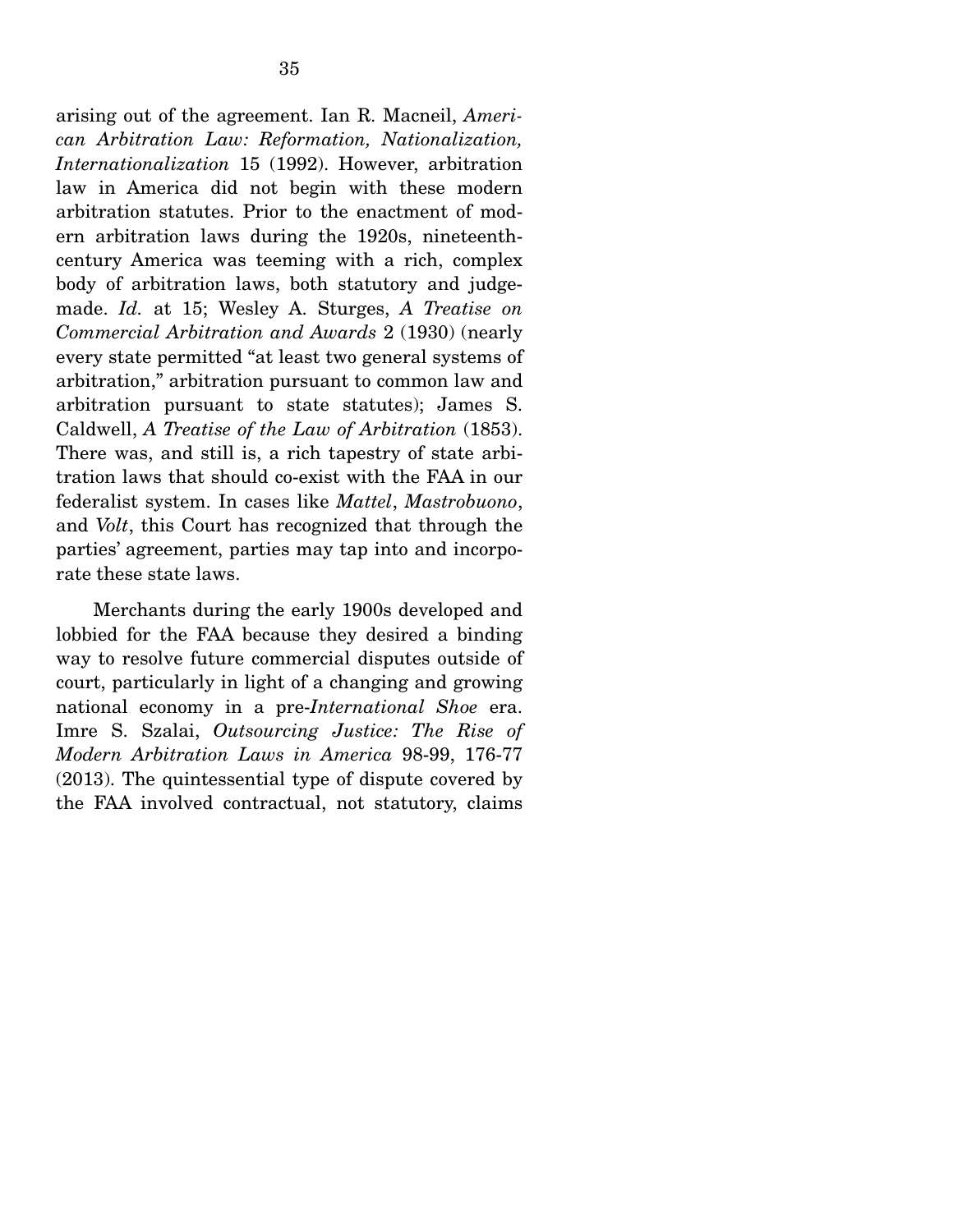arising out of the agreement. Ian R. Macneil, *American Arbitration Law: Reformation, Nationalization, Internationalization* 15 (1992). However, arbitration law in America did not begin with these modern arbitration statutes. Prior to the enactment of modern arbitration laws during the 1920s, nineteenthcentury America was teeming with a rich, complex body of arbitration laws, both statutory and judgemade. *Id.* at 15; Wesley A. Sturges, *A Treatise on Commercial Arbitration and Awards* 2 (1930) (nearly every state permitted "at least two general systems of arbitration," arbitration pursuant to common law and arbitration pursuant to state statutes); James S. Caldwell, *A Treatise of the Law of Arbitration* (1853). There was, and still is, a rich tapestry of state arbitration laws that should co-exist with the FAA in our federalist system. In cases like *Mattel*, *Mastrobuono*, and *Volt*, this Court has recognized that through the parties' agreement, parties may tap into and incorporate these state laws.

 Merchants during the early 1900s developed and lobbied for the FAA because they desired a binding way to resolve future commercial disputes outside of court, particularly in light of a changing and growing national economy in a pre-*International Shoe* era. Imre S. Szalai, *Outsourcing Justice: The Rise of Modern Arbitration Laws in America* 98-99, 176-77 (2013). The quintessential type of dispute covered by the FAA involved contractual, not statutory, claims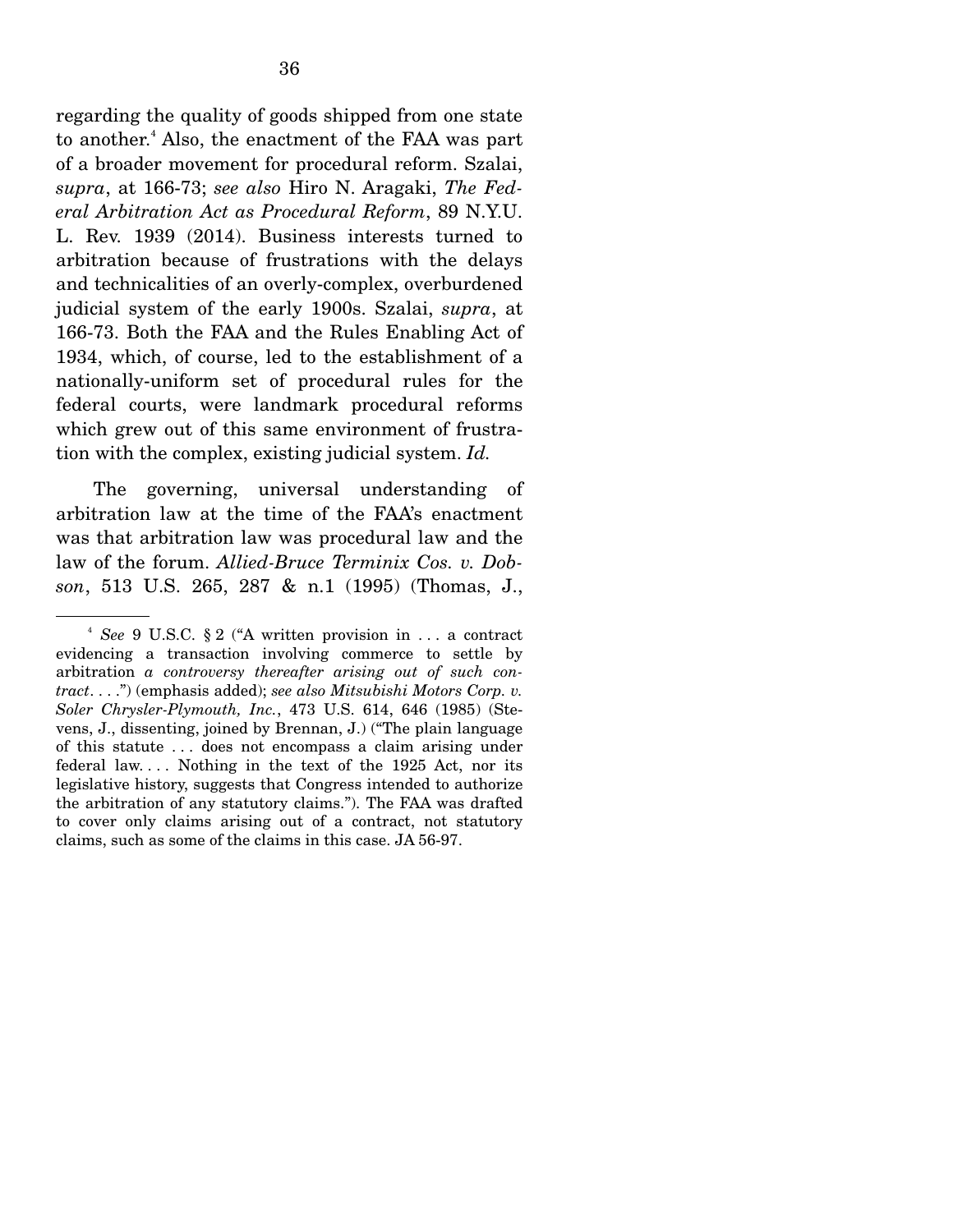regarding the quality of goods shipped from one state to another.<sup>4</sup> Also, the enactment of the FAA was part of a broader movement for procedural reform. Szalai, *supra*, at 166-73; *see also* Hiro N. Aragaki, *The Federal Arbitration Act as Procedural Reform*, 89 N.Y.U. L. Rev. 1939 (2014). Business interests turned to arbitration because of frustrations with the delays and technicalities of an overly-complex, overburdened judicial system of the early 1900s. Szalai, *supra*, at 166-73. Both the FAA and the Rules Enabling Act of 1934, which, of course, led to the establishment of a nationally-uniform set of procedural rules for the federal courts, were landmark procedural reforms which grew out of this same environment of frustration with the complex, existing judicial system. *Id.*

 The governing, universal understanding of arbitration law at the time of the FAA's enactment was that arbitration law was procedural law and the law of the forum. *Allied-Bruce Terminix Cos. v. Dobson*, 513 U.S. 265, 287 & n.1 (1995) (Thomas, J.,

<sup>4</sup> *See* 9 U.S.C. § 2 ("A written provision in . . . a contract evidencing a transaction involving commerce to settle by arbitration *a controversy thereafter arising out of such contract*. . . .") (emphasis added); *see also Mitsubishi Motors Corp. v. Soler Chrysler-Plymouth, Inc.*, 473 U.S. 614, 646 (1985) (Stevens, J., dissenting, joined by Brennan, J.) ("The plain language of this statute . . . does not encompass a claim arising under federal law. . . . Nothing in the text of the 1925 Act, nor its legislative history, suggests that Congress intended to authorize the arbitration of any statutory claims."). The FAA was drafted to cover only claims arising out of a contract, not statutory claims, such as some of the claims in this case. JA 56-97.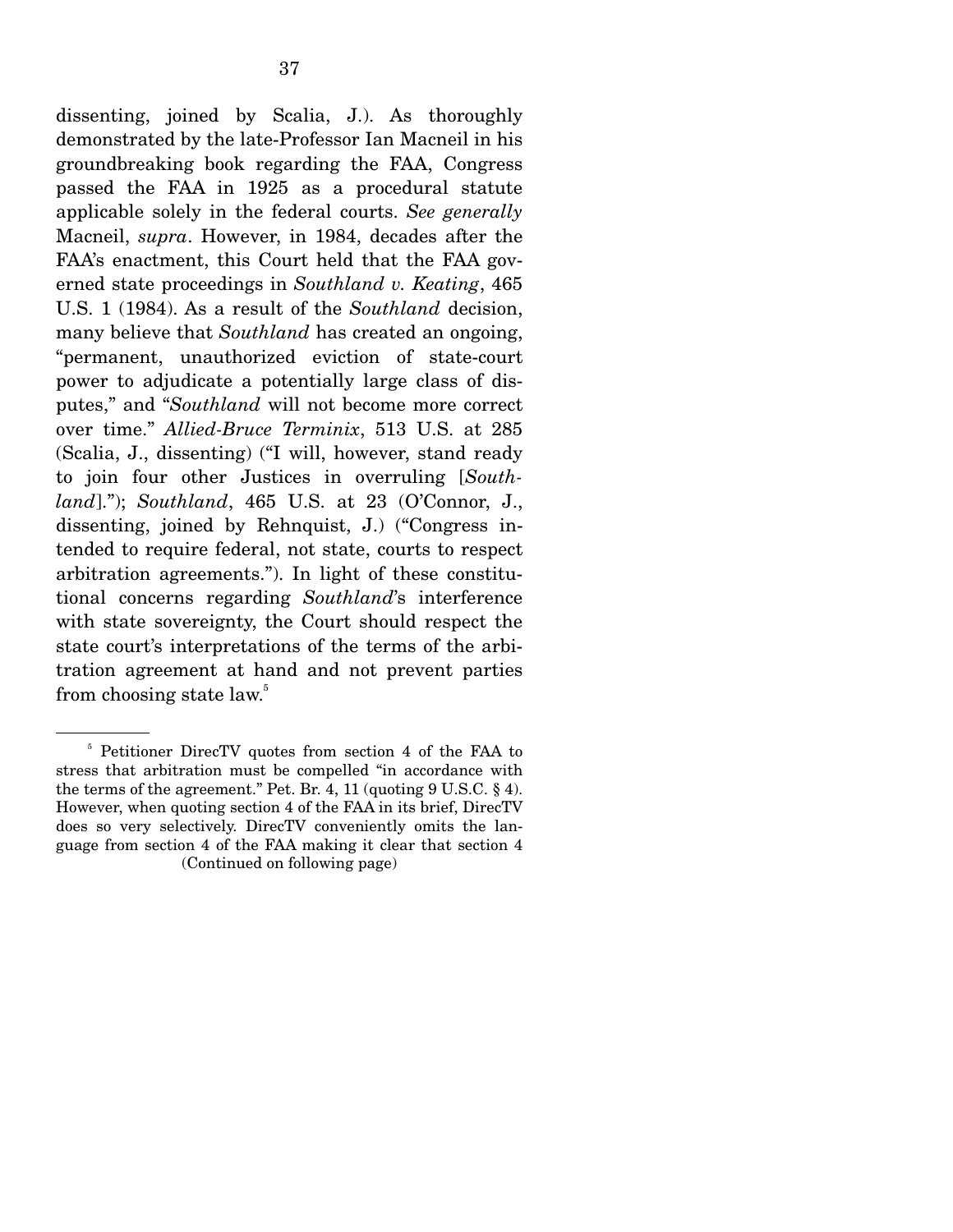dissenting, joined by Scalia, J.). As thoroughly demonstrated by the late-Professor Ian Macneil in his groundbreaking book regarding the FAA, Congress passed the FAA in 1925 as a procedural statute applicable solely in the federal courts. *See generally* Macneil, *supra*. However, in 1984, decades after the FAA's enactment, this Court held that the FAA governed state proceedings in *Southland v. Keating*, 465 U.S. 1 (1984). As a result of the *Southland* decision, many believe that *Southland* has created an ongoing, "permanent, unauthorized eviction of state-court power to adjudicate a potentially large class of disputes," and "*Southland* will not become more correct over time." *Allied-Bruce Terminix*, 513 U.S. at 285 (Scalia, J., dissenting) ("I will, however, stand ready to join four other Justices in overruling [*Southland*]."); *Southland*, 465 U.S. at 23 (O'Connor, J., dissenting, joined by Rehnquist, J.) ("Congress intended to require federal, not state, courts to respect arbitration agreements."). In light of these constitutional concerns regarding *Southland*'s interference with state sovereignty, the Court should respect the state court's interpretations of the terms of the arbitration agreement at hand and not prevent parties from choosing state law.<sup>5</sup>

<sup>5</sup> Petitioner DirecTV quotes from section 4 of the FAA to stress that arbitration must be compelled "in accordance with the terms of the agreement." Pet. Br. 4, 11 (quoting 9 U.S.C. § 4). However, when quoting section 4 of the FAA in its brief, DirecTV does so very selectively. DirecTV conveniently omits the language from section 4 of the FAA making it clear that section 4 (Continued on following page)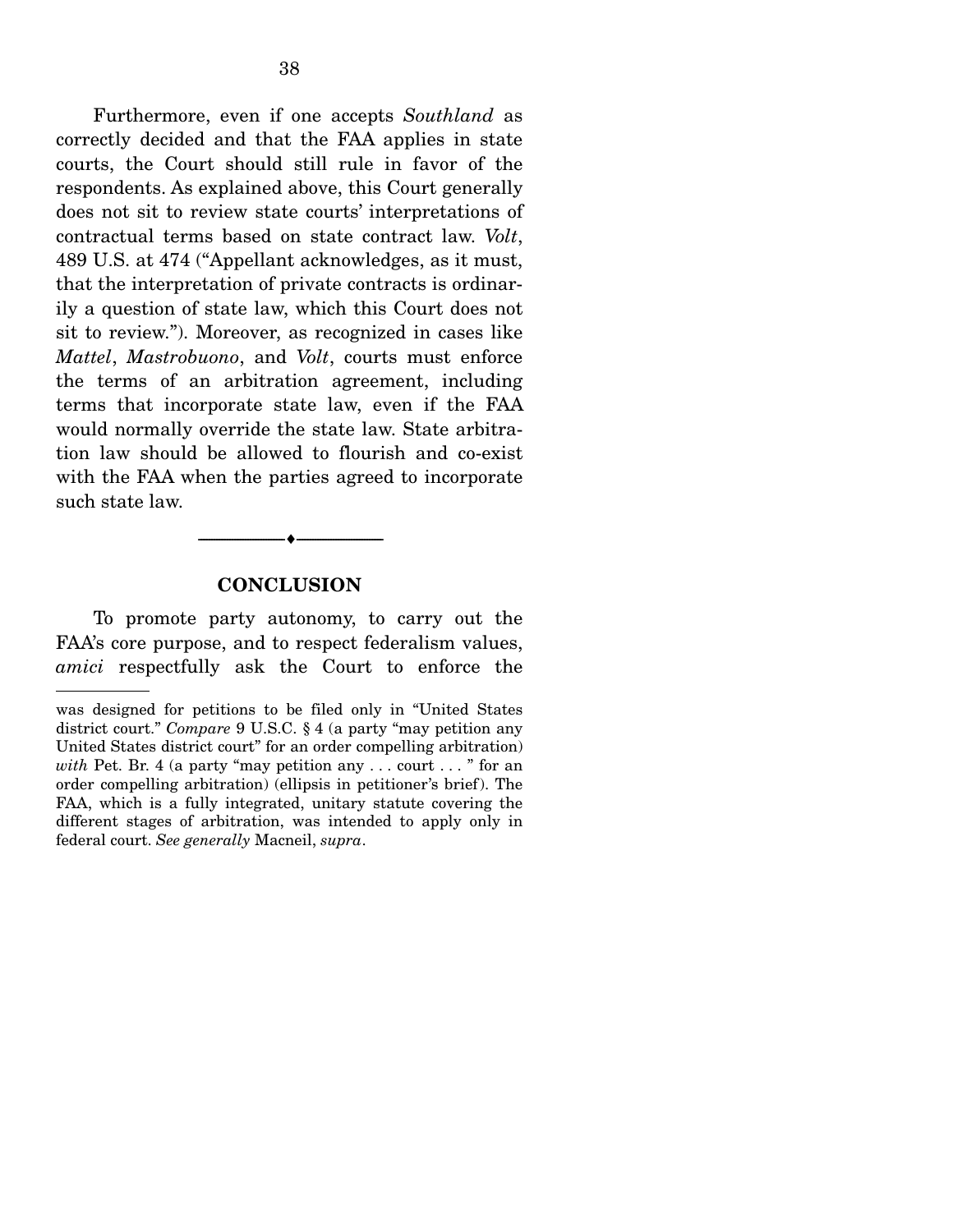Furthermore, even if one accepts *Southland* as correctly decided and that the FAA applies in state courts, the Court should still rule in favor of the respondents. As explained above, this Court generally does not sit to review state courts' interpretations of contractual terms based on state contract law. *Volt*, 489 U.S. at 474 ("Appellant acknowledges, as it must, that the interpretation of private contracts is ordinarily a question of state law, which this Court does not sit to review."). Moreover, as recognized in cases like *Mattel*, *Mastrobuono*, and *Volt*, courts must enforce the terms of an arbitration agreement, including terms that incorporate state law, even if the FAA would normally override the state law. State arbitration law should be allowed to flourish and co-exist with the FAA when the parties agreed to incorporate such state law.

#### **CONCLUSION**

--------------------------------- ---------------------------------

 To promote party autonomy, to carry out the FAA's core purpose, and to respect federalism values, *amici* respectfully ask the Court to enforce the

was designed for petitions to be filed only in "United States district court." *Compare* 9 U.S.C. § 4 (a party "may petition any United States district court" for an order compelling arbitration) *with* Pet. Br. 4 (a party "may petition any . . . court . . . " for an order compelling arbitration) (ellipsis in petitioner's brief). The FAA, which is a fully integrated, unitary statute covering the different stages of arbitration, was intended to apply only in federal court. *See generally* Macneil, *supra*.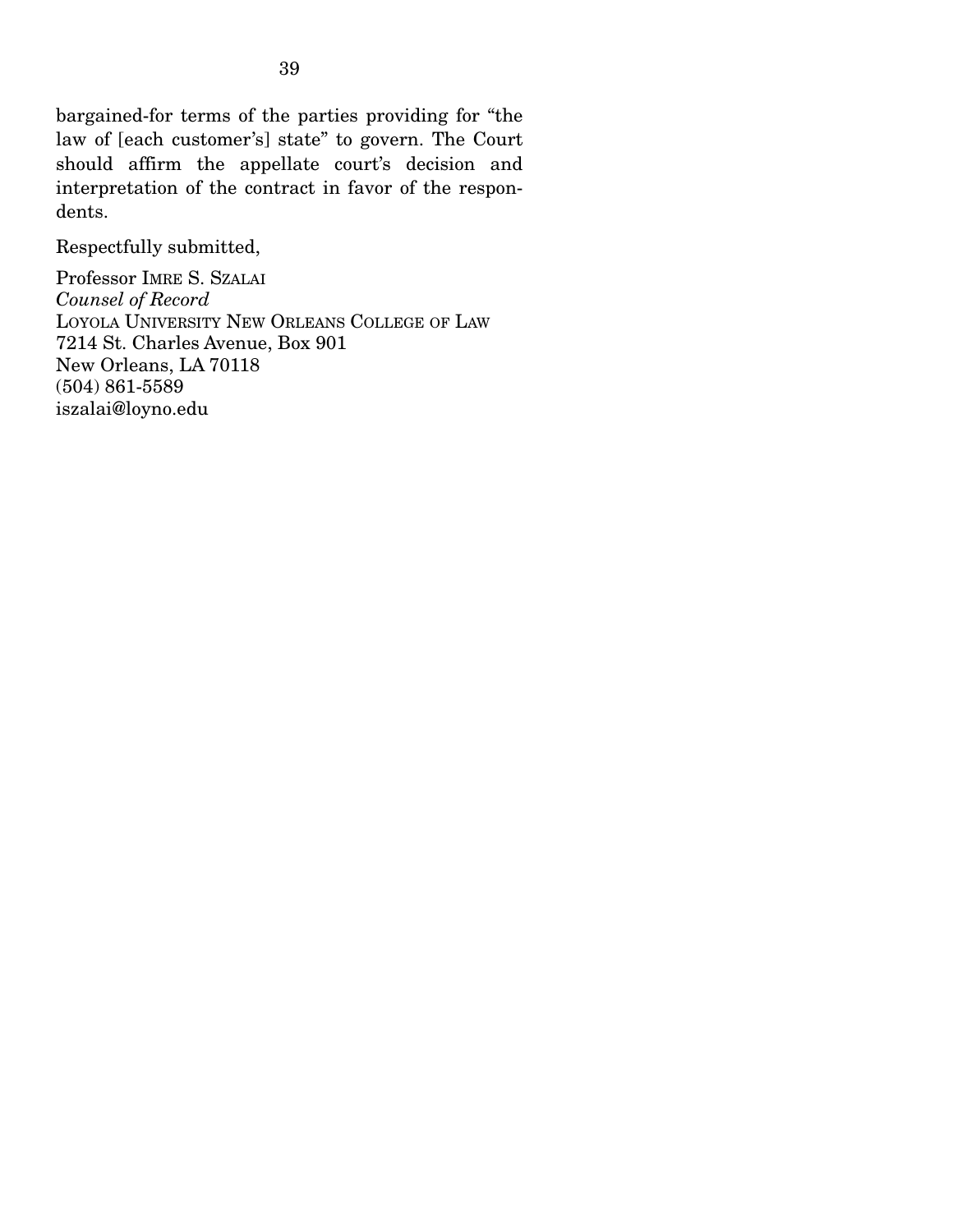bargained-for terms of the parties providing for "the law of [each customer's] state" to govern. The Court should affirm the appellate court's decision and interpretation of the contract in favor of the respondents.

Respectfully submitted,

Professor IMRE S. SZALAI *Counsel of Record*  LOYOLA UNIVERSITY NEW ORLEANS COLLEGE OF LAW 7214 St. Charles Avenue, Box 901 New Orleans, LA 70118 (504) 861-5589 iszalai@loyno.edu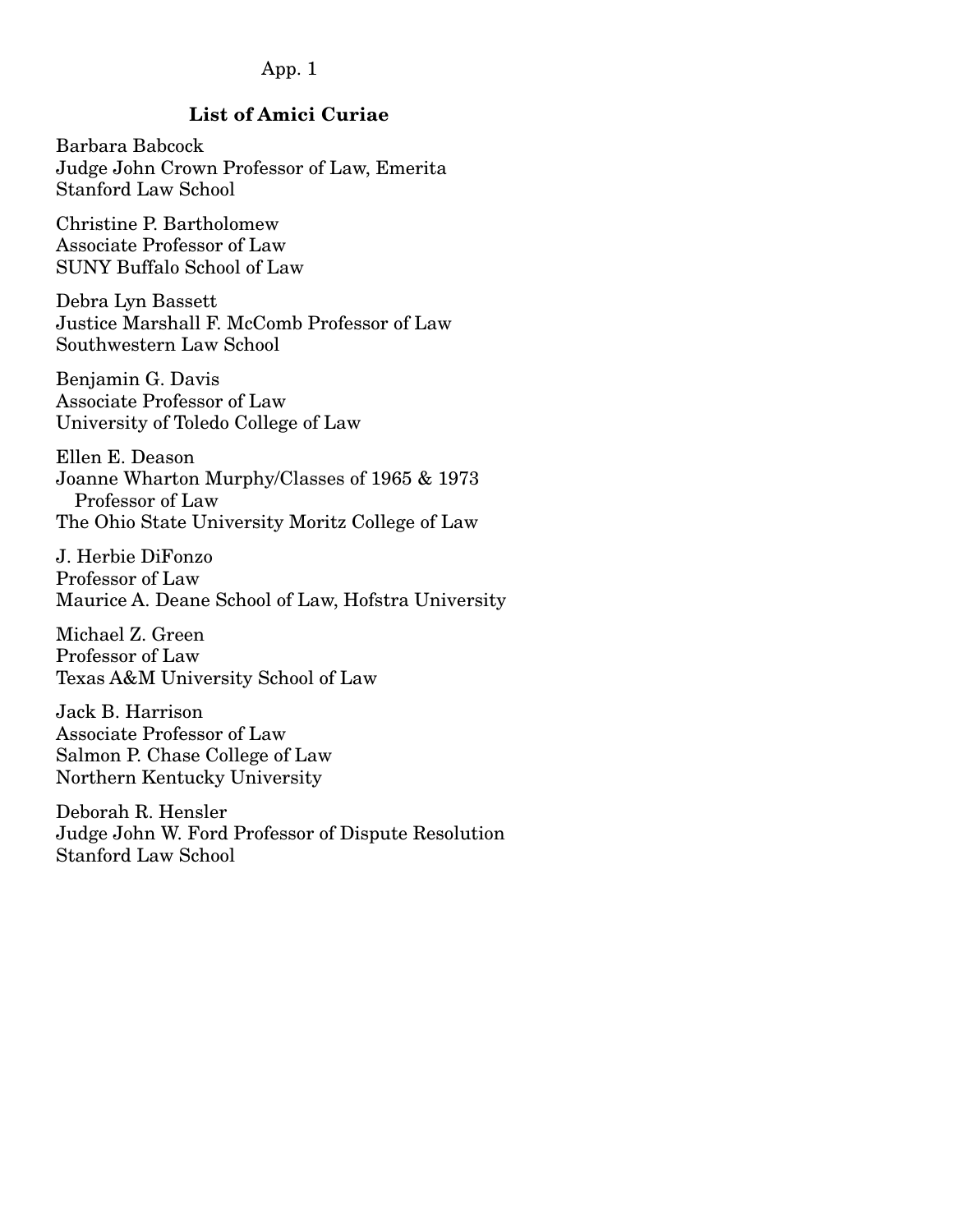### App. 1

## **List of Amici Curiae**

Barbara Babcock Judge John Crown Professor of Law, Emerita Stanford Law School

Christine P. Bartholomew Associate Professor of Law SUNY Buffalo School of Law

Debra Lyn Bassett Justice Marshall F. McComb Professor of Law Southwestern Law School

Benjamin G. Davis Associate Professor of Law University of Toledo College of Law

Ellen E. Deason Joanne Wharton Murphy/Classes of 1965 & 1973 Professor of Law The Ohio State University Moritz College of Law

J. Herbie DiFonzo Professor of Law Maurice A. Deane School of Law, Hofstra University

Michael Z. Green Professor of Law Texas A&M University School of Law

Jack B. Harrison Associate Professor of Law Salmon P. Chase College of Law Northern Kentucky University

Deborah R. Hensler Judge John W. Ford Professor of Dispute Resolution Stanford Law School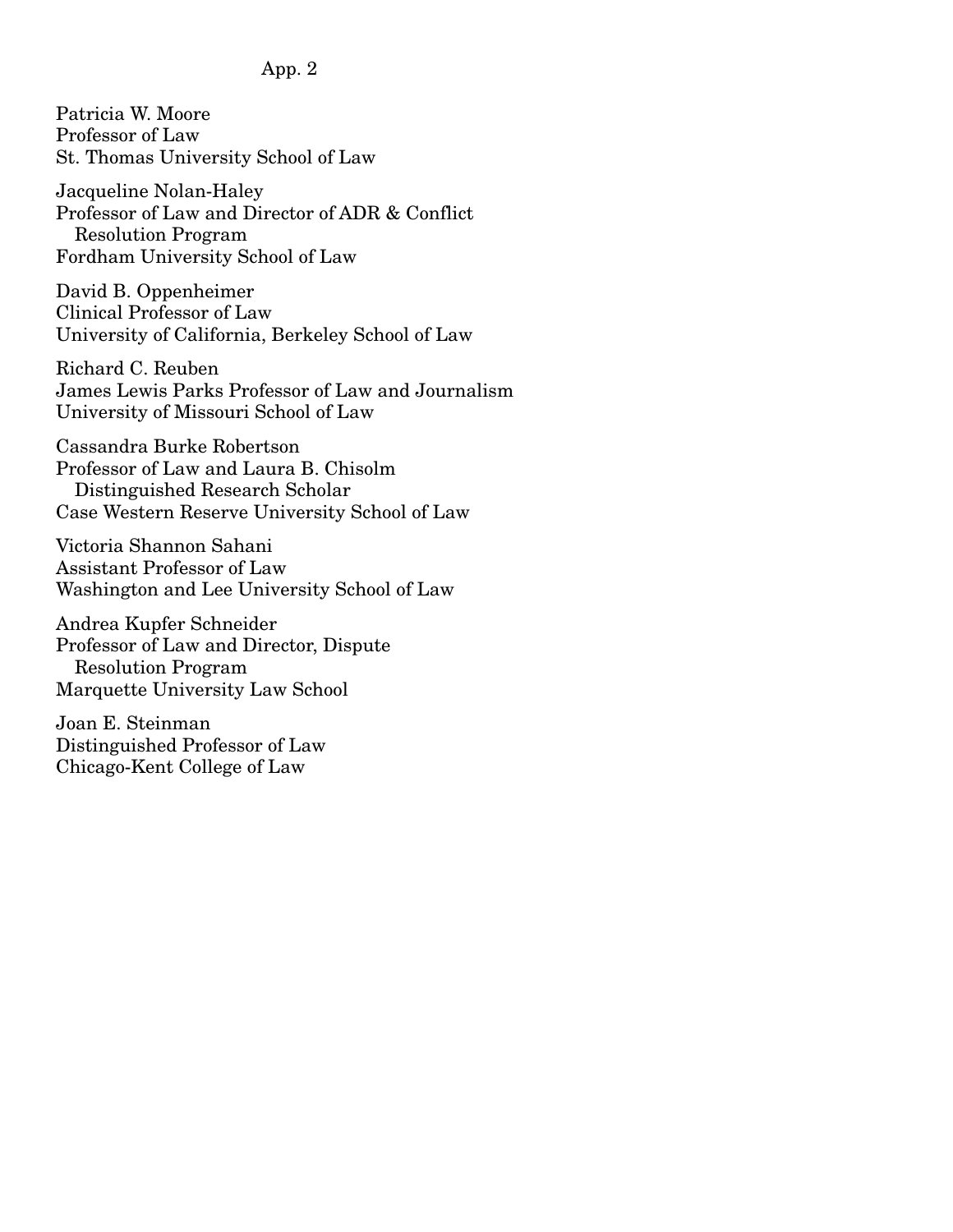### App. 2

Patricia W. Moore Professor of Law St. Thomas University School of Law

Jacqueline Nolan-Haley Professor of Law and Director of ADR & Conflict Resolution Program Fordham University School of Law

David B. Oppenheimer Clinical Professor of Law University of California, Berkeley School of Law

Richard C. Reuben James Lewis Parks Professor of Law and Journalism University of Missouri School of Law

Cassandra Burke Robertson Professor of Law and Laura B. Chisolm Distinguished Research Scholar Case Western Reserve University School of Law

Victoria Shannon Sahani Assistant Professor of Law Washington and Lee University School of Law

Andrea Kupfer Schneider Professor of Law and Director, Dispute Resolution Program Marquette University Law School

Joan E. Steinman Distinguished Professor of Law Chicago-Kent College of Law